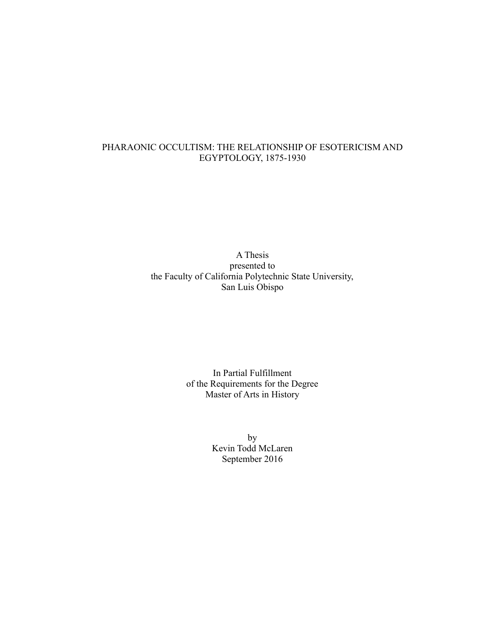# PHARAONIC OCCULTISM: THE RELATIONSHIP OF ESOTERICISM AND EGYPTOLOGY, 1875-1930

A Thesis presented to the Faculty of California Polytechnic State University, San Luis Obispo

> In Partial Fulfillment of the Requirements for the Degree Master of Arts in History

> > by Kevin Todd McLaren September 2016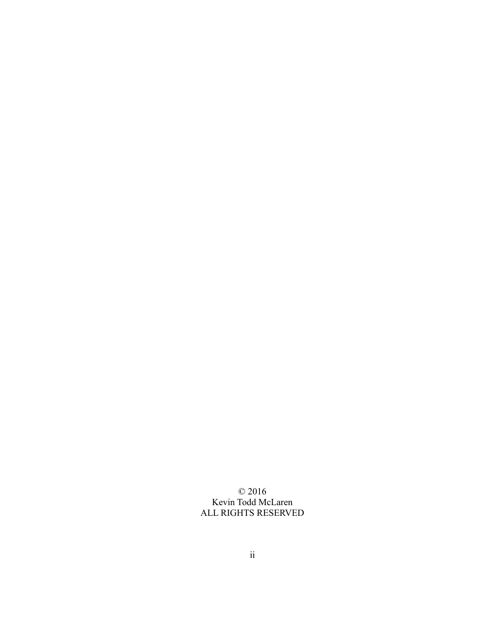© 2016 Kevin Todd McLaren ALL RIGHTS RESERVED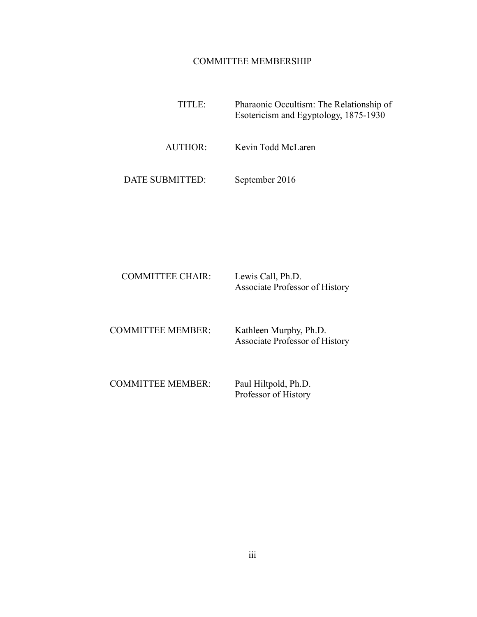# COMMITTEE MEMBERSHIP

 TITLE: Pharaonic Occultism: The Relationship of Esotericism and Egyptology, 1875-1930 AUTHOR: Kevin Todd McLaren

DATE SUBMITTED: September 2016

| <b>COMMITTEE CHAIR:</b> | Lewis Call, Ph.D.              |
|-------------------------|--------------------------------|
|                         | Associate Professor of History |

COMMITTEE MEMBER: Kathleen Murphy, Ph.D. Associate Professor of History

 COMMITTEE MEMBER: Paul Hiltpold, Ph.D. Professor of History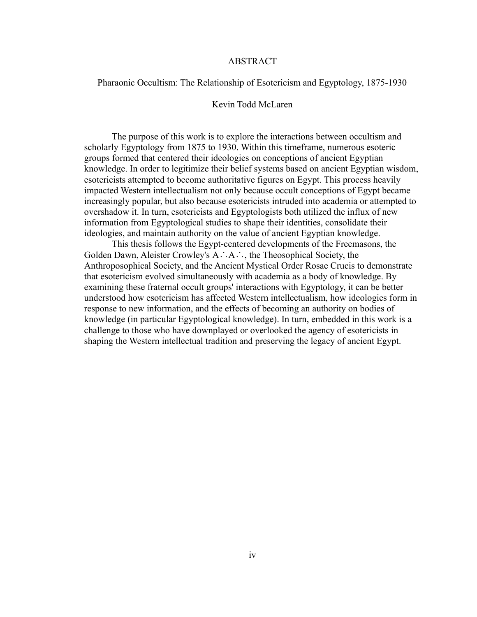### ABSTRACT

### Pharaonic Occultism: The Relationship of Esotericism and Egyptology, 1875-1930

## Kevin Todd McLaren

The purpose of this work is to explore the interactions between occultism and scholarly Egyptology from 1875 to 1930. Within this timeframe, numerous esoteric groups formed that centered their ideologies on conceptions of ancient Egyptian knowledge. In order to legitimize their belief systems based on ancient Egyptian wisdom, esotericists attempted to become authoritative figures on Egypt. This process heavily impacted Western intellectualism not only because occult conceptions of Egypt became increasingly popular, but also because esotericists intruded into academia or attempted to overshadow it. In turn, esotericists and Egyptologists both utilized the influx of new information from Egyptological studies to shape their identities, consolidate their ideologies, and maintain authority on the value of ancient Egyptian knowledge.

This thesis follows the Egypt-centered developments of the Freemasons, the Golden Dawn, Aleister Crowley's A∴A∴, the Theosophical Society, the Anthroposophical Society, and the Ancient Mystical Order Rosae Crucis to demonstrate that esotericism evolved simultaneously with academia as a body of knowledge. By examining these fraternal occult groups' interactions with Egyptology, it can be better understood how esotericism has affected Western intellectualism, how ideologies form in response to new information, and the effects of becoming an authority on bodies of knowledge (in particular Egyptological knowledge). In turn, embedded in this work is a challenge to those who have downplayed or overlooked the agency of esotericists in shaping the Western intellectual tradition and preserving the legacy of ancient Egypt.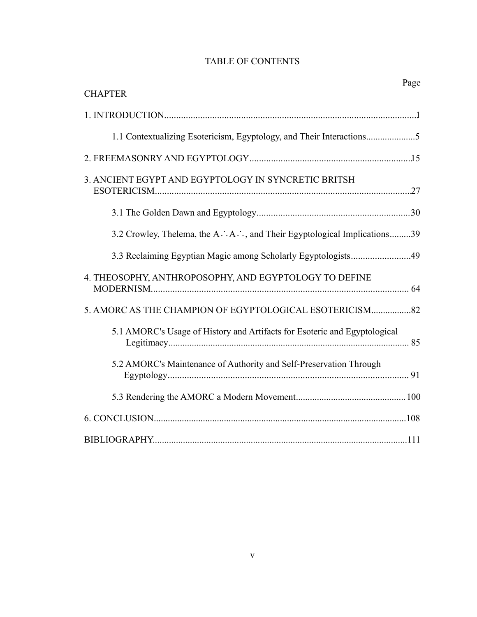# TABLE OF CONTENTS

|                                                                           | Page |
|---------------------------------------------------------------------------|------|
| <b>CHAPTER</b>                                                            |      |
|                                                                           |      |
|                                                                           |      |
|                                                                           |      |
| 3. ANCIENT EGYPT AND EGYPTOLOGY IN SYNCRETIC BRITSH                       |      |
|                                                                           |      |
| 3.2 Crowley, Thelema, the A. A. A. and Their Egyptological Implications39 |      |
|                                                                           |      |
| 4. THEOSOPHY, ANTHROPOSOPHY, AND EGYPTOLOGY TO DEFINE                     |      |
| 5. AMORC AS THE CHAMPION OF EGYPTOLOGICAL ESOTERICISM82                   |      |
| 5.1 AMORC's Usage of History and Artifacts for Esoteric and Egyptological |      |
| 5.2 AMORC's Maintenance of Authority and Self-Preservation Through        |      |
|                                                                           |      |
|                                                                           |      |
|                                                                           |      |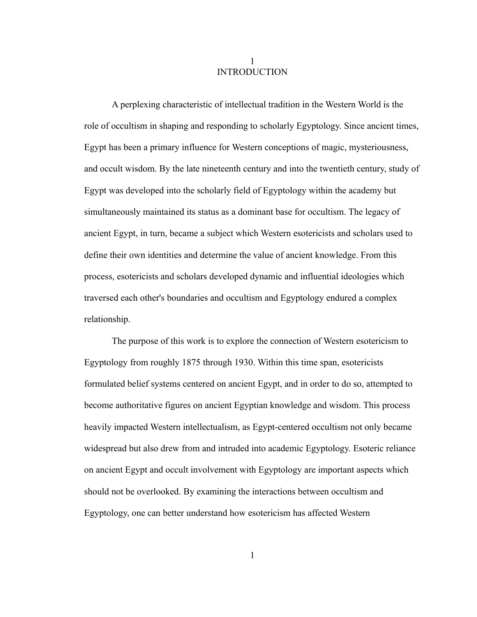# 1 INTRODUCTION

A perplexing characteristic of intellectual tradition in the Western World is the role of occultism in shaping and responding to scholarly Egyptology. Since ancient times, Egypt has been a primary influence for Western conceptions of magic, mysteriousness, and occult wisdom. By the late nineteenth century and into the twentieth century, study of Egypt was developed into the scholarly field of Egyptology within the academy but simultaneously maintained its status as a dominant base for occultism. The legacy of ancient Egypt, in turn, became a subject which Western esotericists and scholars used to define their own identities and determine the value of ancient knowledge. From this process, esotericists and scholars developed dynamic and influential ideologies which traversed each other's boundaries and occultism and Egyptology endured a complex relationship.

The purpose of this work is to explore the connection of Western esotericism to Egyptology from roughly 1875 through 1930. Within this time span, esotericists formulated belief systems centered on ancient Egypt, and in order to do so, attempted to become authoritative figures on ancient Egyptian knowledge and wisdom. This process heavily impacted Western intellectualism, as Egypt-centered occultism not only became widespread but also drew from and intruded into academic Egyptology. Esoteric reliance on ancient Egypt and occult involvement with Egyptology are important aspects which should not be overlooked. By examining the interactions between occultism and Egyptology, one can better understand how esotericism has affected Western

1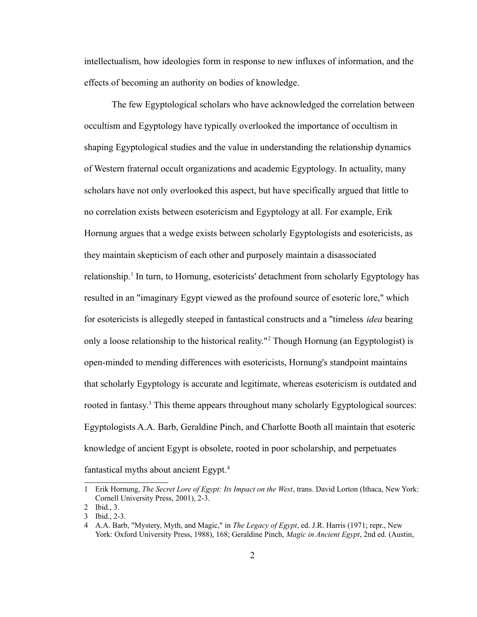intellectualism, how ideologies form in response to new influxes of information, and the effects of becoming an authority on bodies of knowledge.

The few Egyptological scholars who have acknowledged the correlation between occultism and Egyptology have typically overlooked the importance of occultism in shaping Egyptological studies and the value in understanding the relationship dynamics of Western fraternal occult organizations and academic Egyptology. In actuality, many scholars have not only overlooked this aspect, but have specifically argued that little to no correlation exists between esotericism and Egyptology at all. For example, Erik Hornung argues that a wedge exists between scholarly Egyptologists and esotericists, as they maintain skepticism of each other and purposely maintain a disassociated relationship.<sup>[1](#page-6-0)</sup> In turn, to Hornung, esotericists' detachment from scholarly Egyptology has resulted in an "imaginary Egypt viewed as the profound source of esoteric lore," which for esotericists is allegedly steeped in fantastical constructs and a "timeless *idea* bearing only a loose relationship to the historical reality."[2](#page-6-1) Though Hornung (an Egyptologist) is open-minded to mending differences with esotericists, Hornung's standpoint maintains that scholarly Egyptology is accurate and legitimate, whereas esotericism is outdated and rooted in fantasy.<sup>[3](#page-6-2)</sup> This theme appears throughout many scholarly Egyptological sources: Egyptologists A.A. Barb, Geraldine Pinch, and Charlotte Booth all maintain that esoteric knowledge of ancient Egypt is obsolete, rooted in poor scholarship, and perpetuates fantastical myths about ancient Egypt.<sup>[4](#page-6-3)</sup>

<span id="page-6-0"></span><sup>1</sup> Erik Hornung, *The Secret Lore of Egypt: Its Impact on the West*, trans. David Lorton (Ithaca, New York: Cornell University Press, 2001), 2-3.

<span id="page-6-1"></span><sup>2</sup> Ibid., 3.

<span id="page-6-2"></span><sup>3</sup> Ibid., 2-3.

<span id="page-6-3"></span><sup>4</sup> A.A. Barb, "Mystery, Myth, and Magic," in *The Legacy of Egypt*, ed. J.R. Harris (1971; repr., New York: Oxford University Press, 1988), 168; Geraldine Pinch, *Magic in Ancient Egypt*, 2nd ed. (Austin,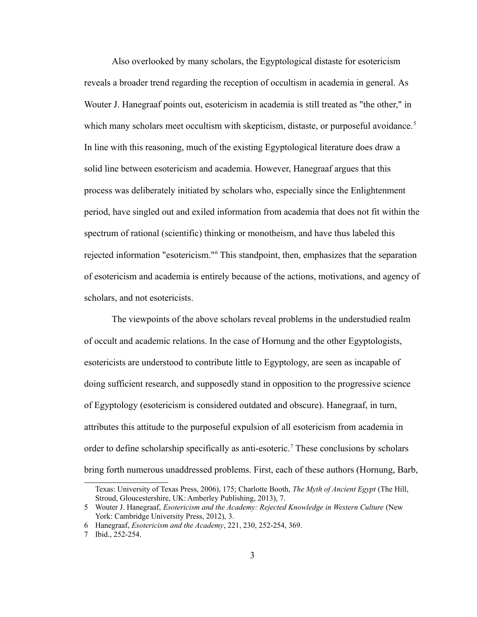Also overlooked by many scholars, the Egyptological distaste for esotericism reveals a broader trend regarding the reception of occultism in academia in general. As Wouter J. Hanegraaf points out, esotericism in academia is still treated as "the other," in which many scholars meet occultism with skepticism, distaste, or purposeful avoidance.<sup>[5](#page-7-0)</sup> In line with this reasoning, much of the existing Egyptological literature does draw a solid line between esotericism and academia. However, Hanegraaf argues that this process was deliberately initiated by scholars who, especially since the Enlightenment period, have singled out and exiled information from academia that does not fit within the spectrum of rational (scientific) thinking or monotheism, and have thus labeled this rejected information "esotericism."<sup>[6](#page-7-1)</sup> This standpoint, then, emphasizes that the separation of esotericism and academia is entirely because of the actions, motivations, and agency of scholars, and not esotericists.

The viewpoints of the above scholars reveal problems in the understudied realm of occult and academic relations. In the case of Hornung and the other Egyptologists, esotericists are understood to contribute little to Egyptology, are seen as incapable of doing sufficient research, and supposedly stand in opposition to the progressive science of Egyptology (esotericism is considered outdated and obscure). Hanegraaf, in turn, attributes this attitude to the purposeful expulsion of all esotericism from academia in order to define scholarship specifically as anti-esoteric.<sup>[7](#page-7-2)</sup> These conclusions by scholars bring forth numerous unaddressed problems. First, each of these authors (Hornung, Barb,

Texas: University of Texas Press, 2006), 175; Charlotte Booth, *The Myth of Ancient Egypt* (The Hill, Stroud, Gloucestershire, UK: Amberley Publishing, 2013), 7.

<span id="page-7-0"></span><sup>5</sup> Wouter J. Hanegraaf, *Esotericism and the Academy: Rejected Knowledge in Western Culture* (New York: Cambridge University Press, 2012), 3.

<span id="page-7-1"></span><sup>6</sup> Hanegraaf, *Esotericism and the Academy*, 221, 230, 252-254, 369.

<span id="page-7-2"></span><sup>7</sup> Ibid., 252-254.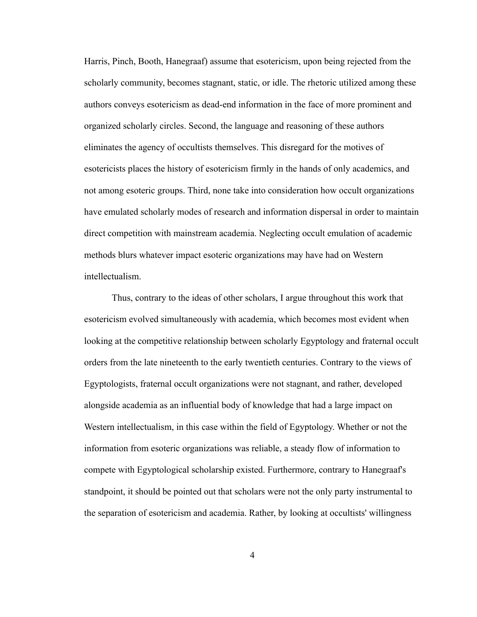Harris, Pinch, Booth, Hanegraaf) assume that esotericism, upon being rejected from the scholarly community, becomes stagnant, static, or idle. The rhetoric utilized among these authors conveys esotericism as dead-end information in the face of more prominent and organized scholarly circles. Second, the language and reasoning of these authors eliminates the agency of occultists themselves. This disregard for the motives of esotericists places the history of esotericism firmly in the hands of only academics, and not among esoteric groups. Third, none take into consideration how occult organizations have emulated scholarly modes of research and information dispersal in order to maintain direct competition with mainstream academia. Neglecting occult emulation of academic methods blurs whatever impact esoteric organizations may have had on Western intellectualism.

Thus, contrary to the ideas of other scholars, I argue throughout this work that esotericism evolved simultaneously with academia, which becomes most evident when looking at the competitive relationship between scholarly Egyptology and fraternal occult orders from the late nineteenth to the early twentieth centuries. Contrary to the views of Egyptologists, fraternal occult organizations were not stagnant, and rather, developed alongside academia as an influential body of knowledge that had a large impact on Western intellectualism, in this case within the field of Egyptology. Whether or not the information from esoteric organizations was reliable, a steady flow of information to compete with Egyptological scholarship existed. Furthermore, contrary to Hanegraaf's standpoint, it should be pointed out that scholars were not the only party instrumental to the separation of esotericism and academia. Rather, by looking at occultists' willingness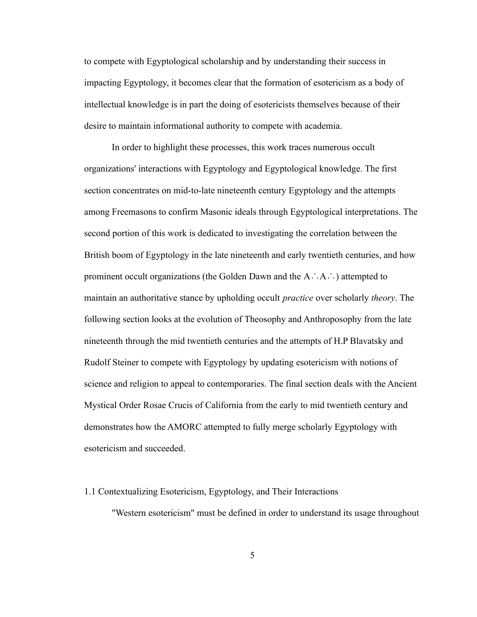to compete with Egyptological scholarship and by understanding their success in impacting Egyptology, it becomes clear that the formation of esotericism as a body of intellectual knowledge is in part the doing of esotericists themselves because of their desire to maintain informational authority to compete with academia.

In order to highlight these processes, this work traces numerous occult organizations' interactions with Egyptology and Egyptological knowledge. The first section concentrates on mid-to-late nineteenth century Egyptology and the attempts among Freemasons to confirm Masonic ideals through Egyptological interpretations. The second portion of this work is dedicated to investigating the correlation between the British boom of Egyptology in the late nineteenth and early twentieth centuries, and how prominent occult organizations (the Golden Dawn and the A∴A∴) attempted to maintain an authoritative stance by upholding occult *practice* over scholarly *theory*. The following section looks at the evolution of Theosophy and Anthroposophy from the late nineteenth through the mid twentieth centuries and the attempts of H.P Blavatsky and Rudolf Steiner to compete with Egyptology by updating esotericism with notions of science and religion to appeal to contemporaries. The final section deals with the Ancient Mystical Order Rosae Crucis of California from the early to mid twentieth century and demonstrates how the AMORC attempted to fully merge scholarly Egyptology with esotericism and succeeded.

#### 1.1 Contextualizing Esotericism, Egyptology, and Their Interactions

"Western esotericism" must be defined in order to understand its usage throughout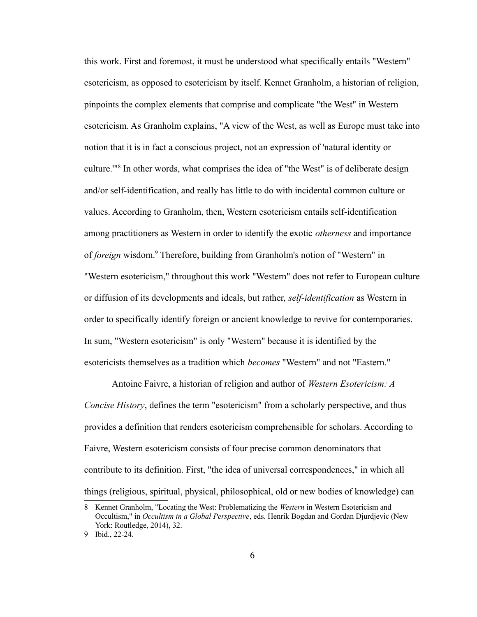this work. First and foremost, it must be understood what specifically entails "Western" esotericism, as opposed to esotericism by itself. Kennet Granholm, a historian of religion, pinpoints the complex elements that comprise and complicate "the West" in Western esotericism. As Granholm explains, "A view of the West, as well as Europe must take into notion that it is in fact a conscious project, not an expression of 'natural identity or culture.'"[8](#page-10-0) In other words, what comprises the idea of "the West" is of deliberate design and/or self-identification, and really has little to do with incidental common culture or values. According to Granholm, then, Western esotericism entails self-identification among practitioners as Western in order to identify the exotic *otherness* and importance of *foreign* wisdom.<sup>[9](#page-10-1)</sup> Therefore, building from Granholm's notion of "Western" in "Western esotericism," throughout this work "Western" does not refer to European culture or diffusion of its developments and ideals, but rather, *self-identification* as Western in order to specifically identify foreign or ancient knowledge to revive for contemporaries. In sum, "Western esotericism" is only "Western" because it is identified by the esotericists themselves as a tradition which *becomes* "Western" and not "Eastern."

Antoine Faivre, a historian of religion and author of *Western Esotericism: A Concise History*, defines the term "esotericism" from a scholarly perspective, and thus provides a definition that renders esotericism comprehensible for scholars. According to Faivre, Western esotericism consists of four precise common denominators that contribute to its definition. First, "the idea of universal correspondences," in which all things (religious, spiritual, physical, philosophical, old or new bodies of knowledge) can

<span id="page-10-0"></span><sup>8</sup> Kennet Granholm, "Locating the West: Problematizing the *Western* in Western Esotericism and Occultism," in *Occultism in a Global Perspective*, eds. Henrik Bogdan and Gordan Djurdjevic (New York: Routledge, 2014), 32.

<span id="page-10-1"></span><sup>9</sup> Ibid., 22-24.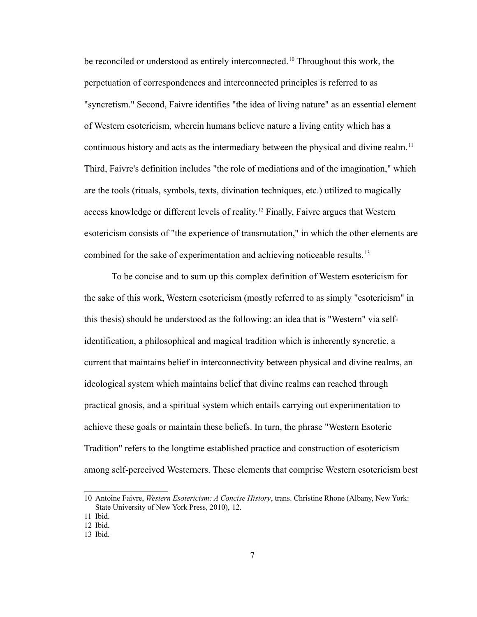be reconciled or understood as entirely interconnected.<sup>[10](#page-11-0)</sup> Throughout this work, the perpetuation of correspondences and interconnected principles is referred to as "syncretism." Second, Faivre identifies "the idea of living nature" as an essential element of Western esotericism, wherein humans believe nature a living entity which has a continuous history and acts as the intermediary between the physical and divine realm.<sup>[11](#page-11-1)</sup> Third, Faivre's definition includes "the role of mediations and of the imagination," which are the tools (rituals, symbols, texts, divination techniques, etc.) utilized to magically access knowledge or different levels of reality.[12](#page-11-2) Finally, Faivre argues that Western esotericism consists of "the experience of transmutation," in which the other elements are combined for the sake of experimentation and achieving noticeable results.<sup>[13](#page-11-3)</sup>

To be concise and to sum up this complex definition of Western esotericism for the sake of this work, Western esotericism (mostly referred to as simply "esotericism" in this thesis) should be understood as the following: an idea that is "Western" via selfidentification, a philosophical and magical tradition which is inherently syncretic, a current that maintains belief in interconnectivity between physical and divine realms, an ideological system which maintains belief that divine realms can reached through practical gnosis, and a spiritual system which entails carrying out experimentation to achieve these goals or maintain these beliefs. In turn, the phrase "Western Esoteric Tradition" refers to the longtime established practice and construction of esotericism among self-perceived Westerners. These elements that comprise Western esotericism best

<span id="page-11-0"></span><sup>10</sup> Antoine Faivre, *Western Esotericism: A Concise History*, trans. Christine Rhone (Albany, New York: State University of New York Press, 2010), 12.

<span id="page-11-1"></span><sup>11</sup> Ibid.

<span id="page-11-2"></span><sup>12</sup> Ibid.

<span id="page-11-3"></span><sup>13</sup> Ibid.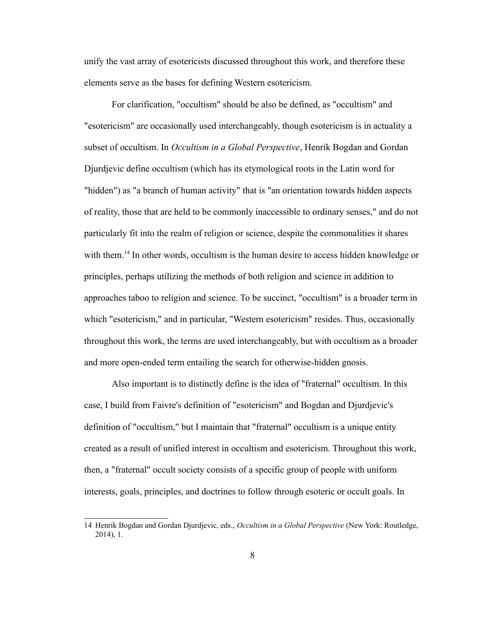unify the vast array of esotericists discussed throughout this work, and therefore these elements serve as the bases for defining Western esotericism.

For clarification, "occultism" should be also be defined, as "occultism" and "esotericism" are occasionally used interchangeably, though esotericism is in actuality a subset of occultism. In *Occultism in a Global Perspective*, Henrik Bogdan and Gordan Djurdjevic define occultism (which has its etymological roots in the Latin word for "hidden") as "a branch of human activity" that is "an orientation towards hidden aspects of reality, those that are held to be commonly inaccessible to ordinary senses," and do not particularly fit into the realm of religion or science, despite the commonalities it shares with them.<sup>[14](#page-12-0)</sup> In other words, occultism is the human desire to access hidden knowledge or principles, perhaps utilizing the methods of both religion and science in addition to approaches taboo to religion and science. To be succinct, "occultism" is a broader term in which "esotericism," and in particular, "Western esotericism" resides. Thus, occasionally throughout this work, the terms are used interchangeably, but with occultism as a broader and more open-ended term entailing the search for otherwise-hidden gnosis.

Also important is to distinctly define is the idea of "fraternal" occultism. In this case, I build from Faivre's definition of "esotericism" and Bogdan and Djurdjevic's definition of "occultism," but I maintain that "fraternal" occultism is a unique entity created as a result of unified interest in occultism and esotericism. Throughout this work, then, a "fraternal" occult society consists of a specific group of people with uniform interests, goals, principles, and doctrines to follow through esoteric or occult goals. In

<span id="page-12-0"></span><sup>14</sup> Henrik Bogdan and Gordan Djurdjevic, eds., *Occultism in a Global Perspective* (New York: Routledge, 2014), 1.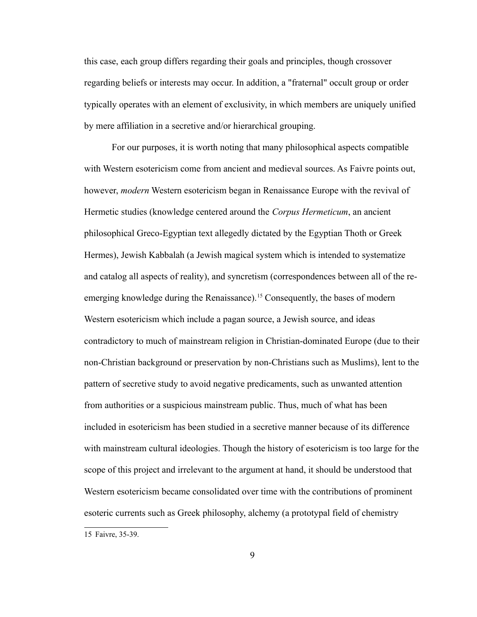this case, each group differs regarding their goals and principles, though crossover regarding beliefs or interests may occur. In addition, a "fraternal" occult group or order typically operates with an element of exclusivity, in which members are uniquely unified by mere affiliation in a secretive and/or hierarchical grouping.

For our purposes, it is worth noting that many philosophical aspects compatible with Western esotericism come from ancient and medieval sources. As Faivre points out, however, *modern* Western esotericism began in Renaissance Europe with the revival of Hermetic studies (knowledge centered around the *Corpus Hermeticum*, an ancient philosophical Greco-Egyptian text allegedly dictated by the Egyptian Thoth or Greek Hermes), Jewish Kabbalah (a Jewish magical system which is intended to systematize and catalog all aspects of reality), and syncretism (correspondences between all of the re-emerging knowledge during the Renaissance).<sup>[15](#page-13-0)</sup> Consequently, the bases of modern Western esotericism which include a pagan source, a Jewish source, and ideas contradictory to much of mainstream religion in Christian-dominated Europe (due to their non-Christian background or preservation by non-Christians such as Muslims), lent to the pattern of secretive study to avoid negative predicaments, such as unwanted attention from authorities or a suspicious mainstream public. Thus, much of what has been included in esotericism has been studied in a secretive manner because of its difference with mainstream cultural ideologies. Though the history of esotericism is too large for the scope of this project and irrelevant to the argument at hand, it should be understood that Western esotericism became consolidated over time with the contributions of prominent esoteric currents such as Greek philosophy, alchemy (a prototypal field of chemistry

<span id="page-13-0"></span><sup>15</sup> Faivre, 35-39.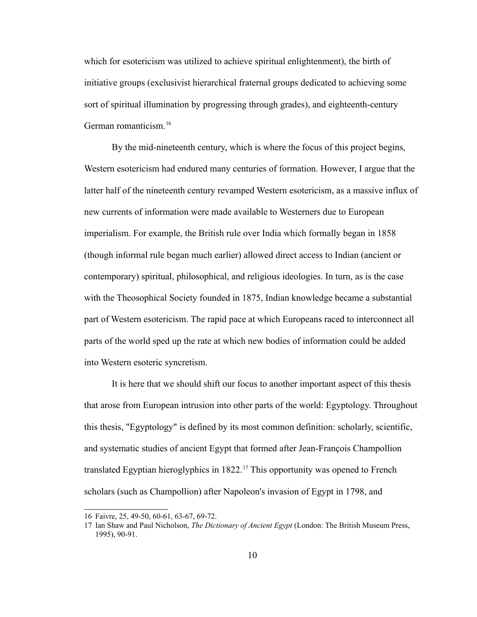which for esotericism was utilized to achieve spiritual enlightenment), the birth of initiative groups (exclusivist hierarchical fraternal groups dedicated to achieving some sort of spiritual illumination by progressing through grades), and eighteenth-century German romanticism.<sup>[16](#page-14-0)</sup>

By the mid-nineteenth century, which is where the focus of this project begins, Western esotericism had endured many centuries of formation. However, I argue that the latter half of the nineteenth century revamped Western esotericism, as a massive influx of new currents of information were made available to Westerners due to European imperialism. For example, the British rule over India which formally began in 1858 (though informal rule began much earlier) allowed direct access to Indian (ancient or contemporary) spiritual, philosophical, and religious ideologies. In turn, as is the case with the Theosophical Society founded in 1875, Indian knowledge became a substantial part of Western esotericism. The rapid pace at which Europeans raced to interconnect all parts of the world sped up the rate at which new bodies of information could be added into Western esoteric syncretism.

It is here that we should shift our focus to another important aspect of this thesis that arose from European intrusion into other parts of the world: Egyptology. Throughout this thesis, "Egyptology" is defined by its most common definition: scholarly, scientific, and systematic studies of ancient Egypt that formed after Jean-François Champollion translated Egyptian hieroglyphics in  $1822$ <sup>[17](#page-14-1)</sup> This opportunity was opened to French scholars (such as Champollion) after Napoleon's invasion of Egypt in 1798, and

<span id="page-14-0"></span><sup>16</sup> Faivre, 25, 49-50, 60-61, 63-67, 69-72.

<span id="page-14-1"></span><sup>17</sup> Ian Shaw and Paul Nicholson, *The Dictionary of Ancient Egypt* (London: The British Museum Press, 1995), 90-91.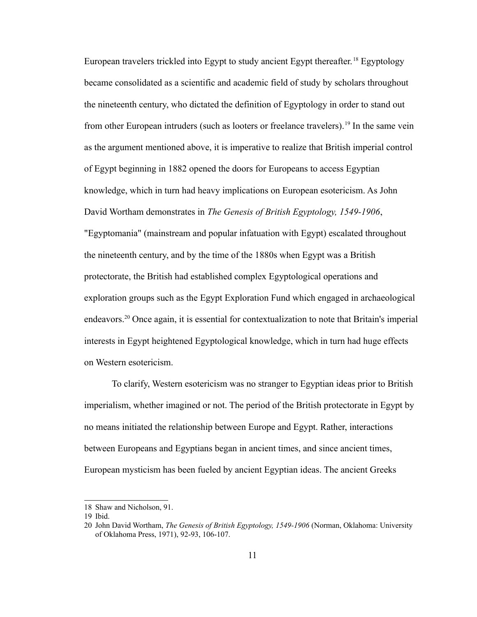European travelers trickled into Egypt to study ancient Egypt thereafter. [18](#page-15-0) Egyptology became consolidated as a scientific and academic field of study by scholars throughout the nineteenth century, who dictated the definition of Egyptology in order to stand out from other European intruders (such as looters or freelance travelers).<sup>[19](#page-15-1)</sup> In the same vein as the argument mentioned above, it is imperative to realize that British imperial control of Egypt beginning in 1882 opened the doors for Europeans to access Egyptian knowledge, which in turn had heavy implications on European esotericism. As John David Wortham demonstrates in *The Genesis of British Egyptology, 1549-1906*, "Egyptomania" (mainstream and popular infatuation with Egypt) escalated throughout the nineteenth century, and by the time of the 1880s when Egypt was a British protectorate, the British had established complex Egyptological operations and exploration groups such as the Egypt Exploration Fund which engaged in archaeological endeavors.[20](#page-15-2) Once again, it is essential for contextualization to note that Britain's imperial interests in Egypt heightened Egyptological knowledge, which in turn had huge effects on Western esotericism.

To clarify, Western esotericism was no stranger to Egyptian ideas prior to British imperialism, whether imagined or not. The period of the British protectorate in Egypt by no means initiated the relationship between Europe and Egypt. Rather, interactions between Europeans and Egyptians began in ancient times, and since ancient times, European mysticism has been fueled by ancient Egyptian ideas. The ancient Greeks

<span id="page-15-0"></span><sup>18</sup> Shaw and Nicholson, 91.

<span id="page-15-1"></span><sup>19</sup> Ibid.

<span id="page-15-2"></span><sup>20</sup> John David Wortham, *The Genesis of British Egyptology, 1549-1906* (Norman, Oklahoma: University of Oklahoma Press, 1971), 92-93, 106-107.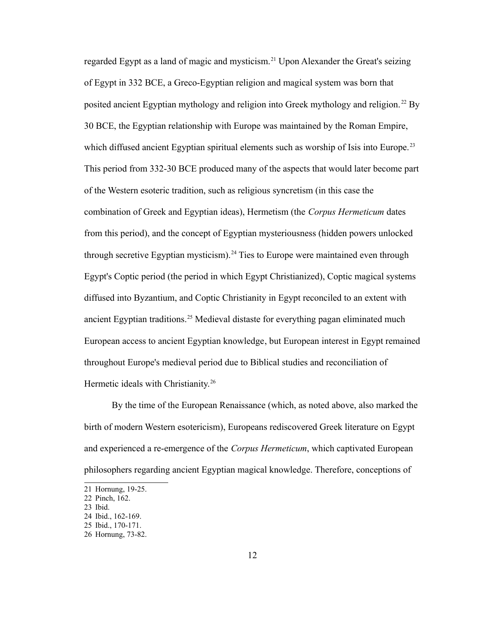regarded Egypt as a land of magic and mysticism.<sup>[21](#page-16-0)</sup> Upon Alexander the Great's seizing of Egypt in 332 BCE, a Greco-Egyptian religion and magical system was born that posited ancient Egyptian mythology and religion into Greek mythology and religion. [22](#page-16-1) By 30 BCE, the Egyptian relationship with Europe was maintained by the Roman Empire, which diffused ancient Egyptian spiritual elements such as worship of Isis into Europe.<sup>[23](#page-16-2)</sup> This period from 332-30 BCE produced many of the aspects that would later become part of the Western esoteric tradition, such as religious syncretism (in this case the combination of Greek and Egyptian ideas), Hermetism (the *Corpus Hermeticum* dates from this period), and the concept of Egyptian mysteriousness (hidden powers unlocked through secretive Egyptian mysticism).<sup>[24](#page-16-3)</sup> Ties to Europe were maintained even through Egypt's Coptic period (the period in which Egypt Christianized), Coptic magical systems diffused into Byzantium, and Coptic Christianity in Egypt reconciled to an extent with ancient Egyptian traditions.<sup>[25](#page-16-4)</sup> Medieval distaste for everything pagan eliminated much European access to ancient Egyptian knowledge, but European interest in Egypt remained throughout Europe's medieval period due to Biblical studies and reconciliation of Hermetic ideals with Christianity.<sup>[26](#page-16-5)</sup>

By the time of the European Renaissance (which, as noted above, also marked the birth of modern Western esotericism), Europeans rediscovered Greek literature on Egypt and experienced a re-emergence of the *Corpus Hermeticum*, which captivated European philosophers regarding ancient Egyptian magical knowledge. Therefore, conceptions of

<span id="page-16-2"></span>23 Ibid.

<span id="page-16-0"></span><sup>21</sup> Hornung, 19-25.

<span id="page-16-1"></span><sup>22</sup> Pinch, 162.

<span id="page-16-3"></span><sup>24</sup> Ibid., 162-169.

<span id="page-16-4"></span><sup>25</sup> Ibid., 170-171.

<span id="page-16-5"></span><sup>26</sup> Hornung, 73-82.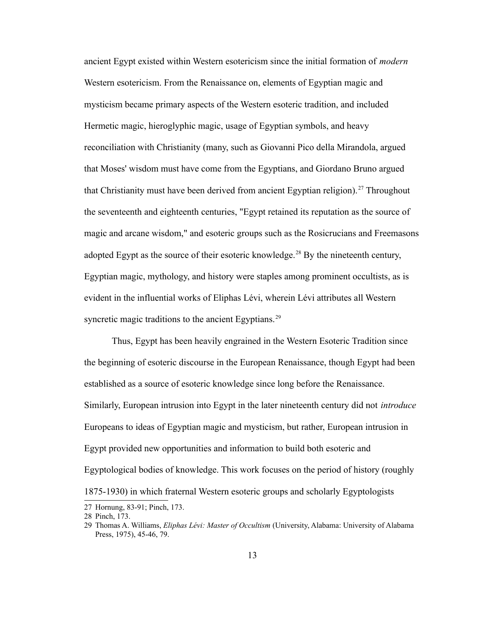ancient Egypt existed within Western esotericism since the initial formation of *modern* Western esotericism. From the Renaissance on, elements of Egyptian magic and mysticism became primary aspects of the Western esoteric tradition, and included Hermetic magic, hieroglyphic magic, usage of Egyptian symbols, and heavy reconciliation with Christianity (many, such as Giovanni Pico della Mirandola, argued that Moses' wisdom must have come from the Egyptians, and Giordano Bruno argued that Christianity must have been derived from ancient Egyptian religion).<sup>[27](#page-17-0)</sup> Throughout the seventeenth and eighteenth centuries, "Egypt retained its reputation as the source of magic and arcane wisdom," and esoteric groups such as the Rosicrucians and Freemasons adopted Egypt as the source of their esoteric knowledge.<sup>[28](#page-17-1)</sup> By the nineteenth century, Egyptian magic, mythology, and history were staples among prominent occultists, as is evident in the influential works of Eliphas Lévi, wherein Lévi attributes all Western syncretic magic traditions to the ancient Egyptians.<sup>[29](#page-17-2)</sup>

Thus, Egypt has been heavily engrained in the Western Esoteric Tradition since the beginning of esoteric discourse in the European Renaissance, though Egypt had been established as a source of esoteric knowledge since long before the Renaissance. Similarly, European intrusion into Egypt in the later nineteenth century did not *introduce* Europeans to ideas of Egyptian magic and mysticism, but rather, European intrusion in Egypt provided new opportunities and information to build both esoteric and Egyptological bodies of knowledge. This work focuses on the period of history (roughly 1875-1930) in which fraternal Western esoteric groups and scholarly Egyptologists

<span id="page-17-0"></span><sup>27</sup> Hornung, 83-91; Pinch, 173.

<span id="page-17-1"></span><sup>28</sup> Pinch, 173.

<span id="page-17-2"></span><sup>29</sup> Thomas A. Williams, *Eliphas Lévi: Master of Occultism* (University, Alabama: University of Alabama Press, 1975), 45-46, 79.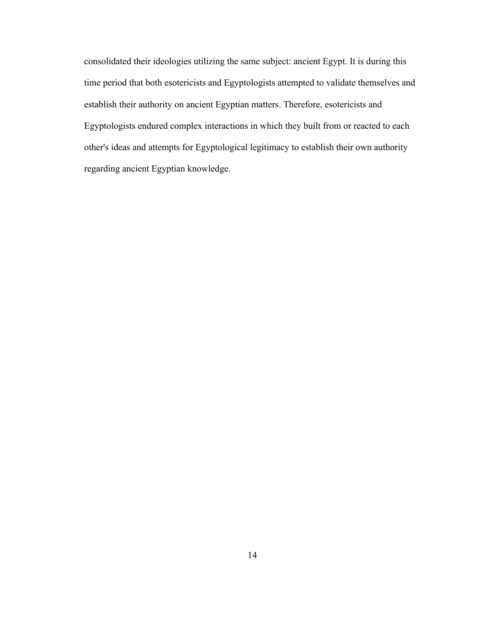consolidated their ideologies utilizing the same subject: ancient Egypt. It is during this time period that both esotericists and Egyptologists attempted to validate themselves and establish their authority on ancient Egyptian matters. Therefore, esotericists and Egyptologists endured complex interactions in which they built from or reacted to each other's ideas and attempts for Egyptological legitimacy to establish their own authority regarding ancient Egyptian knowledge.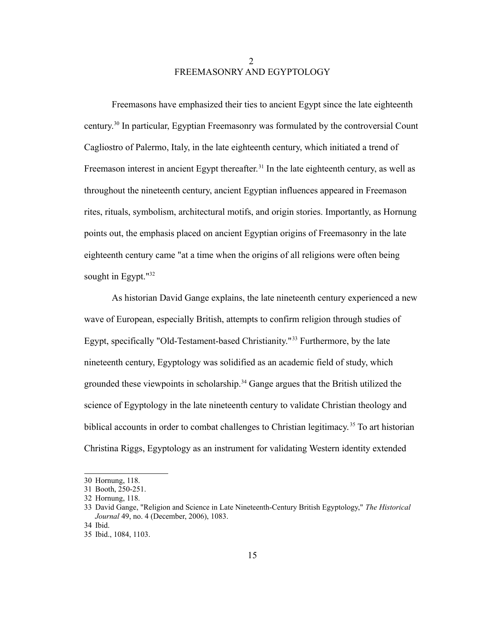# 2 FREEMASONRY AND EGYPTOLOGY

Freemasons have emphasized their ties to ancient Egypt since the late eighteenth century.[30](#page-19-0) In particular, Egyptian Freemasonry was formulated by the controversial Count Cagliostro of Palermo, Italy, in the late eighteenth century, which initiated a trend of Freemason interest in ancient Egypt thereafter.<sup>[31](#page-19-1)</sup> In the late eighteenth century, as well as throughout the nineteenth century, ancient Egyptian influences appeared in Freemason rites, rituals, symbolism, architectural motifs, and origin stories. Importantly, as Hornung points out, the emphasis placed on ancient Egyptian origins of Freemasonry in the late eighteenth century came "at a time when the origins of all religions were often being sought in Egypt."<sup>[32](#page-19-2)</sup>

As historian David Gange explains, the late nineteenth century experienced a new wave of European, especially British, attempts to confirm religion through studies of Egypt, specifically "Old-Testament-based Christianity."[33](#page-19-3) Furthermore, by the late nineteenth century, Egyptology was solidified as an academic field of study, which grounded these viewpoints in scholarship.<sup>[34](#page-19-4)</sup> Gange argues that the British utilized the science of Egyptology in the late nineteenth century to validate Christian theology and biblical accounts in order to combat challenges to Christian legitimacy.<sup>[35](#page-19-5)</sup> To art historian Christina Riggs, Egyptology as an instrument for validating Western identity extended

<span id="page-19-0"></span><sup>30</sup> Hornung, 118.

<span id="page-19-1"></span><sup>31</sup> Booth, 250-251.

<span id="page-19-2"></span><sup>32</sup> Hornung, 118.

<span id="page-19-3"></span><sup>33</sup> David Gange, "Religion and Science in Late Nineteenth-Century British Egyptology," *The Historical Journal* 49, no. 4 (December, 2006), 1083.

<span id="page-19-4"></span><sup>34</sup> Ibid.

<span id="page-19-5"></span><sup>35</sup> Ibid., 1084, 1103.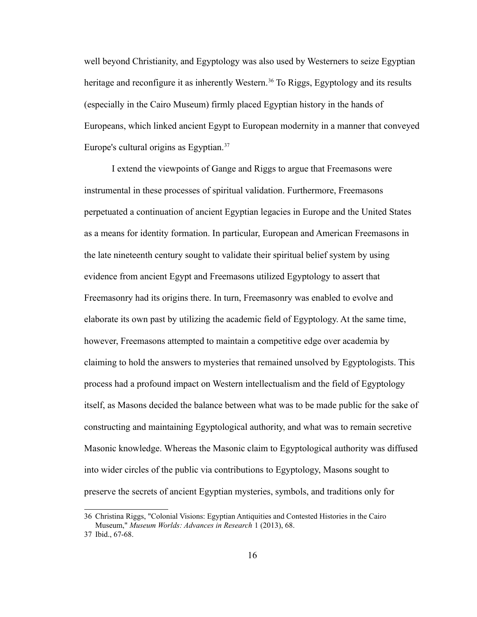well beyond Christianity, and Egyptology was also used by Westerners to seize Egyptian heritage and reconfigure it as inherently Western.<sup>[36](#page-20-0)</sup> To Riggs, Egyptology and its results (especially in the Cairo Museum) firmly placed Egyptian history in the hands of Europeans, which linked ancient Egypt to European modernity in a manner that conveyed Europe's cultural origins as Egyptian.<sup>[37](#page-20-1)</sup>

I extend the viewpoints of Gange and Riggs to argue that Freemasons were instrumental in these processes of spiritual validation. Furthermore, Freemasons perpetuated a continuation of ancient Egyptian legacies in Europe and the United States as a means for identity formation. In particular, European and American Freemasons in the late nineteenth century sought to validate their spiritual belief system by using evidence from ancient Egypt and Freemasons utilized Egyptology to assert that Freemasonry had its origins there. In turn, Freemasonry was enabled to evolve and elaborate its own past by utilizing the academic field of Egyptology. At the same time, however, Freemasons attempted to maintain a competitive edge over academia by claiming to hold the answers to mysteries that remained unsolved by Egyptologists. This process had a profound impact on Western intellectualism and the field of Egyptology itself, as Masons decided the balance between what was to be made public for the sake of constructing and maintaining Egyptological authority, and what was to remain secretive Masonic knowledge. Whereas the Masonic claim to Egyptological authority was diffused into wider circles of the public via contributions to Egyptology, Masons sought to preserve the secrets of ancient Egyptian mysteries, symbols, and traditions only for

<span id="page-20-0"></span><sup>36</sup> Christina Riggs, "Colonial Visions: Egyptian Antiquities and Contested Histories in the Cairo Museum," *Museum Worlds: Advances in Research* 1 (2013), 68.

<span id="page-20-1"></span><sup>37</sup> Ibid., 67-68.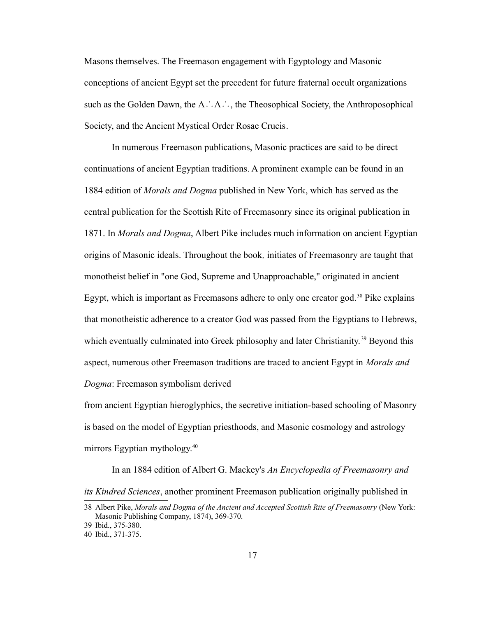Masons themselves. The Freemason engagement with Egyptology and Masonic conceptions of ancient Egypt set the precedent for future fraternal occult organizations such as the Golden Dawn, the A∴A∴, the Theosophical Society, the Anthroposophical Society, and the Ancient Mystical Order Rosae Crucis.

In numerous Freemason publications, Masonic practices are said to be direct continuations of ancient Egyptian traditions. A prominent example can be found in an 1884 edition of *Morals and Dogma* published in New York, which has served as the central publication for the Scottish Rite of Freemasonry since its original publication in 1871. In *Morals and Dogma*, Albert Pike includes much information on ancient Egyptian origins of Masonic ideals. Throughout the book*,* initiates of Freemasonry are taught that monotheist belief in "one God, Supreme and Unapproachable," originated in ancient Egypt, which is important as Freemasons adhere to only one creator god.<sup>[38](#page-21-0)</sup> Pike explains that monotheistic adherence to a creator God was passed from the Egyptians to Hebrews, which eventually culminated into Greek philosophy and later Christianity.<sup>[39](#page-21-1)</sup> Beyond this aspect, numerous other Freemason traditions are traced to ancient Egypt in *Morals and Dogma*: Freemason symbolism derived

from ancient Egyptian hieroglyphics, the secretive initiation-based schooling of Masonry is based on the model of Egyptian priesthoods, and Masonic cosmology and astrology mirrors Egyptian mythology.<sup>[40](#page-21-2)</sup>

In an 1884 edition of Albert G. Mackey's *An Encyclopedia of Freemasonry and its Kindred Sciences*, another prominent Freemason publication originally published in

<span id="page-21-0"></span><sup>38</sup> Albert Pike, *Morals and Dogma of the Ancient and Accepted Scottish Rite of Freemasonry* (New York: Masonic Publishing Company, 1874), 369-370.

<span id="page-21-1"></span><sup>39</sup> Ibid., 375-380.

<span id="page-21-2"></span><sup>40</sup> Ibid., 371-375.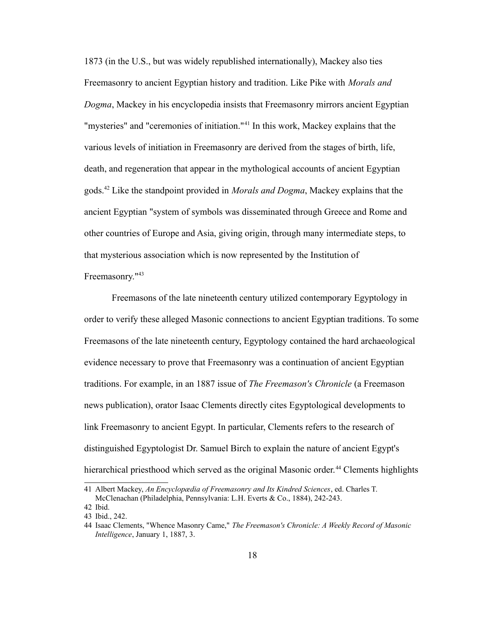1873 (in the U.S., but was widely republished internationally), Mackey also ties Freemasonry to ancient Egyptian history and tradition. Like Pike with *Morals and Dogma*, Mackey in his encyclopedia insists that Freemasonry mirrors ancient Egyptian "mysteries" and "ceremonies of initiation."<sup>[41](#page-22-0)</sup> In this work, Mackey explains that the various levels of initiation in Freemasonry are derived from the stages of birth, life, death, and regeneration that appear in the mythological accounts of ancient Egyptian gods.[42](#page-22-1) Like the standpoint provided in *Morals and Dogma*, Mackey explains that the ancient Egyptian "system of symbols was disseminated through Greece and Rome and other countries of Europe and Asia, giving origin, through many intermediate steps, to that mysterious association which is now represented by the Institution of

#### Freemasonry."<sup>[43](#page-22-2)</sup>

Freemasons of the late nineteenth century utilized contemporary Egyptology in order to verify these alleged Masonic connections to ancient Egyptian traditions. To some Freemasons of the late nineteenth century, Egyptology contained the hard archaeological evidence necessary to prove that Freemasonry was a continuation of ancient Egyptian traditions. For example, in an 1887 issue of *The Freemason's Chronicle* (a Freemason news publication), orator Isaac Clements directly cites Egyptological developments to link Freemasonry to ancient Egypt. In particular, Clements refers to the research of distinguished Egyptologist Dr. Samuel Birch to explain the nature of ancient Egypt's hierarchical priesthood which served as the original Masonic order.<sup>[44](#page-22-3)</sup> Clements highlights

<span id="page-22-0"></span><sup>41</sup> Albert Mackey, *An Encyclopædia of Freemasonry and Its Kindred Sciences*, ed. Charles T. McClenachan (Philadelphia, Pennsylvania: L.H. Everts & Co., 1884), 242-243.

<span id="page-22-1"></span><sup>42</sup> Ibid.

<span id="page-22-2"></span><sup>43</sup> Ibid., 242.

<span id="page-22-3"></span><sup>44</sup> Isaac Clements, "Whence Masonry Came," *The Freemason's Chronicle: A Weekly Record of Masonic Intelligence*, January 1, 1887, 3.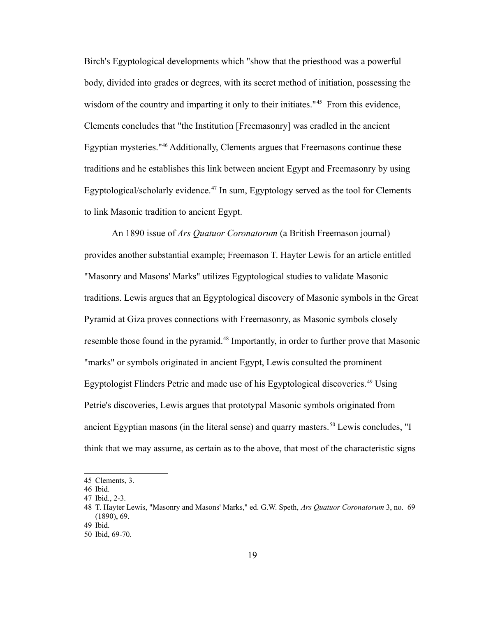Birch's Egyptological developments which "show that the priesthood was a powerful body, divided into grades or degrees, with its secret method of initiation, possessing the wisdom of the country and imparting it only to their initiates.<sup>"[45](#page-23-0)</sup> From this evidence, Clements concludes that "the Institution [Freemasonry] was cradled in the ancient Egyptian mysteries."[46](#page-23-1) Additionally, Clements argues that Freemasons continue these traditions and he establishes this link between ancient Egypt and Freemasonry by using Egyptological/scholarly evidence.<sup>[47](#page-23-2)</sup> In sum, Egyptology served as the tool for Clements to link Masonic tradition to ancient Egypt.

An 1890 issue of *Ars Quatuor Coronatorum* (a British Freemason journal) provides another substantial example; Freemason T. Hayter Lewis for an article entitled "Masonry and Masons' Marks" utilizes Egyptological studies to validate Masonic traditions. Lewis argues that an Egyptological discovery of Masonic symbols in the Great Pyramid at Giza proves connections with Freemasonry, as Masonic symbols closely resemble those found in the pyramid.<sup>[48](#page-23-3)</sup> Importantly, in order to further prove that Masonic "marks" or symbols originated in ancient Egypt, Lewis consulted the prominent Egyptologist Flinders Petrie and made use of his Egyptological discoveries.<sup>[49](#page-23-4)</sup> Using Petrie's discoveries, Lewis argues that prototypal Masonic symbols originated from ancient Egyptian masons (in the literal sense) and quarry masters.<sup>[50](#page-23-5)</sup> Lewis concludes, "I think that we may assume, as certain as to the above, that most of the characteristic signs

<span id="page-23-0"></span><sup>45</sup> Clements, 3.

<span id="page-23-1"></span><sup>46</sup> Ibid.

<span id="page-23-2"></span><sup>47</sup> Ibid., 2-3.

<span id="page-23-3"></span><sup>48</sup> T. Hayter Lewis, "Masonry and Masons' Marks," ed. G.W. Speth, *Ars Quatuor Coronatorum* 3, no. 69 (1890), 69.

<span id="page-23-4"></span><sup>49</sup> Ibid.

<span id="page-23-5"></span><sup>50</sup> Ibid, 69-70.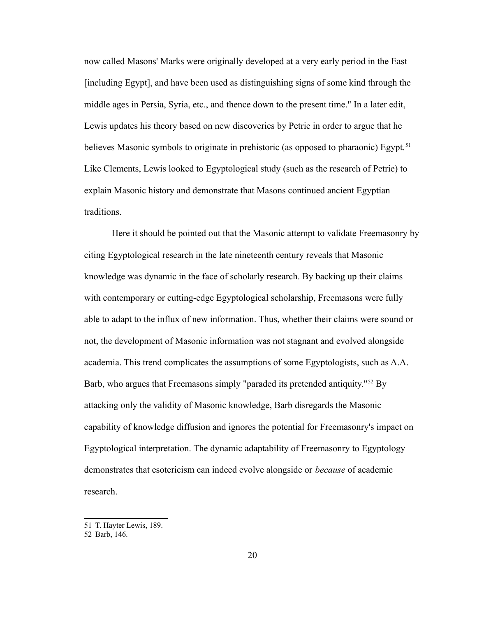now called Masons' Marks were originally developed at a very early period in the East [including Egypt], and have been used as distinguishing signs of some kind through the middle ages in Persia, Syria, etc., and thence down to the present time." In a later edit, Lewis updates his theory based on new discoveries by Petrie in order to argue that he believes Masonic symbols to originate in prehistoric (as opposed to pharaonic) Egypt.<sup>[51](#page-24-0)</sup> Like Clements, Lewis looked to Egyptological study (such as the research of Petrie) to explain Masonic history and demonstrate that Masons continued ancient Egyptian traditions.

Here it should be pointed out that the Masonic attempt to validate Freemasonry by citing Egyptological research in the late nineteenth century reveals that Masonic knowledge was dynamic in the face of scholarly research. By backing up their claims with contemporary or cutting-edge Egyptological scholarship, Freemasons were fully able to adapt to the influx of new information. Thus, whether their claims were sound or not, the development of Masonic information was not stagnant and evolved alongside academia. This trend complicates the assumptions of some Egyptologists, such as A.A. Barb, who argues that Freemasons simply "paraded its pretended antiquity."<sup>[52](#page-24-1)</sup> By attacking only the validity of Masonic knowledge, Barb disregards the Masonic capability of knowledge diffusion and ignores the potential for Freemasonry's impact on Egyptological interpretation. The dynamic adaptability of Freemasonry to Egyptology demonstrates that esotericism can indeed evolve alongside or *because* of academic research.

<span id="page-24-0"></span><sup>51</sup> T. Hayter Lewis, 189.

<span id="page-24-1"></span><sup>52</sup> Barb, 146.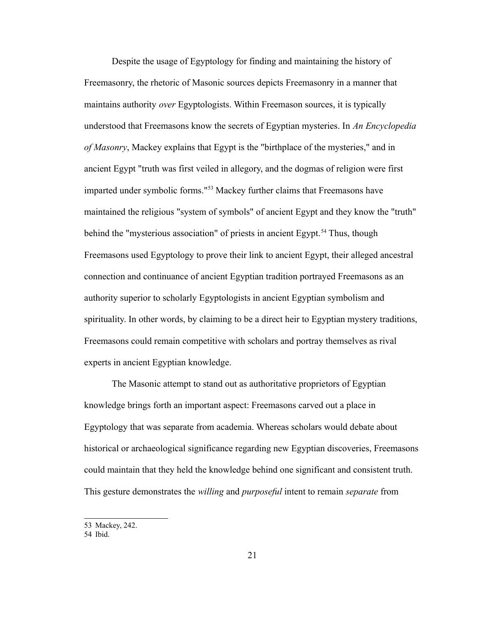Despite the usage of Egyptology for finding and maintaining the history of Freemasonry, the rhetoric of Masonic sources depicts Freemasonry in a manner that maintains authority *over* Egyptologists. Within Freemason sources, it is typically understood that Freemasons know the secrets of Egyptian mysteries. In *An Encyclopedia of Masonry*, Mackey explains that Egypt is the "birthplace of the mysteries," and in ancient Egypt "truth was first veiled in allegory, and the dogmas of religion were first imparted under symbolic forms."[53](#page-25-0) Mackey further claims that Freemasons have maintained the religious "system of symbols" of ancient Egypt and they know the "truth" behind the "mysterious association" of priests in ancient Egypt.<sup>[54](#page-25-1)</sup> Thus, though Freemasons used Egyptology to prove their link to ancient Egypt, their alleged ancestral connection and continuance of ancient Egyptian tradition portrayed Freemasons as an authority superior to scholarly Egyptologists in ancient Egyptian symbolism and spirituality. In other words, by claiming to be a direct heir to Egyptian mystery traditions, Freemasons could remain competitive with scholars and portray themselves as rival experts in ancient Egyptian knowledge.

The Masonic attempt to stand out as authoritative proprietors of Egyptian knowledge brings forth an important aspect: Freemasons carved out a place in Egyptology that was separate from academia. Whereas scholars would debate about historical or archaeological significance regarding new Egyptian discoveries, Freemasons could maintain that they held the knowledge behind one significant and consistent truth. This gesture demonstrates the *willing* and *purposeful* intent to remain *separate* from

<span id="page-25-0"></span><sup>53</sup> Mackey, 242.

<span id="page-25-1"></span><sup>54</sup> Ibid.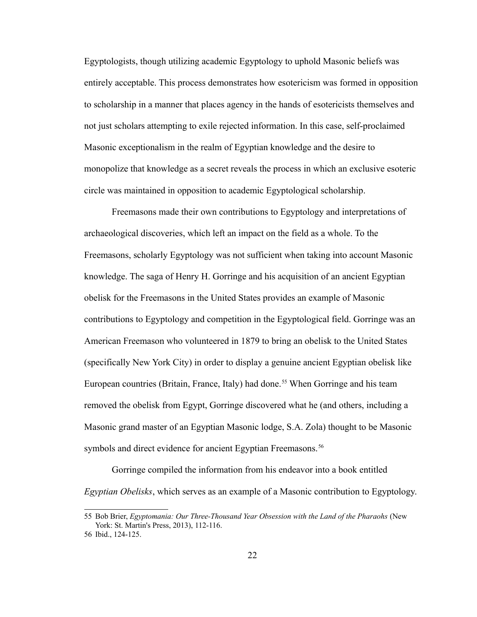Egyptologists, though utilizing academic Egyptology to uphold Masonic beliefs was entirely acceptable. This process demonstrates how esotericism was formed in opposition to scholarship in a manner that places agency in the hands of esotericists themselves and not just scholars attempting to exile rejected information. In this case, self-proclaimed Masonic exceptionalism in the realm of Egyptian knowledge and the desire to monopolize that knowledge as a secret reveals the process in which an exclusive esoteric circle was maintained in opposition to academic Egyptological scholarship.

Freemasons made their own contributions to Egyptology and interpretations of archaeological discoveries, which left an impact on the field as a whole. To the Freemasons, scholarly Egyptology was not sufficient when taking into account Masonic knowledge. The saga of Henry H. Gorringe and his acquisition of an ancient Egyptian obelisk for the Freemasons in the United States provides an example of Masonic contributions to Egyptology and competition in the Egyptological field. Gorringe was an American Freemason who volunteered in 1879 to bring an obelisk to the United States (specifically New York City) in order to display a genuine ancient Egyptian obelisk like European countries (Britain, France, Italy) had done.<sup>[55](#page-26-0)</sup> When Gorringe and his team removed the obelisk from Egypt, Gorringe discovered what he (and others, including a Masonic grand master of an Egyptian Masonic lodge, S.A. Zola) thought to be Masonic symbols and direct evidence for ancient Egyptian Freemasons.<sup>[56](#page-26-1)</sup>

Gorringe compiled the information from his endeavor into a book entitled *Egyptian Obelisks*, which serves as an example of a Masonic contribution to Egyptology.

<span id="page-26-0"></span><sup>55</sup> Bob Brier, *Egyptomania: Our Three-Thousand Year Obsession with the Land of the Pharaohs* (New York: St. Martin's Press, 2013), 112-116.

<span id="page-26-1"></span><sup>56</sup> Ibid., 124-125.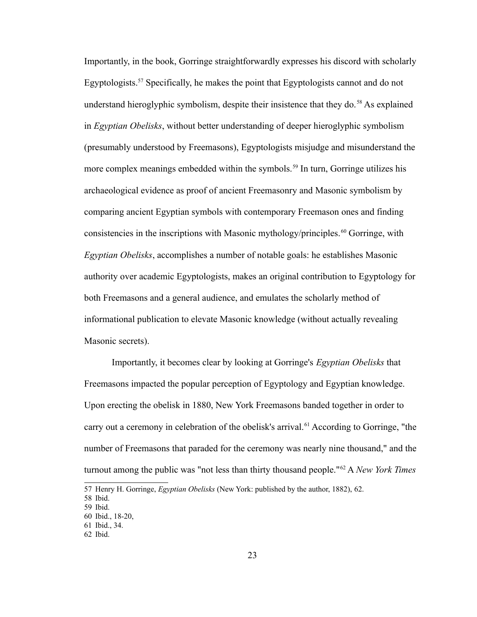Importantly, in the book, Gorringe straightforwardly expresses his discord with scholarly Egyptologists.<sup>[57](#page-27-0)</sup> Specifically, he makes the point that Egyptologists cannot and do not understand hieroglyphic symbolism, despite their insistence that they do.<sup>[58](#page-27-1)</sup> As explained in *Egyptian Obelisks*, without better understanding of deeper hieroglyphic symbolism (presumably understood by Freemasons), Egyptologists misjudge and misunderstand the more complex meanings embedded within the symbols.<sup>[59](#page-27-2)</sup> In turn, Gorringe utilizes his archaeological evidence as proof of ancient Freemasonry and Masonic symbolism by comparing ancient Egyptian symbols with contemporary Freemason ones and finding consistencies in the inscriptions with Masonic mythology/principles.<sup>[60](#page-27-3)</sup> Gorringe, with *Egyptian Obelisks*, accomplishes a number of notable goals: he establishes Masonic authority over academic Egyptologists, makes an original contribution to Egyptology for both Freemasons and a general audience, and emulates the scholarly method of informational publication to elevate Masonic knowledge (without actually revealing Masonic secrets).

Importantly, it becomes clear by looking at Gorringe's *Egyptian Obelisks* that Freemasons impacted the popular perception of Egyptology and Egyptian knowledge. Upon erecting the obelisk in 1880, New York Freemasons banded together in order to carry out a ceremony in celebration of the obelisk's arrival.<sup>[61](#page-27-4)</sup> According to Gorringe, "the number of Freemasons that paraded for the ceremony was nearly nine thousand," and the turnout among the public was "not less than thirty thousand people."[62](#page-27-5) A *New York Times*

<span id="page-27-0"></span><sup>57</sup> Henry H. Gorringe, *Egyptian Obelisks* (New York: published by the author, 1882), 62.

<span id="page-27-1"></span><sup>58</sup> Ibid.

<span id="page-27-2"></span><sup>59</sup> Ibid.

<span id="page-27-3"></span><sup>60</sup> Ibid., 18-20,

<span id="page-27-4"></span><sup>61</sup> Ibid., 34.

<span id="page-27-5"></span><sup>62</sup> Ibid.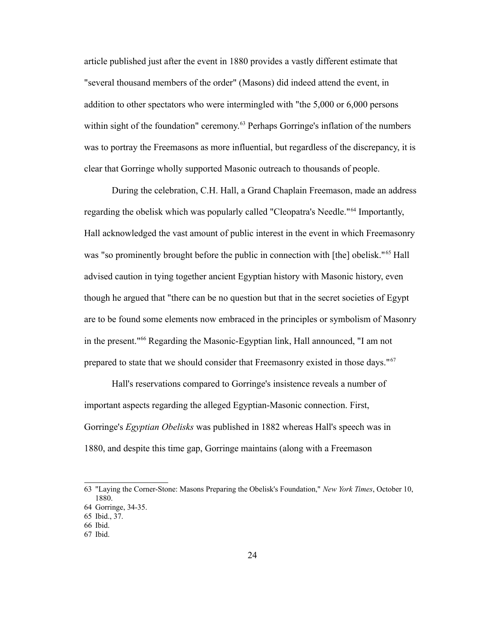article published just after the event in 1880 provides a vastly different estimate that "several thousand members of the order" (Masons) did indeed attend the event, in addition to other spectators who were intermingled with "the 5,000 or 6,000 persons within sight of the foundation" ceremony.<sup>[63](#page-28-0)</sup> Perhaps Gorringe's inflation of the numbers was to portray the Freemasons as more influential, but regardless of the discrepancy, it is clear that Gorringe wholly supported Masonic outreach to thousands of people.

During the celebration, C.H. Hall, a Grand Chaplain Freemason, made an address regarding the obelisk which was popularly called "Cleopatra's Needle."[64](#page-28-1) Importantly, Hall acknowledged the vast amount of public interest in the event in which Freemasonry was "so prominently brought before the public in connection with [the] obelisk."<sup>[65](#page-28-2)</sup> Hall advised caution in tying together ancient Egyptian history with Masonic history, even though he argued that "there can be no question but that in the secret societies of Egypt are to be found some elements now embraced in the principles or symbolism of Masonry in the present."[66](#page-28-3) Regarding the Masonic-Egyptian link, Hall announced, "I am not prepared to state that we should consider that Freemasonry existed in those days."[67](#page-28-4)

Hall's reservations compared to Gorringe's insistence reveals a number of important aspects regarding the alleged Egyptian-Masonic connection. First, Gorringe's *Egyptian Obelisks* was published in 1882 whereas Hall's speech was in 1880, and despite this time gap, Gorringe maintains (along with a Freemason

<span id="page-28-0"></span><sup>63</sup> "Laying the Corner-Stone: Masons Preparing the Obelisk's Foundation," *New York Times*, October 10, 1880.

<span id="page-28-1"></span><sup>64</sup> Gorringe, 34-35.

<span id="page-28-2"></span><sup>65</sup> Ibid., 37.

<span id="page-28-3"></span><sup>66</sup> Ibid.

<span id="page-28-4"></span><sup>67</sup> Ibid.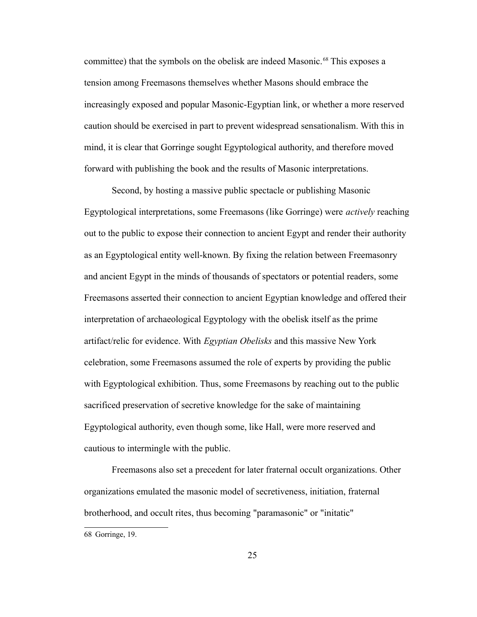committee) that the symbols on the obelisk are indeed Masonic.<sup>[68](#page-29-0)</sup> This exposes a tension among Freemasons themselves whether Masons should embrace the increasingly exposed and popular Masonic-Egyptian link, or whether a more reserved caution should be exercised in part to prevent widespread sensationalism. With this in mind, it is clear that Gorringe sought Egyptological authority, and therefore moved forward with publishing the book and the results of Masonic interpretations.

Second, by hosting a massive public spectacle or publishing Masonic Egyptological interpretations, some Freemasons (like Gorringe) were *actively* reaching out to the public to expose their connection to ancient Egypt and render their authority as an Egyptological entity well-known. By fixing the relation between Freemasonry and ancient Egypt in the minds of thousands of spectators or potential readers, some Freemasons asserted their connection to ancient Egyptian knowledge and offered their interpretation of archaeological Egyptology with the obelisk itself as the prime artifact/relic for evidence. With *Egyptian Obelisks* and this massive New York celebration, some Freemasons assumed the role of experts by providing the public with Egyptological exhibition. Thus, some Freemasons by reaching out to the public sacrificed preservation of secretive knowledge for the sake of maintaining Egyptological authority, even though some, like Hall, were more reserved and cautious to intermingle with the public.

Freemasons also set a precedent for later fraternal occult organizations. Other organizations emulated the masonic model of secretiveness, initiation, fraternal brotherhood, and occult rites, thus becoming "paramasonic" or "initatic"

<span id="page-29-0"></span>68 Gorringe, 19.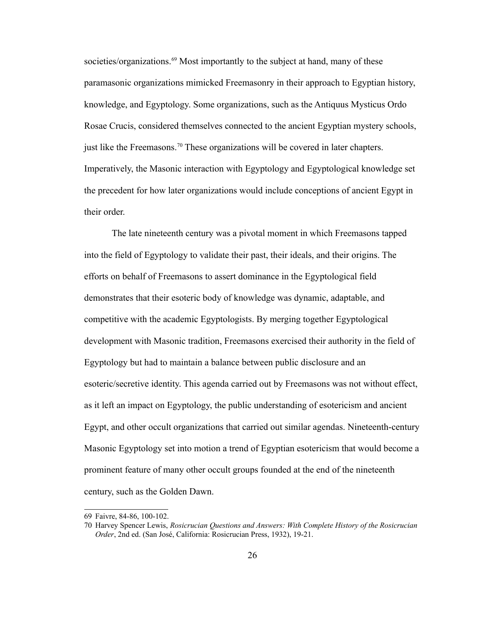societies/organizations.<sup>[69](#page-30-0)</sup> Most importantly to the subject at hand, many of these paramasonic organizations mimicked Freemasonry in their approach to Egyptian history, knowledge, and Egyptology. Some organizations, such as the Antiquus Mysticus Ordo Rosae Crucis, considered themselves connected to the ancient Egyptian mystery schools, just like the Freemasons.[70](#page-30-1) These organizations will be covered in later chapters. Imperatively, the Masonic interaction with Egyptology and Egyptological knowledge set the precedent for how later organizations would include conceptions of ancient Egypt in their order.

The late nineteenth century was a pivotal moment in which Freemasons tapped into the field of Egyptology to validate their past, their ideals, and their origins. The efforts on behalf of Freemasons to assert dominance in the Egyptological field demonstrates that their esoteric body of knowledge was dynamic, adaptable, and competitive with the academic Egyptologists. By merging together Egyptological development with Masonic tradition, Freemasons exercised their authority in the field of Egyptology but had to maintain a balance between public disclosure and an esoteric/secretive identity. This agenda carried out by Freemasons was not without effect, as it left an impact on Egyptology, the public understanding of esotericism and ancient Egypt, and other occult organizations that carried out similar agendas. Nineteenth-century Masonic Egyptology set into motion a trend of Egyptian esotericism that would become a prominent feature of many other occult groups founded at the end of the nineteenth century, such as the Golden Dawn.

<span id="page-30-0"></span><sup>69</sup> Faivre, 84-86, 100-102.

<span id="page-30-1"></span><sup>70</sup> Harvey Spencer Lewis, *Rosicrucian Questions and Answers: With Complete History of the Rosicrucian Order*, 2nd ed. (San José, California: Rosicrucian Press, 1932), 19-21.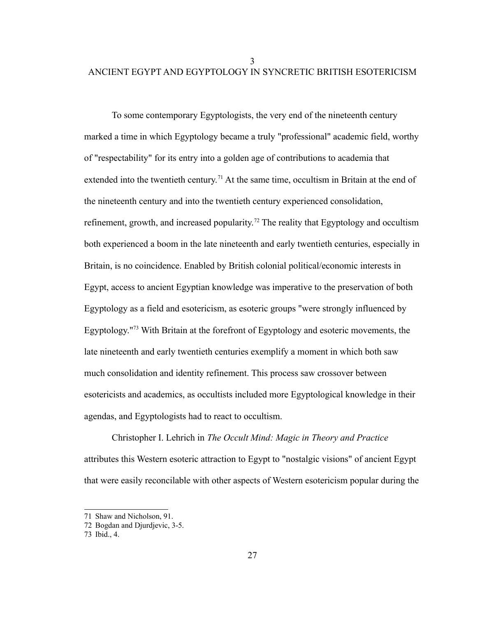3 ANCIENT EGYPT AND EGYPTOLOGY IN SYNCRETIC BRITISH ESOTERICISM

To some contemporary Egyptologists, the very end of the nineteenth century marked a time in which Egyptology became a truly "professional" academic field, worthy of "respectability" for its entry into a golden age of contributions to academia that extended into the twentieth century.<sup>[71](#page-31-0)</sup> At the same time, occultism in Britain at the end of the nineteenth century and into the twentieth century experienced consolidation, refinement, growth, and increased popularity.<sup>[72](#page-31-1)</sup> The reality that Egyptology and occultism both experienced a boom in the late nineteenth and early twentieth centuries, especially in Britain, is no coincidence. Enabled by British colonial political/economic interests in Egypt, access to ancient Egyptian knowledge was imperative to the preservation of both Egyptology as a field and esotericism, as esoteric groups "were strongly influenced by Egyptology."[73](#page-31-2) With Britain at the forefront of Egyptology and esoteric movements, the late nineteenth and early twentieth centuries exemplify a moment in which both saw much consolidation and identity refinement. This process saw crossover between esotericists and academics, as occultists included more Egyptological knowledge in their agendas, and Egyptologists had to react to occultism.

Christopher I. Lehrich in *The Occult Mind: Magic in Theory and Practice* attributes this Western esoteric attraction to Egypt to "nostalgic visions" of ancient Egypt that were easily reconcilable with other aspects of Western esotericism popular during the

<span id="page-31-0"></span><sup>71</sup> Shaw and Nicholson, 91.

<span id="page-31-1"></span><sup>72</sup> Bogdan and Djurdjevic, 3-5.

<span id="page-31-2"></span><sup>73</sup> Ibid., 4.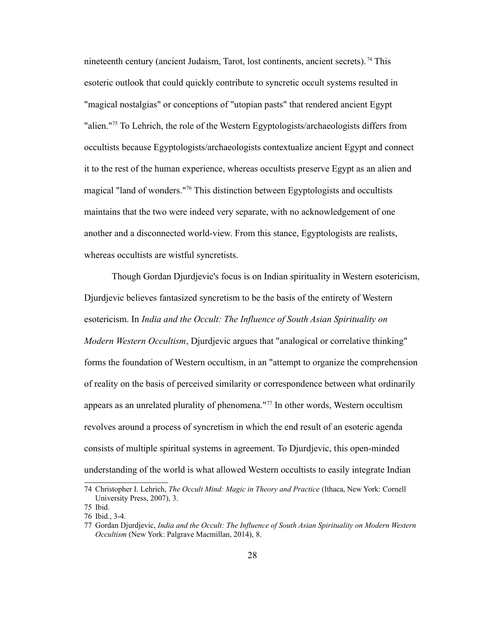nineteenth century (ancient Judaism, Tarot, lost continents, ancient secrets).<sup>[74](#page-32-0)</sup> This esoteric outlook that could quickly contribute to syncretic occult systems resulted in "magical nostalgias" or conceptions of "utopian pasts" that rendered ancient Egypt "alien."<sup>[75](#page-32-1)</sup> To Lehrich, the role of the Western Egyptologists/archaeologists differs from occultists because Egyptologists/archaeologists contextualize ancient Egypt and connect it to the rest of the human experience, whereas occultists preserve Egypt as an alien and magical "land of wonders."[76](#page-32-2) This distinction between Egyptologists and occultists maintains that the two were indeed very separate, with no acknowledgement of one another and a disconnected world-view. From this stance, Egyptologists are realists, whereas occultists are wistful syncretists.

Though Gordan Djurdjevic's focus is on Indian spirituality in Western esotericism, Djurdjevic believes fantasized syncretism to be the basis of the entirety of Western esotericism. In *India and the Occult: The Influence of South Asian Spirituality on Modern Western Occultism*, Djurdjevic argues that "analogical or correlative thinking" forms the foundation of Western occultism, in an "attempt to organize the comprehension of reality on the basis of perceived similarity or correspondence between what ordinarily appears as an unrelated plurality of phenomena."[77](#page-32-3) In other words, Western occultism revolves around a process of syncretism in which the end result of an esoteric agenda consists of multiple spiritual systems in agreement. To Djurdjevic, this open-minded understanding of the world is what allowed Western occultists to easily integrate Indian

<span id="page-32-0"></span><sup>74</sup> Christopher I. Lehrich, *The Occult Mind: Magic in Theory and Practice* (Ithaca, New York: Cornell University Press, 2007), 3.

<span id="page-32-1"></span><sup>75</sup> Ibid.

<span id="page-32-2"></span><sup>76</sup> Ibid., 3-4.

<span id="page-32-3"></span><sup>77</sup> Gordan Djurdjevic, *India and the Occult: The Influence of South Asian Spirituality on Modern Western Occultism* (New York: Palgrave Macmillan, 2014), 8.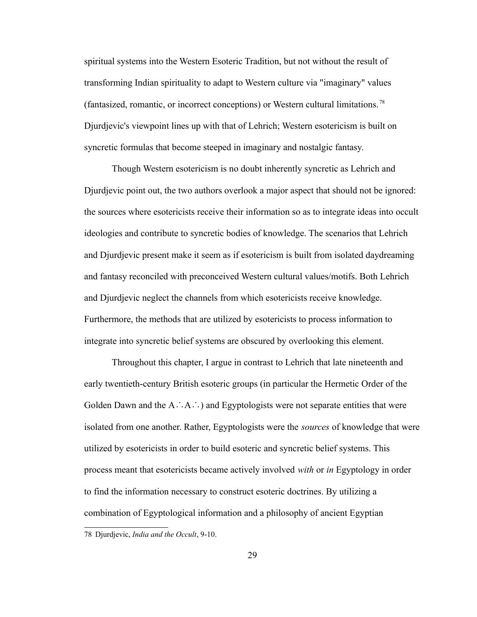spiritual systems into the Western Esoteric Tradition, but not without the result of transforming Indian spirituality to adapt to Western culture via "imaginary" values (fantasized, romantic, or incorrect conceptions) or Western cultural limitations. [78](#page-33-0) Djurdjevic's viewpoint lines up with that of Lehrich; Western esotericism is built on syncretic formulas that become steeped in imaginary and nostalgic fantasy.

Though Western esotericism is no doubt inherently syncretic as Lehrich and Djurdjevic point out, the two authors overlook a major aspect that should not be ignored: the sources where esotericists receive their information so as to integrate ideas into occult ideologies and contribute to syncretic bodies of knowledge. The scenarios that Lehrich and Djurdjevic present make it seem as if esotericism is built from isolated daydreaming and fantasy reconciled with preconceived Western cultural values/motifs. Both Lehrich and Djurdjevic neglect the channels from which esotericists receive knowledge. Furthermore, the methods that are utilized by esotericists to process information to integrate into syncretic belief systems are obscured by overlooking this element.

Throughout this chapter, I argue in contrast to Lehrich that late nineteenth and early twentieth-century British esoteric groups (in particular the Hermetic Order of the Golden Dawn and the A∴A∴) and Egyptologists were not separate entities that were isolated from one another. Rather, Egyptologists were the *sources* of knowledge that were utilized by esotericists in order to build esoteric and syncretic belief systems. This process meant that esotericists became actively involved *with* or *in* Egyptology in order to find the information necessary to construct esoteric doctrines. By utilizing a combination of Egyptological information and a philosophy of ancient Egyptian

<span id="page-33-0"></span><sup>78</sup> Djurdjevic, *India and the Occult*, 9-10.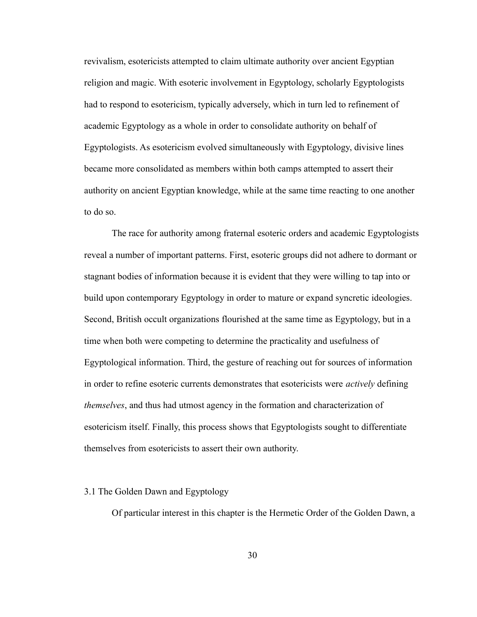revivalism, esotericists attempted to claim ultimate authority over ancient Egyptian religion and magic. With esoteric involvement in Egyptology, scholarly Egyptologists had to respond to esotericism, typically adversely, which in turn led to refinement of academic Egyptology as a whole in order to consolidate authority on behalf of Egyptologists. As esotericism evolved simultaneously with Egyptology, divisive lines became more consolidated as members within both camps attempted to assert their authority on ancient Egyptian knowledge, while at the same time reacting to one another to do so.

The race for authority among fraternal esoteric orders and academic Egyptologists reveal a number of important patterns. First, esoteric groups did not adhere to dormant or stagnant bodies of information because it is evident that they were willing to tap into or build upon contemporary Egyptology in order to mature or expand syncretic ideologies. Second, British occult organizations flourished at the same time as Egyptology, but in a time when both were competing to determine the practicality and usefulness of Egyptological information. Third, the gesture of reaching out for sources of information in order to refine esoteric currents demonstrates that esotericists were *actively* defining *themselves*, and thus had utmost agency in the formation and characterization of esotericism itself. Finally, this process shows that Egyptologists sought to differentiate themselves from esotericists to assert their own authority.

### 3.1 The Golden Dawn and Egyptology

Of particular interest in this chapter is the Hermetic Order of the Golden Dawn, a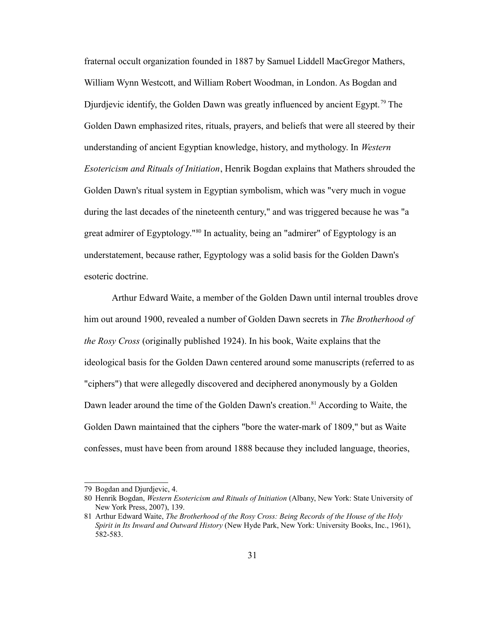fraternal occult organization founded in 1887 by Samuel Liddell MacGregor Mathers, William Wynn Westcott, and William Robert Woodman, in London. As Bogdan and Djurdjevic identify, the Golden Dawn was greatly influenced by ancient Egypt.<sup>[79](#page-35-0)</sup> The Golden Dawn emphasized rites, rituals, prayers, and beliefs that were all steered by their understanding of ancient Egyptian knowledge, history, and mythology. In *Western Esotericism and Rituals of Initiation*, Henrik Bogdan explains that Mathers shrouded the Golden Dawn's ritual system in Egyptian symbolism, which was "very much in vogue during the last decades of the nineteenth century," and was triggered because he was "a great admirer of Egyptology."[80](#page-35-1) In actuality, being an "admirer" of Egyptology is an understatement, because rather, Egyptology was a solid basis for the Golden Dawn's esoteric doctrine.

Arthur Edward Waite, a member of the Golden Dawn until internal troubles drove him out around 1900, revealed a number of Golden Dawn secrets in *The Brotherhood of the Rosy Cross* (originally published 1924). In his book, Waite explains that the ideological basis for the Golden Dawn centered around some manuscripts (referred to as "ciphers") that were allegedly discovered and deciphered anonymously by a Golden Dawn leader around the time of the Golden Dawn's creation.<sup>[81](#page-35-2)</sup> According to Waite, the Golden Dawn maintained that the ciphers "bore the water-mark of 1809," but as Waite confesses, must have been from around 1888 because they included language, theories,

<span id="page-35-0"></span><sup>79</sup> Bogdan and Djurdjevic, 4.

<span id="page-35-1"></span><sup>80</sup> Henrik Bogdan, *Western Esotericism and Rituals of Initiation* (Albany, New York: State University of New York Press, 2007), 139.

<span id="page-35-2"></span><sup>81</sup> Arthur Edward Waite, *The Brotherhood of the Rosy Cross: Being Records of the House of the Holy Spirit in Its Inward and Outward History* (New Hyde Park, New York: University Books, Inc., 1961), 582-583.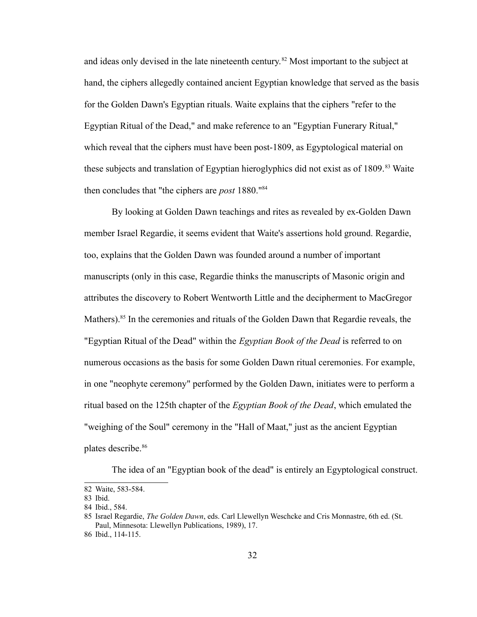and ideas only devised in the late nineteenth century.<sup>[82](#page-36-0)</sup> Most important to the subject at hand, the ciphers allegedly contained ancient Egyptian knowledge that served as the basis for the Golden Dawn's Egyptian rituals. Waite explains that the ciphers "refer to the Egyptian Ritual of the Dead," and make reference to an "Egyptian Funerary Ritual," which reveal that the ciphers must have been post-1809, as Egyptological material on these subjects and translation of Egyptian hieroglyphics did not exist as of 1809.<sup>[83](#page-36-1)</sup> Waite then concludes that "the ciphers are *post* 1880."[84](#page-36-2)

By looking at Golden Dawn teachings and rites as revealed by ex-Golden Dawn member Israel Regardie, it seems evident that Waite's assertions hold ground. Regardie, too, explains that the Golden Dawn was founded around a number of important manuscripts (only in this case, Regardie thinks the manuscripts of Masonic origin and attributes the discovery to Robert Wentworth Little and the decipherment to MacGregor Mathers).<sup>[85](#page-36-3)</sup> In the ceremonies and rituals of the Golden Dawn that Regardie reveals, the "Egyptian Ritual of the Dead" within the *Egyptian Book of the Dead* is referred to on numerous occasions as the basis for some Golden Dawn ritual ceremonies. For example, in one "neophyte ceremony" performed by the Golden Dawn, initiates were to perform a ritual based on the 125th chapter of the *Egyptian Book of the Dead*, which emulated the "weighing of the Soul" ceremony in the "Hall of Maat," just as the ancient Egyptian plates describe.<sup>[86](#page-36-4)</sup>

The idea of an "Egyptian book of the dead" is entirely an Egyptological construct.

<span id="page-36-0"></span><sup>82</sup> Waite, 583-584.

<span id="page-36-1"></span><sup>83</sup> Ibid.

<span id="page-36-2"></span><sup>84</sup> Ibid., 584.

<span id="page-36-3"></span><sup>85</sup> Israel Regardie, *The Golden Dawn*, eds. Carl Llewellyn Weschcke and Cris Monnastre, 6th ed. (St. Paul, Minnesota: Llewellyn Publications, 1989), 17.

<span id="page-36-4"></span><sup>86</sup> Ibid., 114-115.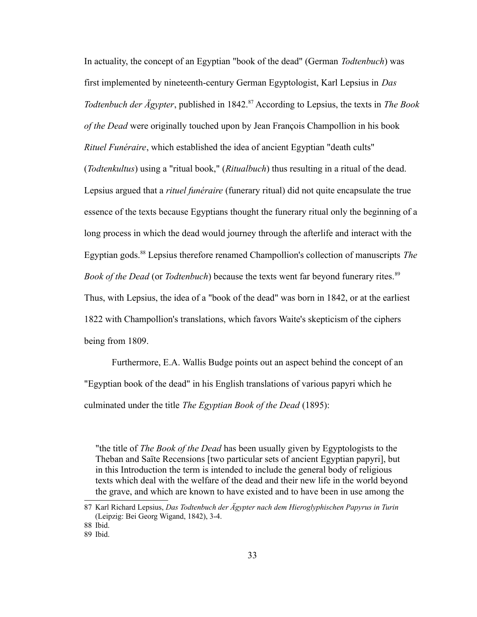In actuality, the concept of an Egyptian "book of the dead" (German *Todtenbuch*) was first implemented by nineteenth-century German Egyptologist, Karl Lepsius in *Das Todtenbuch der Ägypter*, published in 1842.<sup>[87](#page-37-0)</sup> According to Lepsius, the texts in *The Book of the Dead* were originally touched upon by Jean François Champollion in his book *Rituel Funéraire*, which established the idea of ancient Egyptian "death cults" (*Todtenkultus*) using a "ritual book," (*Ritualbuch*) thus resulting in a ritual of the dead. Lepsius argued that a *rituel funéraire* (funerary ritual) did not quite encapsulate the true essence of the texts because Egyptians thought the funerary ritual only the beginning of a long process in which the dead would journey through the afterlife and interact with the Egyptian gods.[88](#page-37-1) Lepsius therefore renamed Champollion's collection of manuscripts *The Book of the Dead* (or *Todtenbuch*) because the texts went far beyond funerary rites.<sup>[89](#page-37-2)</sup> Thus, with Lepsius, the idea of a "book of the dead" was born in 1842, or at the earliest 1822 with Champollion's translations, which favors Waite's skepticism of the ciphers being from 1809.

Furthermore, E.A. Wallis Budge points out an aspect behind the concept of an "Egyptian book of the dead" in his English translations of various papyri which he culminated under the title *The Egyptian Book of the Dead* (1895):

"the title of *The Book of the Dead* has been usually given by Egyptologists to the Theban and Saïte Recensions [two particular sets of ancient Egyptian papyri], but in this Introduction the term is intended to include the general body of religious texts which deal with the welfare of the dead and their new life in the world beyond the grave, and which are known to have existed and to have been in use among the

<span id="page-37-0"></span><sup>87</sup> Karl Richard Lepsius, *Das Todtenbuch der Ägypter nach dem Hieroglyphischen Papyrus in Turin* (Leipzig: Bei Georg Wigand, 1842), 3-4.

<span id="page-37-1"></span><sup>88</sup> Ibid.

<span id="page-37-2"></span><sup>89</sup> Ibid.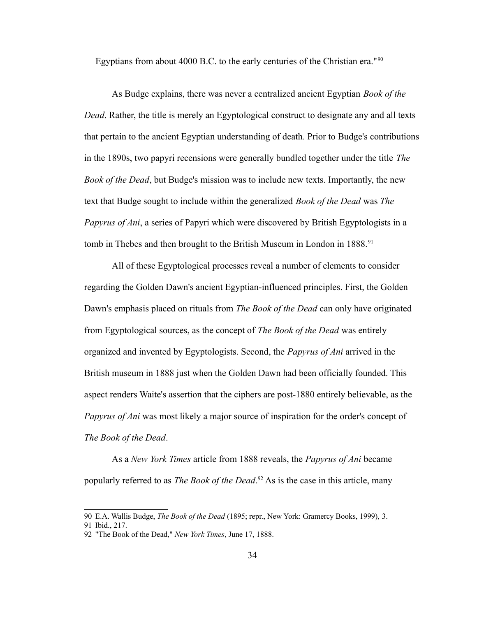Egyptians from about 4000 B.C. to the early centuries of the Christian era."<sup>[90](#page-38-0)</sup>

As Budge explains, there was never a centralized ancient Egyptian *Book of the Dead*. Rather, the title is merely an Egyptological construct to designate any and all texts that pertain to the ancient Egyptian understanding of death. Prior to Budge's contributions in the 1890s, two papyri recensions were generally bundled together under the title *The Book of the Dead*, but Budge's mission was to include new texts. Importantly, the new text that Budge sought to include within the generalized *Book of the Dead* was *The Papyrus of Ani*, a series of Papyri which were discovered by British Egyptologists in a tomb in Thebes and then brought to the British Museum in London in 1888.<sup>[91](#page-38-1)</sup>

All of these Egyptological processes reveal a number of elements to consider regarding the Golden Dawn's ancient Egyptian-influenced principles. First, the Golden Dawn's emphasis placed on rituals from *The Book of the Dead* can only have originated from Egyptological sources, as the concept of *The Book of the Dead* was entirely organized and invented by Egyptologists. Second, the *Papyrus of Ani* arrived in the British museum in 1888 just when the Golden Dawn had been officially founded. This aspect renders Waite's assertion that the ciphers are post-1880 entirely believable, as the *Papyrus of Ani* was most likely a major source of inspiration for the order's concept of *The Book of the Dead*.

As a *New York Times* article from 1888 reveals, the *Papyrus of Ani* became popularly referred to as *The Book of the Dead*. [92](#page-38-2) As is the case in this article, many

<span id="page-38-0"></span><sup>90</sup> E.A. Wallis Budge, *The Book of the Dead* (1895; repr., New York: Gramercy Books, 1999), 3.

<span id="page-38-1"></span><sup>91</sup> Ibid., 217.

<span id="page-38-2"></span><sup>92</sup> "The Book of the Dead," *New York Times*, June 17, 1888.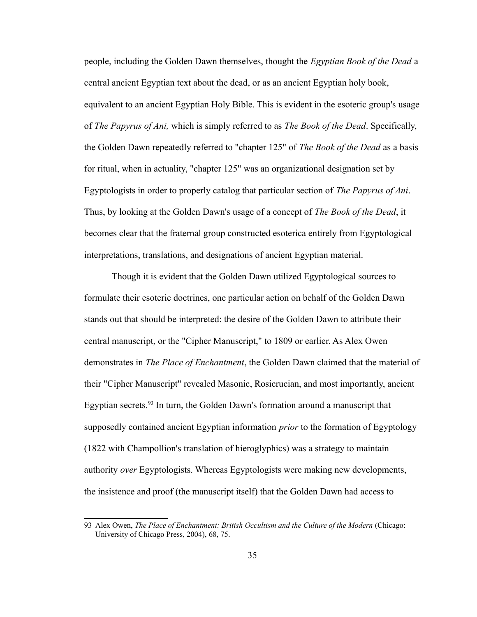people, including the Golden Dawn themselves, thought the *Egyptian Book of the Dead* a central ancient Egyptian text about the dead, or as an ancient Egyptian holy book, equivalent to an ancient Egyptian Holy Bible. This is evident in the esoteric group's usage of *The Papyrus of Ani,* which is simply referred to as *The Book of the Dead*. Specifically, the Golden Dawn repeatedly referred to "chapter 125" of *The Book of the Dead* as a basis for ritual, when in actuality, "chapter 125" was an organizational designation set by Egyptologists in order to properly catalog that particular section of *The Papyrus of Ani*. Thus, by looking at the Golden Dawn's usage of a concept of *The Book of the Dead*, it becomes clear that the fraternal group constructed esoterica entirely from Egyptological interpretations, translations, and designations of ancient Egyptian material.

Though it is evident that the Golden Dawn utilized Egyptological sources to formulate their esoteric doctrines, one particular action on behalf of the Golden Dawn stands out that should be interpreted: the desire of the Golden Dawn to attribute their central manuscript, or the "Cipher Manuscript," to 1809 or earlier. As Alex Owen demonstrates in *The Place of Enchantment*, the Golden Dawn claimed that the material of their "Cipher Manuscript" revealed Masonic, Rosicrucian, and most importantly, ancient Egyptian secrets.<sup>[93](#page-39-0)</sup> In turn, the Golden Dawn's formation around a manuscript that supposedly contained ancient Egyptian information *prior* to the formation of Egyptology (1822 with Champollion's translation of hieroglyphics) was a strategy to maintain authority *over* Egyptologists. Whereas Egyptologists were making new developments, the insistence and proof (the manuscript itself) that the Golden Dawn had access to

<span id="page-39-0"></span><sup>93</sup> Alex Owen, *The Place of Enchantment: British Occultism and the Culture of the Modern* (Chicago: University of Chicago Press, 2004), 68, 75.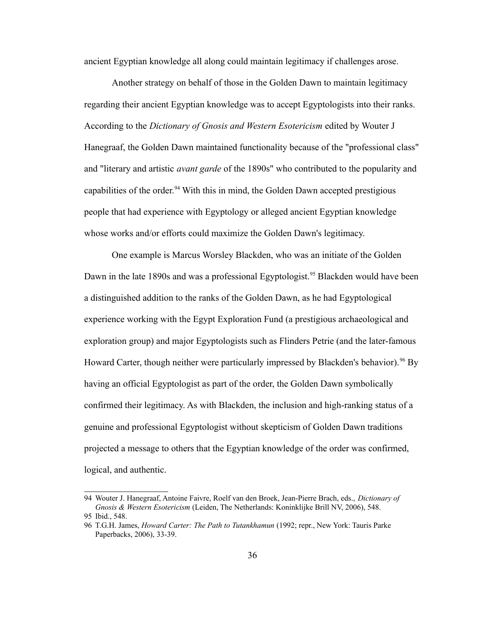ancient Egyptian knowledge all along could maintain legitimacy if challenges arose.

Another strategy on behalf of those in the Golden Dawn to maintain legitimacy regarding their ancient Egyptian knowledge was to accept Egyptologists into their ranks. According to the *Dictionary of Gnosis and Western Esotericism* edited by Wouter J Hanegraaf, the Golden Dawn maintained functionality because of the "professional class" and "literary and artistic *avant garde* of the 1890s" who contributed to the popularity and capabilities of the order.<sup>[94](#page-40-0)</sup> With this in mind, the Golden Dawn accepted prestigious people that had experience with Egyptology or alleged ancient Egyptian knowledge whose works and/or efforts could maximize the Golden Dawn's legitimacy.

One example is Marcus Worsley Blackden, who was an initiate of the Golden Dawn in the late 1890s and was a professional Egyptologist.<sup>[95](#page-40-1)</sup> Blackden would have been a distinguished addition to the ranks of the Golden Dawn, as he had Egyptological experience working with the Egypt Exploration Fund (a prestigious archaeological and exploration group) and major Egyptologists such as Flinders Petrie (and the later-famous Howard Carter, though neither were particularly impressed by Blackden's behavior).<sup>[96](#page-40-2)</sup> By having an official Egyptologist as part of the order, the Golden Dawn symbolically confirmed their legitimacy. As with Blackden, the inclusion and high-ranking status of a genuine and professional Egyptologist without skepticism of Golden Dawn traditions projected a message to others that the Egyptian knowledge of the order was confirmed, logical, and authentic.

<span id="page-40-0"></span><sup>94</sup> Wouter J. Hanegraaf, Antoine Faivre, Roelf van den Broek, Jean-Pierre Brach, eds., *Dictionary of Gnosis & Western Esotericism* (Leiden, The Netherlands: Koninklijke Brill NV, 2006), 548. 95 Ibid., 548.

<span id="page-40-2"></span><span id="page-40-1"></span><sup>96</sup> T.G.H. James, *Howard Carter: The Path to Tutankhamun* (1992; repr., New York: Tauris Parke Paperbacks, 2006), 33-39.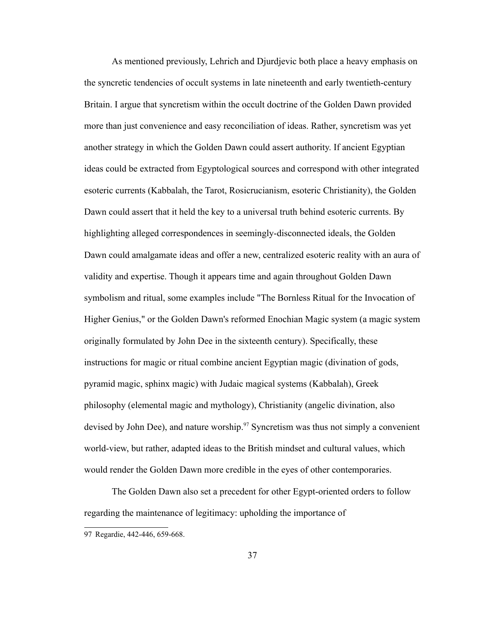As mentioned previously, Lehrich and Djurdjevic both place a heavy emphasis on the syncretic tendencies of occult systems in late nineteenth and early twentieth-century Britain. I argue that syncretism within the occult doctrine of the Golden Dawn provided more than just convenience and easy reconciliation of ideas. Rather, syncretism was yet another strategy in which the Golden Dawn could assert authority. If ancient Egyptian ideas could be extracted from Egyptological sources and correspond with other integrated esoteric currents (Kabbalah, the Tarot, Rosicrucianism, esoteric Christianity), the Golden Dawn could assert that it held the key to a universal truth behind esoteric currents. By highlighting alleged correspondences in seemingly-disconnected ideals, the Golden Dawn could amalgamate ideas and offer a new, centralized esoteric reality with an aura of validity and expertise. Though it appears time and again throughout Golden Dawn symbolism and ritual, some examples include "The Bornless Ritual for the Invocation of Higher Genius," or the Golden Dawn's reformed Enochian Magic system (a magic system originally formulated by John Dee in the sixteenth century). Specifically, these instructions for magic or ritual combine ancient Egyptian magic (divination of gods, pyramid magic, sphinx magic) with Judaic magical systems (Kabbalah), Greek philosophy (elemental magic and mythology), Christianity (angelic divination, also devised by John Dee), and nature worship.<sup>[97](#page-41-0)</sup> Syncretism was thus not simply a convenient world-view, but rather, adapted ideas to the British mindset and cultural values, which would render the Golden Dawn more credible in the eyes of other contemporaries.

The Golden Dawn also set a precedent for other Egypt-oriented orders to follow regarding the maintenance of legitimacy: upholding the importance of

<span id="page-41-0"></span><sup>97</sup> Regardie, 442-446, 659-668.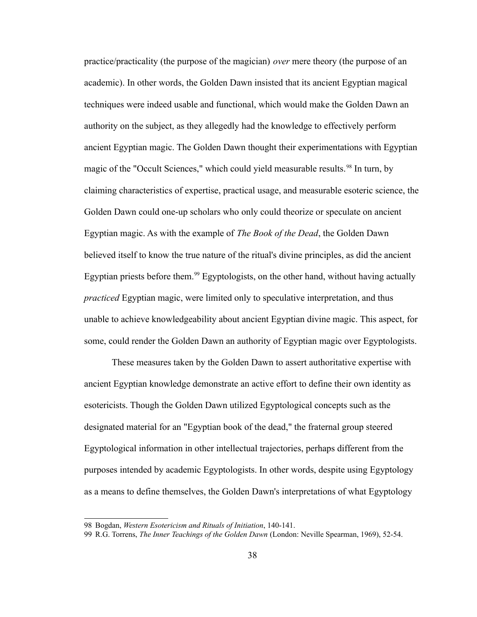practice/practicality (the purpose of the magician) *over* mere theory (the purpose of an academic). In other words, the Golden Dawn insisted that its ancient Egyptian magical techniques were indeed usable and functional, which would make the Golden Dawn an authority on the subject, as they allegedly had the knowledge to effectively perform ancient Egyptian magic. The Golden Dawn thought their experimentations with Egyptian magic of the "Occult Sciences," which could yield measurable results.<sup>[98](#page-42-0)</sup> In turn, by claiming characteristics of expertise, practical usage, and measurable esoteric science, the Golden Dawn could one-up scholars who only could theorize or speculate on ancient Egyptian magic. As with the example of *The Book of the Dead*, the Golden Dawn believed itself to know the true nature of the ritual's divine principles, as did the ancient Egyptian priests before them.<sup>[99](#page-42-1)</sup> Egyptologists, on the other hand, without having actually *practiced* Egyptian magic, were limited only to speculative interpretation, and thus unable to achieve knowledgeability about ancient Egyptian divine magic. This aspect, for some, could render the Golden Dawn an authority of Egyptian magic over Egyptologists.

These measures taken by the Golden Dawn to assert authoritative expertise with ancient Egyptian knowledge demonstrate an active effort to define their own identity as esotericists. Though the Golden Dawn utilized Egyptological concepts such as the designated material for an "Egyptian book of the dead," the fraternal group steered Egyptological information in other intellectual trajectories, perhaps different from the purposes intended by academic Egyptologists. In other words, despite using Egyptology as a means to define themselves, the Golden Dawn's interpretations of what Egyptology

<span id="page-42-0"></span><sup>98</sup> Bogdan, *Western Esotericism and Rituals of Initiation*, 140-141.

<span id="page-42-1"></span><sup>99</sup> R.G. Torrens, *The Inner Teachings of the Golden Dawn* (London: Neville Spearman, 1969), 52-54.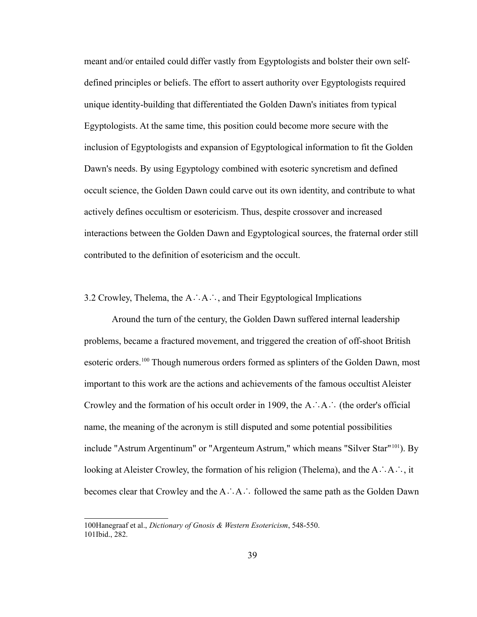meant and/or entailed could differ vastly from Egyptologists and bolster their own selfdefined principles or beliefs. The effort to assert authority over Egyptologists required unique identity-building that differentiated the Golden Dawn's initiates from typical Egyptologists. At the same time, this position could become more secure with the inclusion of Egyptologists and expansion of Egyptological information to fit the Golden Dawn's needs. By using Egyptology combined with esoteric syncretism and defined occult science, the Golden Dawn could carve out its own identity, and contribute to what actively defines occultism or esotericism. Thus, despite crossover and increased interactions between the Golden Dawn and Egyptological sources, the fraternal order still contributed to the definition of esotericism and the occult.

3.2 Crowley, Thelema, the A∴A∴, and Their Egyptological Implications

Around the turn of the century, the Golden Dawn suffered internal leadership problems, became a fractured movement, and triggered the creation of off-shoot British esoteric orders.<sup>[100](#page-43-0)</sup> Though numerous orders formed as splinters of the Golden Dawn, most important to this work are the actions and achievements of the famous occultist Aleister Crowley and the formation of his occult order in 1909, the A∴A∴ (the order's official name, the meaning of the acronym is still disputed and some potential possibilities include "Astrum Argentinum" or "Argenteum Astrum," which means "Silver Star"<sup>[101](#page-43-1)</sup>). By looking at Aleister Crowley, the formation of his religion (Thelema), and the A∴A∴, it becomes clear that Crowley and the A∴A∴ followed the same path as the Golden Dawn

<span id="page-43-1"></span><span id="page-43-0"></span><sup>100</sup>Hanegraaf et al., *Dictionary of Gnosis & Western Esotericism*, 548-550. 101Ibid., 282.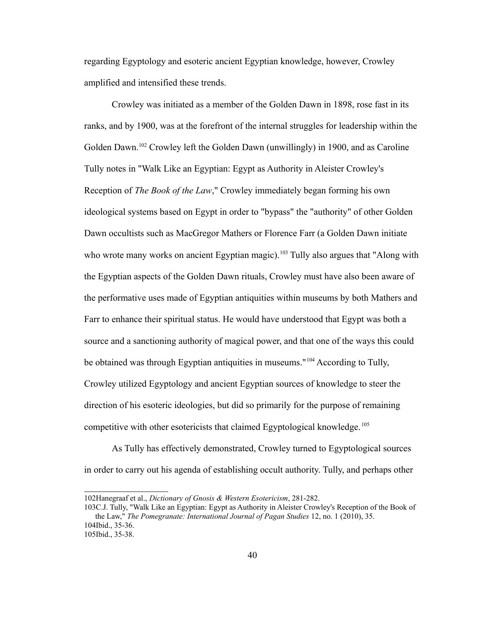regarding Egyptology and esoteric ancient Egyptian knowledge, however, Crowley amplified and intensified these trends.

Crowley was initiated as a member of the Golden Dawn in 1898, rose fast in its ranks, and by 1900, was at the forefront of the internal struggles for leadership within the Golden Dawn.[102](#page-44-0) Crowley left the Golden Dawn (unwillingly) in 1900, and as Caroline Tully notes in "Walk Like an Egyptian: Egypt as Authority in Aleister Crowley's Reception of *The Book of the Law*," Crowley immediately began forming his own ideological systems based on Egypt in order to "bypass" the "authority" of other Golden Dawn occultists such as MacGregor Mathers or Florence Farr (a Golden Dawn initiate who wrote many works on ancient Egyptian magic).<sup>[103](#page-44-1)</sup> Tully also argues that "Along with the Egyptian aspects of the Golden Dawn rituals, Crowley must have also been aware of the performative uses made of Egyptian antiquities within museums by both Mathers and Farr to enhance their spiritual status. He would have understood that Egypt was both a source and a sanctioning authority of magical power, and that one of the ways this could be obtained was through Egyptian antiquities in museums."[104](#page-44-2) According to Tully, Crowley utilized Egyptology and ancient Egyptian sources of knowledge to steer the direction of his esoteric ideologies, but did so primarily for the purpose of remaining competitive with other esotericists that claimed Egyptological knowledge.<sup>[105](#page-44-3)</sup>

As Tully has effectively demonstrated, Crowley turned to Egyptological sources in order to carry out his agenda of establishing occult authority. Tully, and perhaps other

<span id="page-44-0"></span><sup>102</sup>Hanegraaf et al., *Dictionary of Gnosis & Western Esotericism*, 281-282.

<span id="page-44-1"></span><sup>103</sup>C.J. Tully, "Walk Like an Egyptian: Egypt as Authority in Aleister Crowley's Reception of the Book of the Law," *The Pomegranate: International Journal of Pagan Studies* 12, no. 1 (2010), 35. 104Ibid., 35-36.

<span id="page-44-3"></span><span id="page-44-2"></span><sup>105</sup>Ibid., 35-38.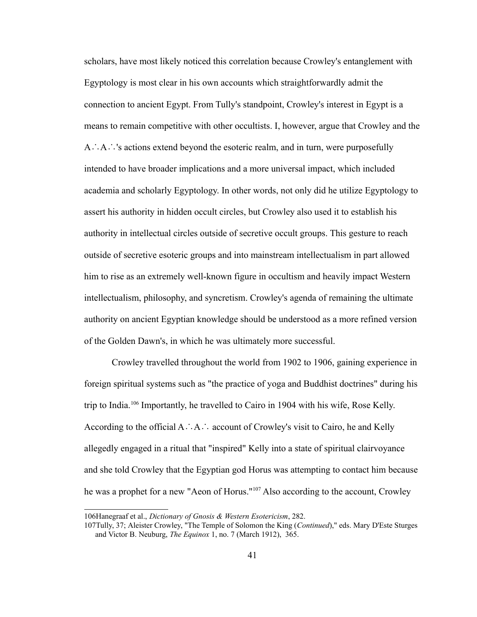scholars, have most likely noticed this correlation because Crowley's entanglement with Egyptology is most clear in his own accounts which straightforwardly admit the connection to ancient Egypt. From Tully's standpoint, Crowley's interest in Egypt is a means to remain competitive with other occultists. I, however, argue that Crowley and the A∴A∴'s actions extend beyond the esoteric realm, and in turn, were purposefully intended to have broader implications and a more universal impact, which included academia and scholarly Egyptology. In other words, not only did he utilize Egyptology to assert his authority in hidden occult circles, but Crowley also used it to establish his authority in intellectual circles outside of secretive occult groups. This gesture to reach outside of secretive esoteric groups and into mainstream intellectualism in part allowed him to rise as an extremely well-known figure in occultism and heavily impact Western intellectualism, philosophy, and syncretism. Crowley's agenda of remaining the ultimate authority on ancient Egyptian knowledge should be understood as a more refined version of the Golden Dawn's, in which he was ultimately more successful.

Crowley travelled throughout the world from 1902 to 1906, gaining experience in foreign spiritual systems such as "the practice of yoga and Buddhist doctrines" during his trip to India.[106](#page-45-0) Importantly, he travelled to Cairo in 1904 with his wife, Rose Kelly. According to the official A∴A∴ account of Crowley's visit to Cairo, he and Kelly allegedly engaged in a ritual that "inspired" Kelly into a state of spiritual clairvoyance and she told Crowley that the Egyptian god Horus was attempting to contact him because he was a prophet for a new "Aeon of Horus."[107](#page-45-1) Also according to the account, Crowley

<span id="page-45-0"></span><sup>106</sup>Hanegraaf et al., *Dictionary of Gnosis & Western Esotericism*, 282.

<span id="page-45-1"></span><sup>107</sup>Tully, 37; Aleister Crowley, "The Temple of Solomon the King (*Continued*)," eds. Mary D'Este Sturges and Victor B. Neuburg, *The Equinox* 1, no. 7 (March 1912), 365.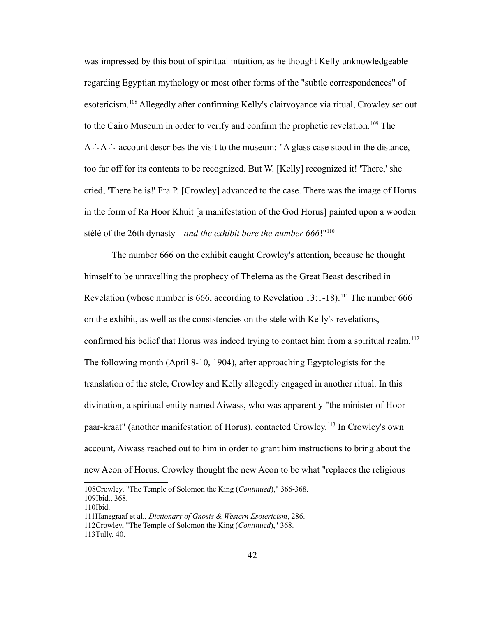was impressed by this bout of spiritual intuition, as he thought Kelly unknowledgeable regarding Egyptian mythology or most other forms of the "subtle correspondences" of esotericism.<sup>[108](#page-46-0)</sup> Allegedly after confirming Kelly's clairvoyance via ritual, Crowley set out to the Cairo Museum in order to verify and confirm the prophetic revelation.<sup>[109](#page-46-1)</sup> The A∴A∴ account describes the visit to the museum: "A glass case stood in the distance, too far off for its contents to be recognized. But W. [Kelly] recognized it! 'There,' she cried, 'There he is!' Fra P. [Crowley] advanced to the case. There was the image of Horus in the form of Ra Hoor Khuit [a manifestation of the God Horus] painted upon a wooden stélé of the 26th dynasty-- *and the exhibit bore the number 666*!"[110](#page-46-2)

The number 666 on the exhibit caught Crowley's attention, because he thought himself to be unravelling the prophecy of Thelema as the Great Beast described in Revelation (whose number is 666, according to Revelation  $13:1-18$ ).<sup>[111](#page-46-3)</sup> The number 666 on the exhibit, as well as the consistencies on the stele with Kelly's revelations, confirmed his belief that Horus was indeed trying to contact him from a spiritual realm.<sup>[112](#page-46-4)</sup> The following month (April 8-10, 1904), after approaching Egyptologists for the translation of the stele, Crowley and Kelly allegedly engaged in another ritual. In this divination, a spiritual entity named Aiwass, who was apparently "the minister of Hoorpaar-kraat" (another manifestation of Horus), contacted Crowley.[113](#page-46-5) In Crowley's own account, Aiwass reached out to him in order to grant him instructions to bring about the new Aeon of Horus. Crowley thought the new Aeon to be what "replaces the religious

<span id="page-46-2"></span>110Ibid.

<span id="page-46-1"></span><span id="page-46-0"></span><sup>108</sup>Crowley, "The Temple of Solomon the King (*Continued*)," 366-368. 109Ibid., 368.

<span id="page-46-3"></span><sup>111</sup>Hanegraaf et al., *Dictionary of Gnosis & Western Esotericism*, 286.

<span id="page-46-4"></span><sup>112</sup>Crowley, "The Temple of Solomon the King (*Continued*)," 368.

<span id="page-46-5"></span><sup>113</sup>Tully, 40.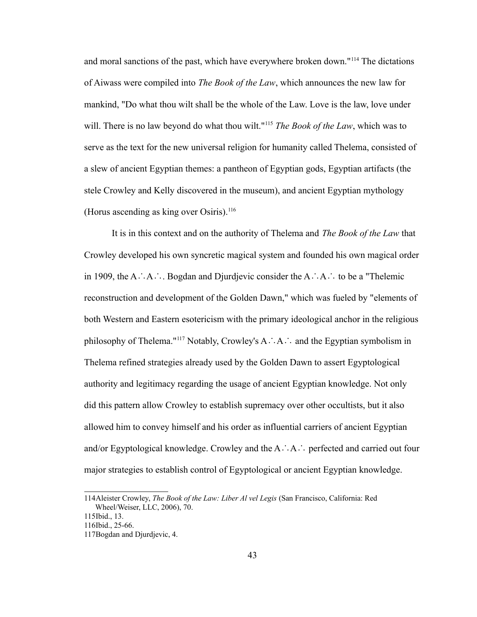and moral sanctions of the past, which have everywhere broken down."[114](#page-47-0) The dictations of Aiwass were compiled into *The Book of the Law*, which announces the new law for mankind, "Do what thou wilt shall be the whole of the Law. Love is the law, love under will. There is no law beyond do what thou wilt."<sup>[115](#page-47-1)</sup> *The Book of the Law*, which was to serve as the text for the new universal religion for humanity called Thelema, consisted of a slew of ancient Egyptian themes: a pantheon of Egyptian gods, Egyptian artifacts (the stele Crowley and Kelly discovered in the museum), and ancient Egyptian mythology (Horus ascending as king over Osiris).<sup>[116](#page-47-2)</sup>

It is in this context and on the authority of Thelema and *The Book of the Law* that Crowley developed his own syncretic magical system and founded his own magical order in 1909, the A∴A∴. Bogdan and Djurdjevic consider the A∴A∴ to be a "Thelemic reconstruction and development of the Golden Dawn," which was fueled by "elements of both Western and Eastern esotericism with the primary ideological anchor in the religious philosophy of Thelema."[117](#page-47-3) Notably, Crowley's A∴A∴ and the Egyptian symbolism in Thelema refined strategies already used by the Golden Dawn to assert Egyptological authority and legitimacy regarding the usage of ancient Egyptian knowledge. Not only did this pattern allow Crowley to establish supremacy over other occultists, but it also allowed him to convey himself and his order as influential carriers of ancient Egyptian and/or Egyptological knowledge. Crowley and the A∴A∴ perfected and carried out four major strategies to establish control of Egyptological or ancient Egyptian knowledge.

<span id="page-47-0"></span><sup>114</sup>Aleister Crowley, *The Book of the Law: Liber Al vel Legis* (San Francisco, California: Red Wheel/Weiser, LLC, 2006), 70.

<span id="page-47-1"></span><sup>115</sup>Ibid., 13.

<span id="page-47-2"></span><sup>116</sup>Ibid., 25-66.

<span id="page-47-3"></span><sup>117</sup>Bogdan and Djurdjevic, 4.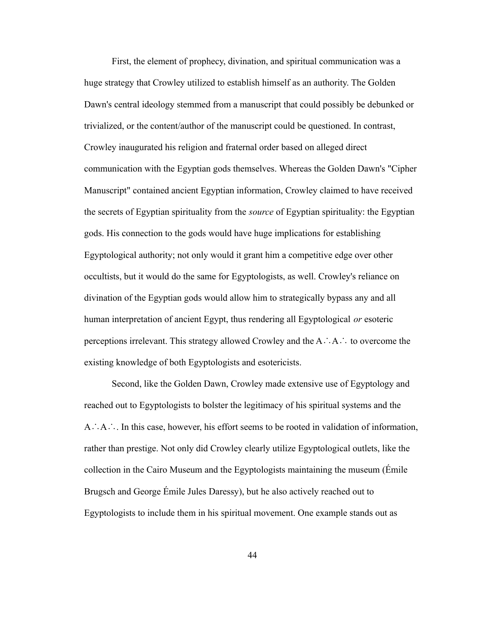First, the element of prophecy, divination, and spiritual communication was a huge strategy that Crowley utilized to establish himself as an authority. The Golden Dawn's central ideology stemmed from a manuscript that could possibly be debunked or trivialized, or the content/author of the manuscript could be questioned. In contrast, Crowley inaugurated his religion and fraternal order based on alleged direct communication with the Egyptian gods themselves. Whereas the Golden Dawn's "Cipher Manuscript" contained ancient Egyptian information, Crowley claimed to have received the secrets of Egyptian spirituality from the *source* of Egyptian spirituality: the Egyptian gods. His connection to the gods would have huge implications for establishing Egyptological authority; not only would it grant him a competitive edge over other occultists, but it would do the same for Egyptologists, as well. Crowley's reliance on divination of the Egyptian gods would allow him to strategically bypass any and all human interpretation of ancient Egypt, thus rendering all Egyptological *or* esoteric perceptions irrelevant. This strategy allowed Crowley and the A∴A∴ to overcome the existing knowledge of both Egyptologists and esotericists.

Second, like the Golden Dawn, Crowley made extensive use of Egyptology and reached out to Egyptologists to bolster the legitimacy of his spiritual systems and the A∴A∴. In this case, however, his effort seems to be rooted in validation of information, rather than prestige. Not only did Crowley clearly utilize Egyptological outlets, like the collection in the Cairo Museum and the Egyptologists maintaining the museum (Émile Brugsch and George Émile Jules Daressy), but he also actively reached out to Egyptologists to include them in his spiritual movement. One example stands out as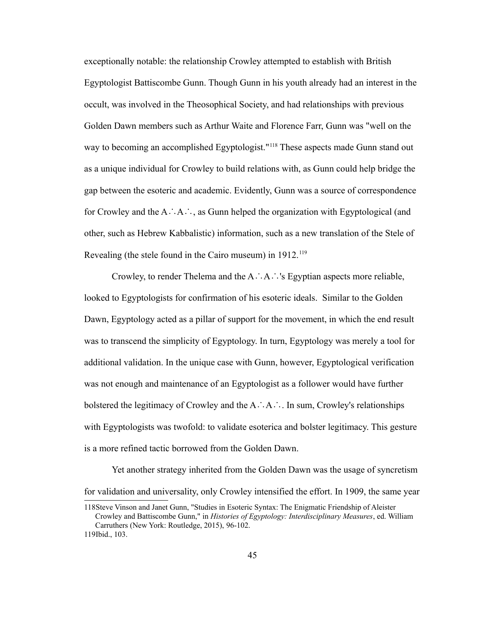exceptionally notable: the relationship Crowley attempted to establish with British Egyptologist Battiscombe Gunn. Though Gunn in his youth already had an interest in the occult, was involved in the Theosophical Society, and had relationships with previous Golden Dawn members such as Arthur Waite and Florence Farr, Gunn was "well on the way to becoming an accomplished Egyptologist."<sup>[118](#page-49-0)</sup> These aspects made Gunn stand out as a unique individual for Crowley to build relations with, as Gunn could help bridge the gap between the esoteric and academic. Evidently, Gunn was a source of correspondence for Crowley and the A∴A∴, as Gunn helped the organization with Egyptological (and other, such as Hebrew Kabbalistic) information, such as a new translation of the Stele of Revealing (the stele found in the Cairo museum) in  $1912$ <sup>[119](#page-49-1)</sup>

Crowley, to render Thelema and the A∴A∴'s Egyptian aspects more reliable, looked to Egyptologists for confirmation of his esoteric ideals. Similar to the Golden Dawn, Egyptology acted as a pillar of support for the movement, in which the end result was to transcend the simplicity of Egyptology. In turn, Egyptology was merely a tool for additional validation. In the unique case with Gunn, however, Egyptological verification was not enough and maintenance of an Egyptologist as a follower would have further bolstered the legitimacy of Crowley and the A∴A∴. In sum, Crowley's relationships with Egyptologists was twofold: to validate esoterica and bolster legitimacy. This gesture is a more refined tactic borrowed from the Golden Dawn.

Yet another strategy inherited from the Golden Dawn was the usage of syncretism for validation and universality, only Crowley intensified the effort. In 1909, the same year

<span id="page-49-1"></span><span id="page-49-0"></span><sup>118</sup>Steve Vinson and Janet Gunn, "Studies in Esoteric Syntax: The Enigmatic Friendship of Aleister Crowley and Battiscombe Gunn," in *Histories of Egyptology: Interdisciplinary Measures*, ed. William Carruthers (New York: Routledge, 2015), 96-102. 119Ibid., 103.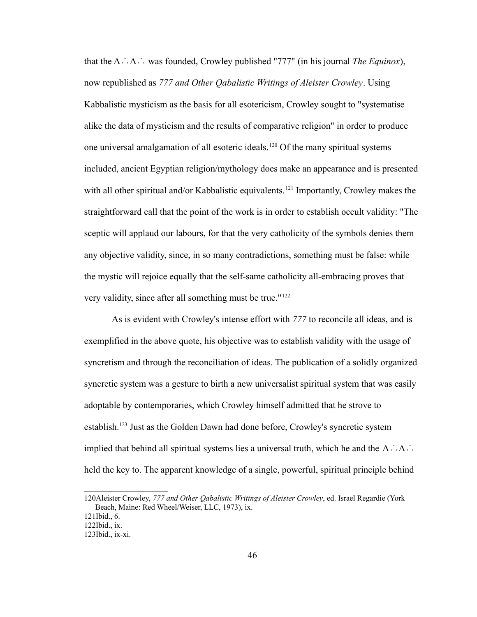that the A∴A∴ was founded, Crowley published "777" (in his journal *The Equinox*), now republished as *777 and Other Qabalistic Writings of Aleister Crowley*. Using Kabbalistic mysticism as the basis for all esotericism, Crowley sought to "systematise alike the data of mysticism and the results of comparative religion" in order to produce one universal amalgamation of all esoteric ideals.[120](#page-50-0) Of the many spiritual systems included, ancient Egyptian religion/mythology does make an appearance and is presented with all other spiritual and/or Kabbalistic equivalents.<sup>[121](#page-50-1)</sup> Importantly, Crowley makes the straightforward call that the point of the work is in order to establish occult validity: "The sceptic will applaud our labours, for that the very catholicity of the symbols denies them any objective validity, since, in so many contradictions, something must be false: while the mystic will rejoice equally that the self-same catholicity all-embracing proves that very validity, since after all something must be true."[122](#page-50-2)

As is evident with Crowley's intense effort with *777* to reconcile all ideas, and is exemplified in the above quote, his objective was to establish validity with the usage of syncretism and through the reconciliation of ideas. The publication of a solidly organized syncretic system was a gesture to birth a new universalist spiritual system that was easily adoptable by contemporaries, which Crowley himself admitted that he strove to establish.[123](#page-50-3) Just as the Golden Dawn had done before, Crowley's syncretic system implied that behind all spiritual systems lies a universal truth, which he and the  $A \cdot A$ . held the key to. The apparent knowledge of a single, powerful, spiritual principle behind

<span id="page-50-0"></span><sup>120</sup>Aleister Crowley, *777 and Other Qabalistic Writings of Aleister Crowley*, ed. Israel Regardie (York Beach, Maine: Red Wheel/Weiser, LLC, 1973), ix.

<span id="page-50-1"></span><sup>121</sup>Ibid., 6.

<span id="page-50-2"></span><sup>122</sup>Ibid., ix.

<span id="page-50-3"></span><sup>123</sup>Ibid., ix-xi.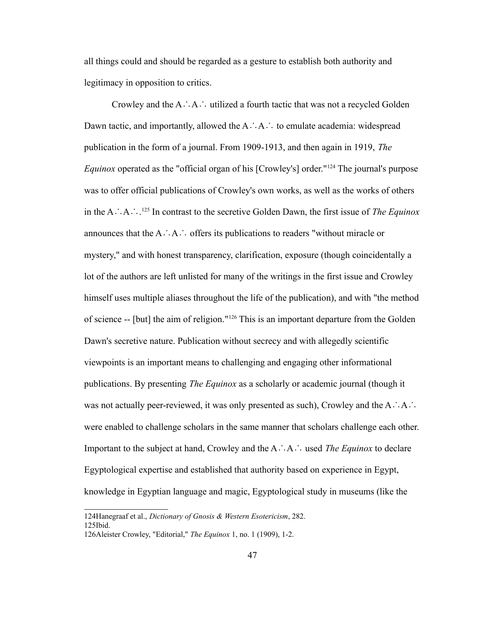all things could and should be regarded as a gesture to establish both authority and legitimacy in opposition to critics.

Crowley and the A∴A∴ utilized a fourth tactic that was not a recycled Golden Dawn tactic, and importantly, allowed the A∴A∴ to emulate academia: widespread publication in the form of a journal. From 1909-1913, and then again in 1919, *The Equinox* operated as the "official organ of his [Crowley's] order."<sup>[124](#page-51-0)</sup> The journal's purpose was to offer official publications of Crowley's own works, as well as the works of others in the A∴A∴. [125](#page-51-1) In contrast to the secretive Golden Dawn, the first issue of *The Equinox* announces that the A∴A∴ offers its publications to readers "without miracle or mystery," and with honest transparency, clarification, exposure (though coincidentally a lot of the authors are left unlisted for many of the writings in the first issue and Crowley himself uses multiple aliases throughout the life of the publication), and with "the method of science -- [but] the aim of religion."[126](#page-51-2) This is an important departure from the Golden Dawn's secretive nature. Publication without secrecy and with allegedly scientific viewpoints is an important means to challenging and engaging other informational publications. By presenting *The Equinox* as a scholarly or academic journal (though it was not actually peer-reviewed, it was only presented as such), Crowley and the A∴A∴ were enabled to challenge scholars in the same manner that scholars challenge each other. Important to the subject at hand, Crowley and the A∴A∴ used *The Equinox* to declare Egyptological expertise and established that authority based on experience in Egypt, knowledge in Egyptian language and magic, Egyptological study in museums (like the

<span id="page-51-1"></span><span id="page-51-0"></span><sup>124</sup>Hanegraaf et al., *Dictionary of Gnosis & Western Esotericism*, 282. 125Ibid.

<span id="page-51-2"></span><sup>126</sup>Aleister Crowley, "Editorial," *The Equinox* 1, no. 1 (1909), 1-2.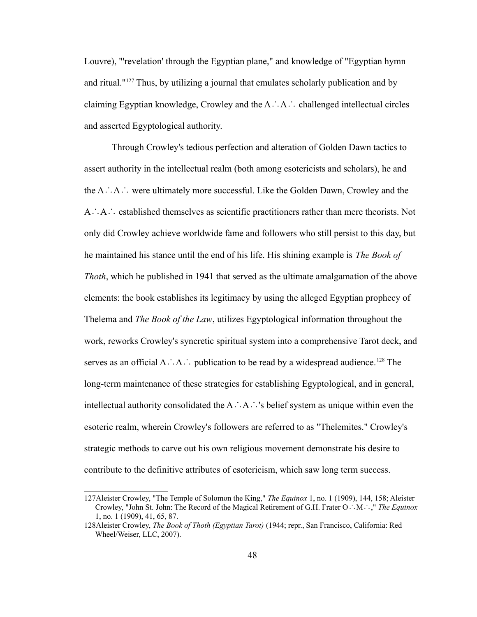Louvre), "'revelation' through the Egyptian plane," and knowledge of "Egyptian hymn and ritual."[127](#page-52-0) Thus, by utilizing a journal that emulates scholarly publication and by claiming Egyptian knowledge, Crowley and the A∴A∴ challenged intellectual circles and asserted Egyptological authority.

Through Crowley's tedious perfection and alteration of Golden Dawn tactics to assert authority in the intellectual realm (both among esotericists and scholars), he and the A∴A∴ were ultimately more successful. Like the Golden Dawn, Crowley and the A∴A∴ established themselves as scientific practitioners rather than mere theorists. Not only did Crowley achieve worldwide fame and followers who still persist to this day, but he maintained his stance until the end of his life. His shining example is *The Book of Thoth*, which he published in 1941 that served as the ultimate amalgamation of the above elements: the book establishes its legitimacy by using the alleged Egyptian prophecy of Thelema and *The Book of the Law*, utilizes Egyptological information throughout the work, reworks Crowley's syncretic spiritual system into a comprehensive Tarot deck, and serves as an official A∴A∴ publication to be read by a widespread audience.<sup>[128](#page-52-1)</sup> The long-term maintenance of these strategies for establishing Egyptological, and in general, intellectual authority consolidated the A∴A∴'s belief system as unique within even the esoteric realm, wherein Crowley's followers are referred to as "Thelemites." Crowley's strategic methods to carve out his own religious movement demonstrate his desire to contribute to the definitive attributes of esotericism, which saw long term success.

<span id="page-52-0"></span><sup>127</sup>Aleister Crowley, "The Temple of Solomon the King," *The Equinox* 1, no. 1 (1909), 144, 158; Aleister Crowley, "John St. John: The Record of the Magical Retirement of G.H. Frater O∴M∴," *The Equinox* 1, no. 1 (1909), 41, 65, 87.

<span id="page-52-1"></span><sup>128</sup>Aleister Crowley, *The Book of Thoth (Egyptian Tarot)* (1944; repr., San Francisco, California: Red Wheel/Weiser, LLC, 2007).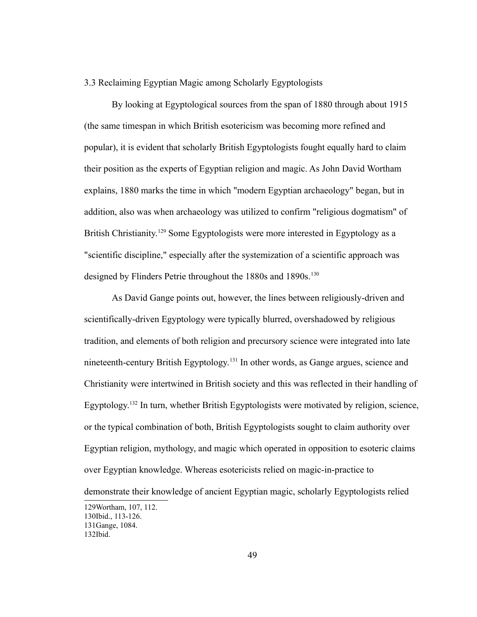## 3.3 Reclaiming Egyptian Magic among Scholarly Egyptologists

By looking at Egyptological sources from the span of 1880 through about 1915 (the same timespan in which British esotericism was becoming more refined and popular), it is evident that scholarly British Egyptologists fought equally hard to claim their position as the experts of Egyptian religion and magic. As John David Wortham explains, 1880 marks the time in which "modern Egyptian archaeology" began, but in addition, also was when archaeology was utilized to confirm "religious dogmatism" of British Christianity.<sup>[129](#page-53-0)</sup> Some Egyptologists were more interested in Egyptology as a "scientific discipline," especially after the systemization of a scientific approach was designed by Flinders Petrie throughout the 1880s and 1890s.<sup>[130](#page-53-1)</sup>

As David Gange points out, however, the lines between religiously-driven and scientifically-driven Egyptology were typically blurred, overshadowed by religious tradition, and elements of both religion and precursory science were integrated into late nineteenth-century British Egyptology.[131](#page-53-2) In other words, as Gange argues, science and Christianity were intertwined in British society and this was reflected in their handling of Egyptology.<sup>[132](#page-53-3)</sup> In turn, whether British Egyptologists were motivated by religion, science, or the typical combination of both, British Egyptologists sought to claim authority over Egyptian religion, mythology, and magic which operated in opposition to esoteric claims over Egyptian knowledge. Whereas esotericists relied on magic-in-practice to

demonstrate their knowledge of ancient Egyptian magic, scholarly Egyptologists relied

<span id="page-53-3"></span><span id="page-53-2"></span><span id="page-53-1"></span><span id="page-53-0"></span><sup>129</sup>Wortham, 107, 112. 130Ibid., 113-126. 131Gange, 1084. 132Ibid.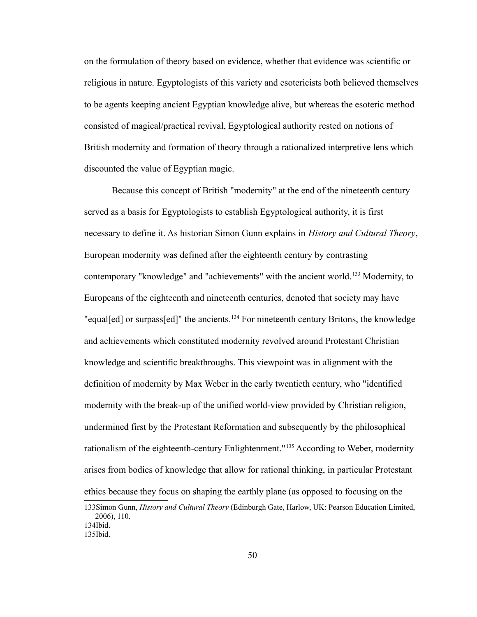on the formulation of theory based on evidence, whether that evidence was scientific or religious in nature. Egyptologists of this variety and esotericists both believed themselves to be agents keeping ancient Egyptian knowledge alive, but whereas the esoteric method consisted of magical/practical revival, Egyptological authority rested on notions of British modernity and formation of theory through a rationalized interpretive lens which discounted the value of Egyptian magic.

Because this concept of British "modernity" at the end of the nineteenth century served as a basis for Egyptologists to establish Egyptological authority, it is first necessary to define it. As historian Simon Gunn explains in *History and Cultural Theory*, European modernity was defined after the eighteenth century by contrasting contemporary "knowledge" and "achievements" with the ancient world.<sup>[133](#page-54-0)</sup> Modernity, to Europeans of the eighteenth and nineteenth centuries, denoted that society may have "equal[ed] or surpass[ed]" the ancients.<sup>[134](#page-54-1)</sup> For nineteenth century Britons, the knowledge and achievements which constituted modernity revolved around Protestant Christian knowledge and scientific breakthroughs. This viewpoint was in alignment with the definition of modernity by Max Weber in the early twentieth century, who "identified modernity with the break-up of the unified world-view provided by Christian religion, undermined first by the Protestant Reformation and subsequently by the philosophical rationalism of the eighteenth-century Enlightenment."[135](#page-54-2) According to Weber, modernity arises from bodies of knowledge that allow for rational thinking, in particular Protestant ethics because they focus on shaping the earthly plane (as opposed to focusing on the

<span id="page-54-0"></span><sup>133</sup>Simon Gunn, *History and Cultural Theory* (Edinburgh Gate, Harlow, UK: Pearson Education Limited, 2006), 110. 134Ibid.

<span id="page-54-2"></span><span id="page-54-1"></span><sup>135</sup>Ibid.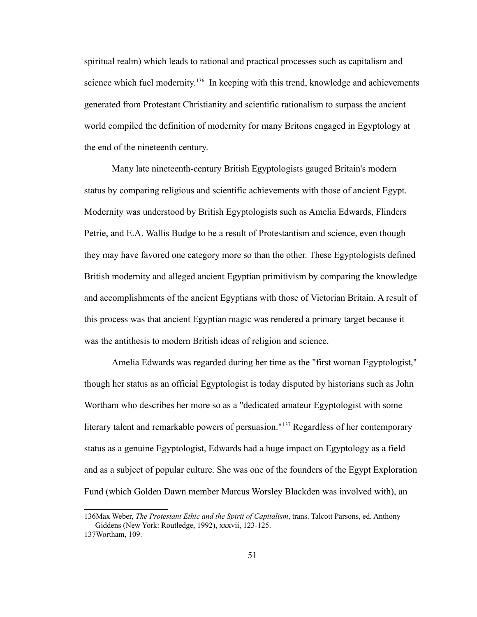spiritual realm) which leads to rational and practical processes such as capitalism and science which fuel modernity.<sup>[136](#page-55-0)</sup> In keeping with this trend, knowledge and achievements generated from Protestant Christianity and scientific rationalism to surpass the ancient world compiled the definition of modernity for many Britons engaged in Egyptology at the end of the nineteenth century.

Many late nineteenth-century British Egyptologists gauged Britain's modern status by comparing religious and scientific achievements with those of ancient Egypt. Modernity was understood by British Egyptologists such as Amelia Edwards, Flinders Petrie, and E.A. Wallis Budge to be a result of Protestantism and science, even though they may have favored one category more so than the other. These Egyptologists defined British modernity and alleged ancient Egyptian primitivism by comparing the knowledge and accomplishments of the ancient Egyptians with those of Victorian Britain. A result of this process was that ancient Egyptian magic was rendered a primary target because it was the antithesis to modern British ideas of religion and science.

Amelia Edwards was regarded during her time as the "first woman Egyptologist," though her status as an official Egyptologist is today disputed by historians such as John Wortham who describes her more so as a "dedicated amateur Egyptologist with some literary talent and remarkable powers of persuasion."<sup>[137](#page-55-1)</sup> Regardless of her contemporary status as a genuine Egyptologist, Edwards had a huge impact on Egyptology as a field and as a subject of popular culture. She was one of the founders of the Egypt Exploration Fund (which Golden Dawn member Marcus Worsley Blackden was involved with), an

<span id="page-55-0"></span><sup>136</sup>Max Weber, *The Protestant Ethic and the Spirit of Capitalism*, trans. Talcott Parsons, ed. Anthony Giddens (New York: Routledge, 1992), xxxvii, 123-125.

<span id="page-55-1"></span><sup>137</sup>Wortham, 109.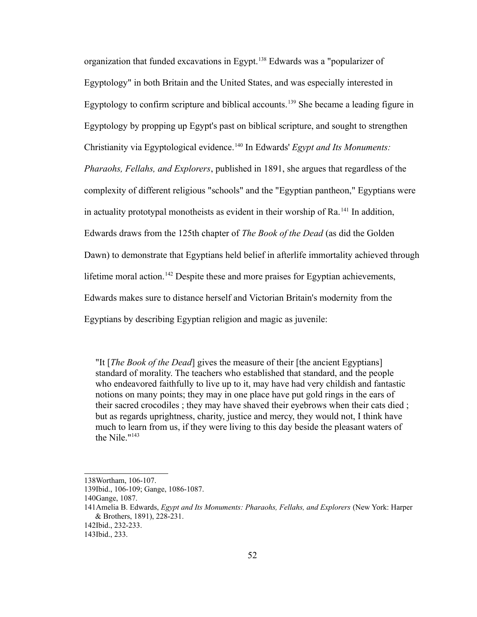organization that funded excavations in Egypt.[138](#page-56-0) Edwards was a "popularizer of Egyptology" in both Britain and the United States, and was especially interested in Egyptology to confirm scripture and biblical accounts.<sup>[139](#page-56-1)</sup> She became a leading figure in Egyptology by propping up Egypt's past on biblical scripture, and sought to strengthen Christianity via Egyptological evidence.[140](#page-56-2) In Edwards' *Egypt and Its Monuments: Pharaohs, Fellahs, and Explorers*, published in 1891, she argues that regardless of the complexity of different religious "schools" and the "Egyptian pantheon," Egyptians were in actuality prototypal monotheists as evident in their worship of  $Ra$ <sup>[141](#page-56-3)</sup> In addition, Edwards draws from the 125th chapter of *The Book of the Dead* (as did the Golden Dawn) to demonstrate that Egyptians held belief in afterlife immortality achieved through lifetime moral action.<sup>[142](#page-56-4)</sup> Despite these and more praises for Egyptian achievements, Edwards makes sure to distance herself and Victorian Britain's modernity from the Egyptians by describing Egyptian religion and magic as juvenile:

"It [*The Book of the Dead*] gives the measure of their [the ancient Egyptians] standard of morality. The teachers who established that standard, and the people who endeavored faithfully to live up to it, may have had very childish and fantastic notions on many points; they may in one place have put gold rings in the ears of their sacred crocodiles ; they may have shaved their eyebrows when their cats died ; but as regards uprightness, charity, justice and mercy, they would not, I think have much to learn from us, if they were living to this day beside the pleasant waters of the Nile."[143](#page-56-5)

<span id="page-56-0"></span><sup>138</sup>Wortham, 106-107.

<span id="page-56-1"></span><sup>139</sup>Ibid., 106-109; Gange, 1086-1087.

<span id="page-56-2"></span><sup>140</sup>Gange, 1087.

<span id="page-56-3"></span><sup>141</sup>Amelia B. Edwards, *Egypt and Its Monuments: Pharaohs, Fellahs, and Explorers* (New York: Harper & Brothers, 1891), 228-231.

<span id="page-56-4"></span><sup>142</sup>Ibid., 232-233.

<span id="page-56-5"></span><sup>143</sup>Ibid., 233.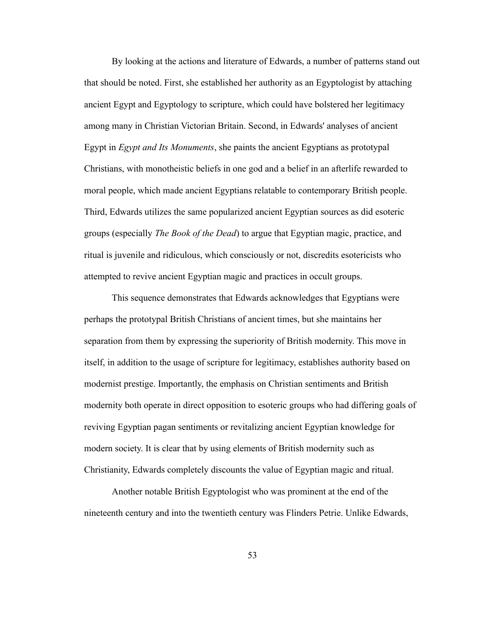By looking at the actions and literature of Edwards, a number of patterns stand out that should be noted. First, she established her authority as an Egyptologist by attaching ancient Egypt and Egyptology to scripture, which could have bolstered her legitimacy among many in Christian Victorian Britain. Second, in Edwards' analyses of ancient Egypt in *Egypt and Its Monuments*, she paints the ancient Egyptians as prototypal Christians, with monotheistic beliefs in one god and a belief in an afterlife rewarded to moral people, which made ancient Egyptians relatable to contemporary British people. Third, Edwards utilizes the same popularized ancient Egyptian sources as did esoteric groups (especially *The Book of the Dead*) to argue that Egyptian magic, practice, and ritual is juvenile and ridiculous, which consciously or not, discredits esotericists who attempted to revive ancient Egyptian magic and practices in occult groups.

This sequence demonstrates that Edwards acknowledges that Egyptians were perhaps the prototypal British Christians of ancient times, but she maintains her separation from them by expressing the superiority of British modernity. This move in itself, in addition to the usage of scripture for legitimacy, establishes authority based on modernist prestige. Importantly, the emphasis on Christian sentiments and British modernity both operate in direct opposition to esoteric groups who had differing goals of reviving Egyptian pagan sentiments or revitalizing ancient Egyptian knowledge for modern society. It is clear that by using elements of British modernity such as Christianity, Edwards completely discounts the value of Egyptian magic and ritual.

Another notable British Egyptologist who was prominent at the end of the nineteenth century and into the twentieth century was Flinders Petrie. Unlike Edwards,

53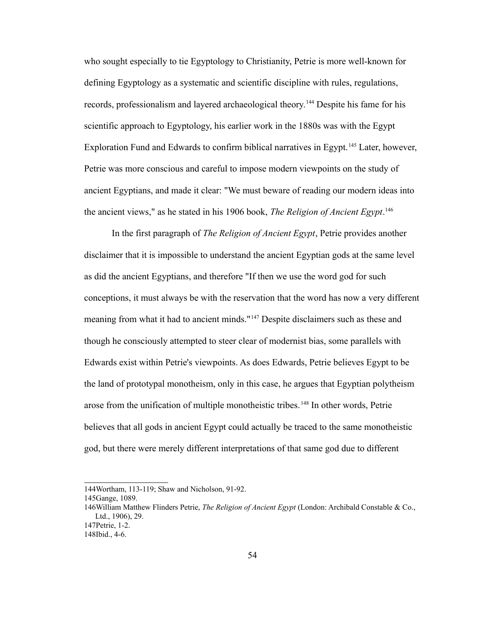who sought especially to tie Egyptology to Christianity, Petrie is more well-known for defining Egyptology as a systematic and scientific discipline with rules, regulations, records, professionalism and layered archaeological theory.[144](#page-58-0) Despite his fame for his scientific approach to Egyptology, his earlier work in the 1880s was with the Egypt Exploration Fund and Edwards to confirm biblical narratives in Egypt.<sup>[145](#page-58-1)</sup> Later, however, Petrie was more conscious and careful to impose modern viewpoints on the study of ancient Egyptians, and made it clear: "We must beware of reading our modern ideas into the ancient views," as he stated in his 1906 book, *The Religion of Ancient Egypt*. [146](#page-58-2)

In the first paragraph of *The Religion of Ancient Egypt*, Petrie provides another disclaimer that it is impossible to understand the ancient Egyptian gods at the same level as did the ancient Egyptians, and therefore "If then we use the word god for such conceptions, it must always be with the reservation that the word has now a very different meaning from what it had to ancient minds."[147](#page-58-3) Despite disclaimers such as these and though he consciously attempted to steer clear of modernist bias, some parallels with Edwards exist within Petrie's viewpoints. As does Edwards, Petrie believes Egypt to be the land of prototypal monotheism, only in this case, he argues that Egyptian polytheism arose from the unification of multiple monotheistic tribes.<sup>[148](#page-58-4)</sup> In other words, Petrie believes that all gods in ancient Egypt could actually be traced to the same monotheistic god, but there were merely different interpretations of that same god due to different

<span id="page-58-0"></span><sup>144</sup>Wortham, 113-119; Shaw and Nicholson, 91-92.

<span id="page-58-1"></span><sup>145</sup>Gange, 1089.

<span id="page-58-2"></span><sup>146</sup>William Matthew Flinders Petrie, *The Religion of Ancient Egypt* (London: Archibald Constable & Co., Ltd., 1906), 29.

<span id="page-58-3"></span><sup>147</sup>Petrie, 1-2.

<span id="page-58-4"></span><sup>148</sup>Ibid., 4-6.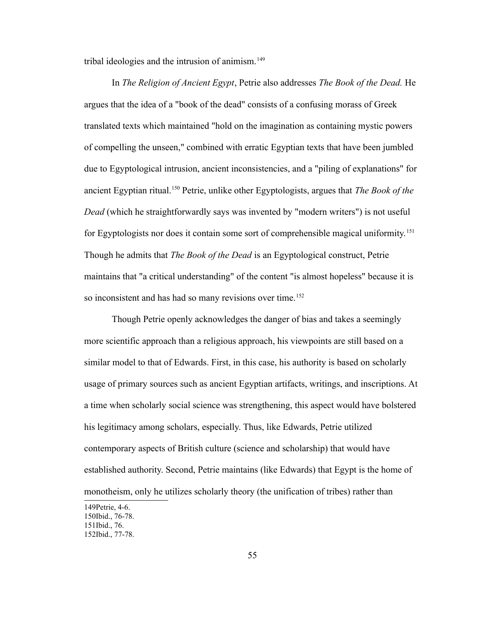tribal ideologies and the intrusion of animism.<sup>[149](#page-59-0)</sup>

In *The Religion of Ancient Egypt*, Petrie also addresses *The Book of the Dead.* He argues that the idea of a "book of the dead" consists of a confusing morass of Greek translated texts which maintained "hold on the imagination as containing mystic powers of compelling the unseen," combined with erratic Egyptian texts that have been jumbled due to Egyptological intrusion, ancient inconsistencies, and a "piling of explanations" for ancient Egyptian ritual.[150](#page-59-1) Petrie, unlike other Egyptologists, argues that *The Book of the Dead* (which he straightforwardly says was invented by "modern writers") is not useful for Egyptologists nor does it contain some sort of comprehensible magical uniformity.<sup>[151](#page-59-2)</sup> Though he admits that *The Book of the Dead* is an Egyptological construct, Petrie maintains that "a critical understanding" of the content "is almost hopeless" because it is so inconsistent and has had so many revisions over time.<sup>[152](#page-59-3)</sup>

Though Petrie openly acknowledges the danger of bias and takes a seemingly more scientific approach than a religious approach, his viewpoints are still based on a similar model to that of Edwards. First, in this case, his authority is based on scholarly usage of primary sources such as ancient Egyptian artifacts, writings, and inscriptions. At a time when scholarly social science was strengthening, this aspect would have bolstered his legitimacy among scholars, especially. Thus, like Edwards, Petrie utilized contemporary aspects of British culture (science and scholarship) that would have established authority. Second, Petrie maintains (like Edwards) that Egypt is the home of monotheism, only he utilizes scholarly theory (the unification of tribes) rather than

<span id="page-59-3"></span><span id="page-59-2"></span><span id="page-59-1"></span><span id="page-59-0"></span><sup>149</sup>Petrie, 4-6. 150Ibid., 76-78. 151Ibid., 76. 152Ibid., 77-78.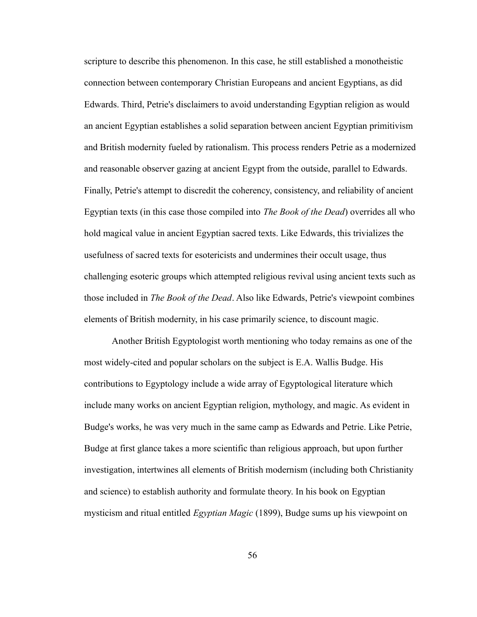scripture to describe this phenomenon. In this case, he still established a monotheistic connection between contemporary Christian Europeans and ancient Egyptians, as did Edwards. Third, Petrie's disclaimers to avoid understanding Egyptian religion as would an ancient Egyptian establishes a solid separation between ancient Egyptian primitivism and British modernity fueled by rationalism. This process renders Petrie as a modernized and reasonable observer gazing at ancient Egypt from the outside, parallel to Edwards. Finally, Petrie's attempt to discredit the coherency, consistency, and reliability of ancient Egyptian texts (in this case those compiled into *The Book of the Dead*) overrides all who hold magical value in ancient Egyptian sacred texts. Like Edwards, this trivializes the usefulness of sacred texts for esotericists and undermines their occult usage, thus challenging esoteric groups which attempted religious revival using ancient texts such as those included in *The Book of the Dead*. Also like Edwards, Petrie's viewpoint combines elements of British modernity, in his case primarily science, to discount magic.

Another British Egyptologist worth mentioning who today remains as one of the most widely-cited and popular scholars on the subject is E.A. Wallis Budge. His contributions to Egyptology include a wide array of Egyptological literature which include many works on ancient Egyptian religion, mythology, and magic. As evident in Budge's works, he was very much in the same camp as Edwards and Petrie. Like Petrie, Budge at first glance takes a more scientific than religious approach, but upon further investigation, intertwines all elements of British modernism (including both Christianity and science) to establish authority and formulate theory. In his book on Egyptian mysticism and ritual entitled *Egyptian Magic* (1899), Budge sums up his viewpoint on

56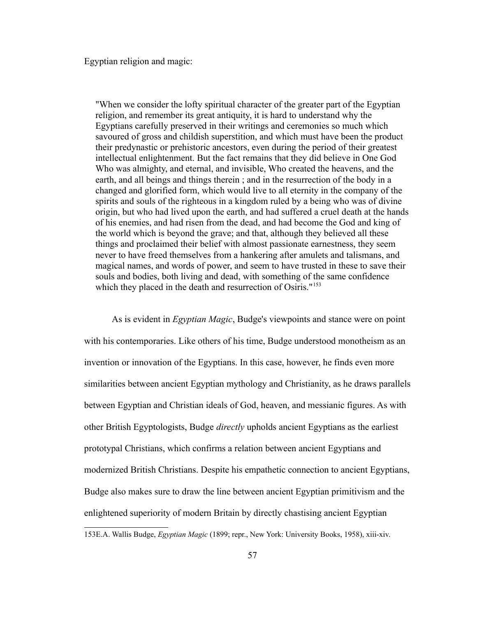Egyptian religion and magic:

"When we consider the lofty spiritual character of the greater part of the Egyptian religion, and remember its great antiquity, it is hard to understand why the Egyptians carefully preserved in their writings and ceremonies so much which savoured of gross and childish superstition, and which must have been the product their predynastic or prehistoric ancestors, even during the period of their greatest intellectual enlightenment. But the fact remains that they did believe in One God Who was almighty, and eternal, and invisible, Who created the heavens, and the earth, and all beings and things therein ; and in the resurrection of the body in a changed and glorified form, which would live to all eternity in the company of the spirits and souls of the righteous in a kingdom ruled by a being who was of divine origin, but who had lived upon the earth, and had suffered a cruel death at the hands of his enemies, and had risen from the dead, and had become the God and king of the world which is beyond the grave; and that, although they believed all these things and proclaimed their belief with almost passionate earnestness, they seem never to have freed themselves from a hankering after amulets and talismans, and magical names, and words of power, and seem to have trusted in these to save their souls and bodies, both living and dead, with something of the same confidence which they placed in the death and resurrection of Osiris."<sup>[153](#page-61-0)</sup>

As is evident in *Egyptian Magic*, Budge's viewpoints and stance were on point with his contemporaries. Like others of his time, Budge understood monotheism as an invention or innovation of the Egyptians. In this case, however, he finds even more similarities between ancient Egyptian mythology and Christianity, as he draws parallels between Egyptian and Christian ideals of God, heaven, and messianic figures. As with other British Egyptologists, Budge *directly* upholds ancient Egyptians as the earliest prototypal Christians, which confirms a relation between ancient Egyptians and modernized British Christians. Despite his empathetic connection to ancient Egyptians, Budge also makes sure to draw the line between ancient Egyptian primitivism and the enlightened superiority of modern Britain by directly chastising ancient Egyptian

<span id="page-61-0"></span><sup>153</sup>E.A. Wallis Budge, *Egyptian Magic* (1899; repr., New York: University Books, 1958), xiii-xiv.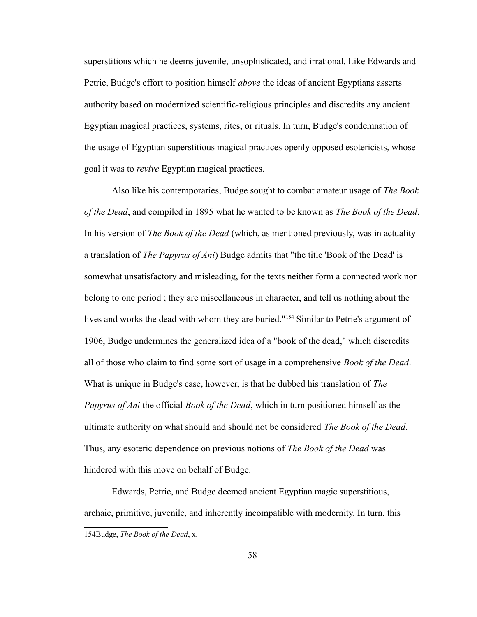superstitions which he deems juvenile, unsophisticated, and irrational. Like Edwards and Petrie, Budge's effort to position himself *above* the ideas of ancient Egyptians asserts authority based on modernized scientific-religious principles and discredits any ancient Egyptian magical practices, systems, rites, or rituals. In turn, Budge's condemnation of the usage of Egyptian superstitious magical practices openly opposed esotericists, whose goal it was to *revive* Egyptian magical practices.

Also like his contemporaries, Budge sought to combat amateur usage of *The Book of the Dead*, and compiled in 1895 what he wanted to be known as *The Book of the Dead*. In his version of *The Book of the Dead* (which, as mentioned previously, was in actuality a translation of *The Papyrus of Ani*) Budge admits that "the title 'Book of the Dead' is somewhat unsatisfactory and misleading, for the texts neither form a connected work nor belong to one period ; they are miscellaneous in character, and tell us nothing about the lives and works the dead with whom they are buried."[154](#page-62-0) Similar to Petrie's argument of 1906, Budge undermines the generalized idea of a "book of the dead," which discredits all of those who claim to find some sort of usage in a comprehensive *Book of the Dead*. What is unique in Budge's case, however, is that he dubbed his translation of *The Papyrus of Ani* the official *Book of the Dead*, which in turn positioned himself as the ultimate authority on what should and should not be considered *The Book of the Dead*. Thus, any esoteric dependence on previous notions of *The Book of the Dead* was hindered with this move on behalf of Budge.

<span id="page-62-0"></span>Edwards, Petrie, and Budge deemed ancient Egyptian magic superstitious, archaic, primitive, juvenile, and inherently incompatible with modernity. In turn, this 154Budge, *The Book of the Dead*, x.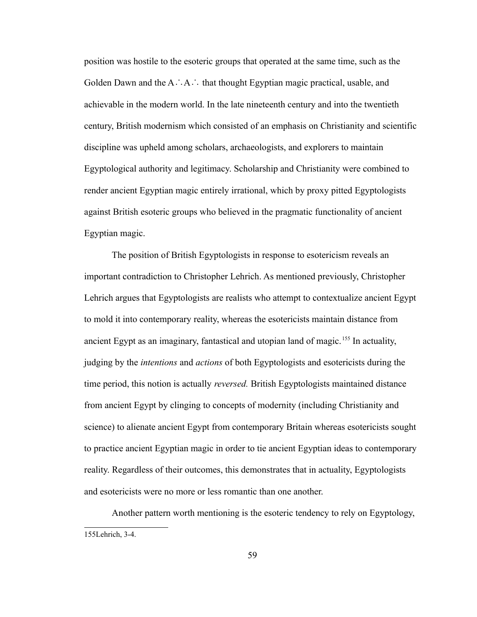position was hostile to the esoteric groups that operated at the same time, such as the Golden Dawn and the A∴A∴ that thought Egyptian magic practical, usable, and achievable in the modern world. In the late nineteenth century and into the twentieth century, British modernism which consisted of an emphasis on Christianity and scientific discipline was upheld among scholars, archaeologists, and explorers to maintain Egyptological authority and legitimacy. Scholarship and Christianity were combined to render ancient Egyptian magic entirely irrational, which by proxy pitted Egyptologists against British esoteric groups who believed in the pragmatic functionality of ancient Egyptian magic.

The position of British Egyptologists in response to esotericism reveals an important contradiction to Christopher Lehrich. As mentioned previously, Christopher Lehrich argues that Egyptologists are realists who attempt to contextualize ancient Egypt to mold it into contemporary reality, whereas the esotericists maintain distance from ancient Egypt as an imaginary, fantastical and utopian land of magic.<sup>[155](#page-63-0)</sup> In actuality, judging by the *intentions* and *actions* of both Egyptologists and esotericists during the time period, this notion is actually *reversed.* British Egyptologists maintained distance from ancient Egypt by clinging to concepts of modernity (including Christianity and science) to alienate ancient Egypt from contemporary Britain whereas esotericists sought to practice ancient Egyptian magic in order to tie ancient Egyptian ideas to contemporary reality. Regardless of their outcomes, this demonstrates that in actuality, Egyptologists and esotericists were no more or less romantic than one another.

<span id="page-63-0"></span>Another pattern worth mentioning is the esoteric tendency to rely on Egyptology, 155Lehrich, 3-4.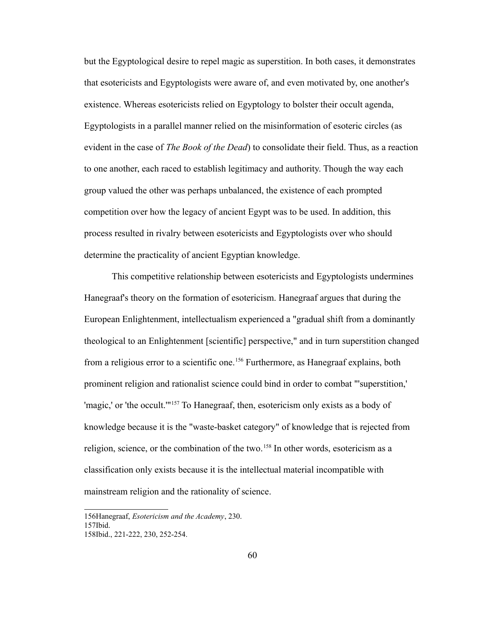but the Egyptological desire to repel magic as superstition. In both cases, it demonstrates that esotericists and Egyptologists were aware of, and even motivated by, one another's existence. Whereas esotericists relied on Egyptology to bolster their occult agenda, Egyptologists in a parallel manner relied on the misinformation of esoteric circles (as evident in the case of *The Book of the Dead*) to consolidate their field. Thus, as a reaction to one another, each raced to establish legitimacy and authority. Though the way each group valued the other was perhaps unbalanced, the existence of each prompted competition over how the legacy of ancient Egypt was to be used. In addition, this process resulted in rivalry between esotericists and Egyptologists over who should determine the practicality of ancient Egyptian knowledge.

This competitive relationship between esotericists and Egyptologists undermines Hanegraaf's theory on the formation of esotericism. Hanegraaf argues that during the European Enlightenment, intellectualism experienced a "gradual shift from a dominantly theological to an Enlightenment [scientific] perspective," and in turn superstition changed from a religious error to a scientific one.<sup>[156](#page-64-0)</sup> Furthermore, as Hanegraaf explains, both prominent religion and rationalist science could bind in order to combat "'superstition,' 'magic,' or 'the occult.'"[157](#page-64-1) To Hanegraaf, then, esotericism only exists as a body of knowledge because it is the "waste-basket category" of knowledge that is rejected from religion, science, or the combination of the two.<sup>[158](#page-64-2)</sup> In other words, esotericism as a classification only exists because it is the intellectual material incompatible with mainstream religion and the rationality of science.

<span id="page-64-0"></span><sup>156</sup>Hanegraaf, *Esotericism and the Academy*, 230.

<span id="page-64-1"></span><sup>157</sup>Ibid.

<span id="page-64-2"></span><sup>158</sup>Ibid., 221-222, 230, 252-254.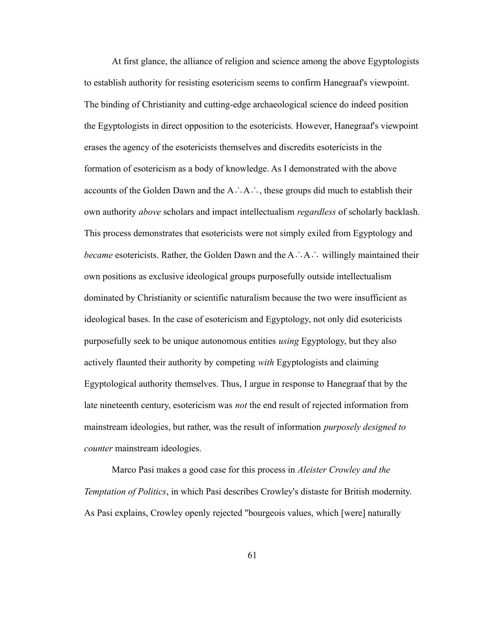At first glance, the alliance of religion and science among the above Egyptologists to establish authority for resisting esotericism seems to confirm Hanegraaf's viewpoint. The binding of Christianity and cutting-edge archaeological science do indeed position the Egyptologists in direct opposition to the esotericists. However, Hanegraaf's viewpoint erases the agency of the esotericists themselves and discredits esotericists in the formation of esotericism as a body of knowledge. As I demonstrated with the above accounts of the Golden Dawn and the A∴A∴, these groups did much to establish their own authority *above* scholars and impact intellectualism *regardless* of scholarly backlash. This process demonstrates that esotericists were not simply exiled from Egyptology and *became* esotericists. Rather, the Golden Dawn and the A∴A∴ willingly maintained their own positions as exclusive ideological groups purposefully outside intellectualism dominated by Christianity or scientific naturalism because the two were insufficient as ideological bases. In the case of esotericism and Egyptology, not only did esotericists purposefully seek to be unique autonomous entities *using* Egyptology, but they also actively flaunted their authority by competing *with* Egyptologists and claiming Egyptological authority themselves. Thus, I argue in response to Hanegraaf that by the late nineteenth century, esotericism was *not* the end result of rejected information from mainstream ideologies, but rather, was the result of information *purposely designed to counter* mainstream ideologies.

Marco Pasi makes a good case for this process in *Aleister Crowley and the Temptation of Politics*, in which Pasi describes Crowley's distaste for British modernity. As Pasi explains, Crowley openly rejected "bourgeois values, which [were] naturally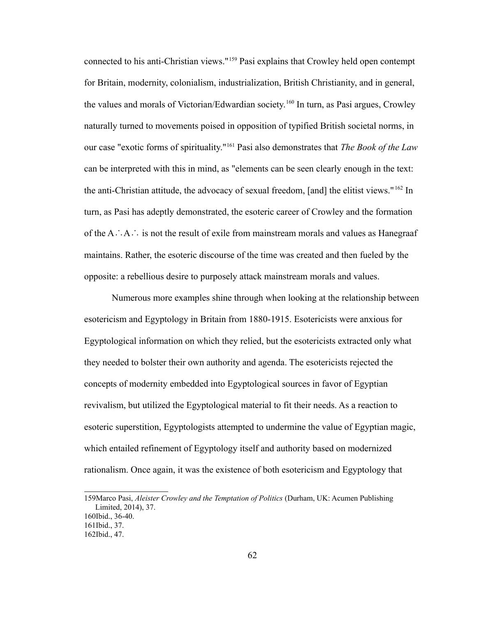connected to his anti-Christian views."[159](#page-66-0) Pasi explains that Crowley held open contempt for Britain, modernity, colonialism, industrialization, British Christianity, and in general, the values and morals of Victorian/Edwardian society.[160](#page-66-1) In turn, as Pasi argues, Crowley naturally turned to movements poised in opposition of typified British societal norms, in our case "exotic forms of spirituality."[161](#page-66-2) Pasi also demonstrates that *The Book of the Law* can be interpreted with this in mind, as "elements can be seen clearly enough in the text: the anti-Christian attitude, the advocacy of sexual freedom, [and] the elitist views." [162](#page-66-3) In turn, as Pasi has adeptly demonstrated, the esoteric career of Crowley and the formation of the A∴A∴ is not the result of exile from mainstream morals and values as Hanegraaf maintains. Rather, the esoteric discourse of the time was created and then fueled by the opposite: a rebellious desire to purposely attack mainstream morals and values.

Numerous more examples shine through when looking at the relationship between esotericism and Egyptology in Britain from 1880-1915. Esotericists were anxious for Egyptological information on which they relied, but the esotericists extracted only what they needed to bolster their own authority and agenda. The esotericists rejected the concepts of modernity embedded into Egyptological sources in favor of Egyptian revivalism, but utilized the Egyptological material to fit their needs. As a reaction to esoteric superstition, Egyptologists attempted to undermine the value of Egyptian magic, which entailed refinement of Egyptology itself and authority based on modernized rationalism. Once again, it was the existence of both esotericism and Egyptology that

<span id="page-66-0"></span><sup>159</sup>Marco Pasi, *Aleister Crowley and the Temptation of Politics* (Durham, UK: Acumen Publishing Limited, 2014), 37.

<span id="page-66-1"></span><sup>160</sup>Ibid., 36-40.

<span id="page-66-2"></span><sup>161</sup>Ibid., 37.

<span id="page-66-3"></span><sup>162</sup>Ibid., 47.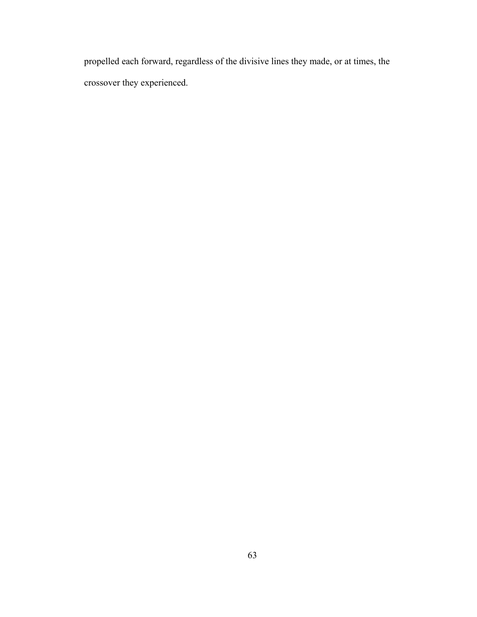propelled each forward, regardless of the divisive lines they made, or at times, the crossover they experienced.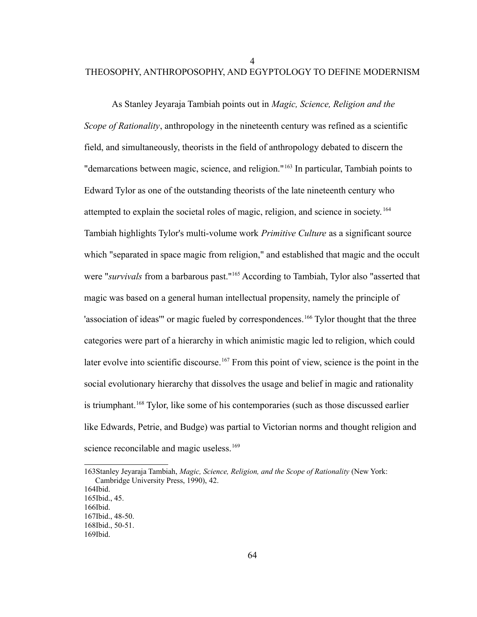4

## THEOSOPHY, ANTHROPOSOPHY, AND EGYPTOLOGY TO DEFINE MODERNISM

As Stanley Jeyaraja Tambiah points out in *Magic, Science, Religion and the Scope of Rationality*, anthropology in the nineteenth century was refined as a scientific field, and simultaneously, theorists in the field of anthropology debated to discern the "demarcations between magic, science, and religion."[163](#page-68-0) In particular, Tambiah points to Edward Tylor as one of the outstanding theorists of the late nineteenth century who attempted to explain the societal roles of magic, religion, and science in society. [164](#page-68-1) Tambiah highlights Tylor's multi-volume work *Primitive Culture* as a significant source which "separated in space magic from religion," and established that magic and the occult were "*survivals* from a barbarous past."[165](#page-68-2) According to Tambiah, Tylor also "asserted that magic was based on a general human intellectual propensity, namely the principle of 'association of ideas'" or magic fueled by correspondences.<sup>[166](#page-68-3)</sup> Tylor thought that the three categories were part of a hierarchy in which animistic magic led to religion, which could later evolve into scientific discourse.<sup>[167](#page-68-4)</sup> From this point of view, science is the point in the social evolutionary hierarchy that dissolves the usage and belief in magic and rationality is triumphant.<sup>[168](#page-68-5)</sup> Tylor, like some of his contemporaries (such as those discussed earlier like Edwards, Petrie, and Budge) was partial to Victorian norms and thought religion and science reconcilable and magic useless.<sup>[169](#page-68-6)</sup>

<span id="page-68-0"></span><sup>163</sup>Stanley Jeyaraja Tambiah, *Magic, Science, Religion, and the Scope of Rationality* (New York: Cambridge University Press, 1990), 42.

<span id="page-68-1"></span><sup>164</sup>Ibid.

<span id="page-68-2"></span><sup>165</sup>Ibid., 45.

<span id="page-68-3"></span><sup>166</sup>Ibid. 167Ibid., 48-50.

<span id="page-68-5"></span><span id="page-68-4"></span><sup>168</sup>Ibid., 50-51.

<span id="page-68-6"></span><sup>169</sup>Ibid.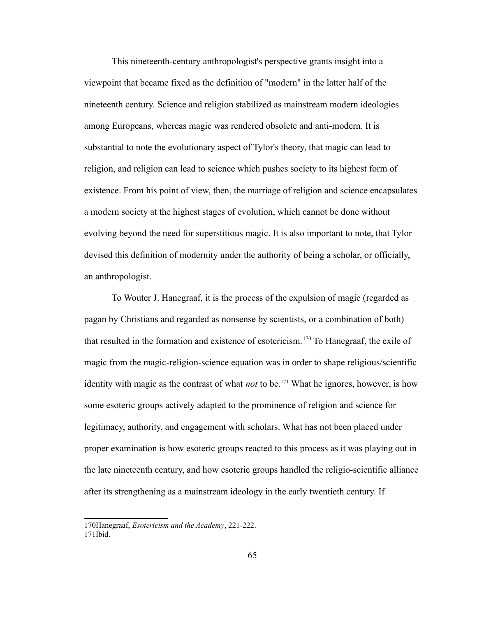This nineteenth-century anthropologist's perspective grants insight into a viewpoint that became fixed as the definition of "modern" in the latter half of the nineteenth century. Science and religion stabilized as mainstream modern ideologies among Europeans, whereas magic was rendered obsolete and anti-modern. It is substantial to note the evolutionary aspect of Tylor's theory, that magic can lead to religion, and religion can lead to science which pushes society to its highest form of existence. From his point of view, then, the marriage of religion and science encapsulates a modern society at the highest stages of evolution, which cannot be done without evolving beyond the need for superstitious magic. It is also important to note, that Tylor devised this definition of modernity under the authority of being a scholar, or officially, an anthropologist.

To Wouter J. Hanegraaf, it is the process of the expulsion of magic (regarded as pagan by Christians and regarded as nonsense by scientists, or a combination of both) that resulted in the formation and existence of esotericism.<sup>[170](#page-69-0)</sup> To Hanegraaf, the exile of magic from the magic-religion-science equation was in order to shape religious/scientific identity with magic as the contrast of what *not* to be.<sup>[171](#page-69-1)</sup> What he ignores, however, is how some esoteric groups actively adapted to the prominence of religion and science for legitimacy, authority, and engagement with scholars. What has not been placed under proper examination is how esoteric groups reacted to this process as it was playing out in the late nineteenth century, and how esoteric groups handled the religio-scientific alliance after its strengthening as a mainstream ideology in the early twentieth century. If

<span id="page-69-1"></span><span id="page-69-0"></span><sup>170</sup>Hanegraaf, *Esotericism and the Academy*, 221-222. 171Ibid.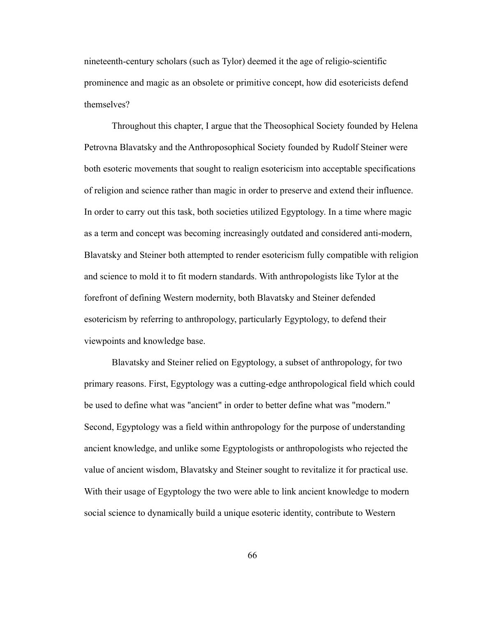nineteenth-century scholars (such as Tylor) deemed it the age of religio-scientific prominence and magic as an obsolete or primitive concept, how did esotericists defend themselves?

Throughout this chapter, I argue that the Theosophical Society founded by Helena Petrovna Blavatsky and the Anthroposophical Society founded by Rudolf Steiner were both esoteric movements that sought to realign esotericism into acceptable specifications of religion and science rather than magic in order to preserve and extend their influence. In order to carry out this task, both societies utilized Egyptology. In a time where magic as a term and concept was becoming increasingly outdated and considered anti-modern, Blavatsky and Steiner both attempted to render esotericism fully compatible with religion and science to mold it to fit modern standards. With anthropologists like Tylor at the forefront of defining Western modernity, both Blavatsky and Steiner defended esotericism by referring to anthropology, particularly Egyptology, to defend their viewpoints and knowledge base.

Blavatsky and Steiner relied on Egyptology, a subset of anthropology, for two primary reasons. First, Egyptology was a cutting-edge anthropological field which could be used to define what was "ancient" in order to better define what was "modern." Second, Egyptology was a field within anthropology for the purpose of understanding ancient knowledge, and unlike some Egyptologists or anthropologists who rejected the value of ancient wisdom, Blavatsky and Steiner sought to revitalize it for practical use. With their usage of Egyptology the two were able to link ancient knowledge to modern social science to dynamically build a unique esoteric identity, contribute to Western

66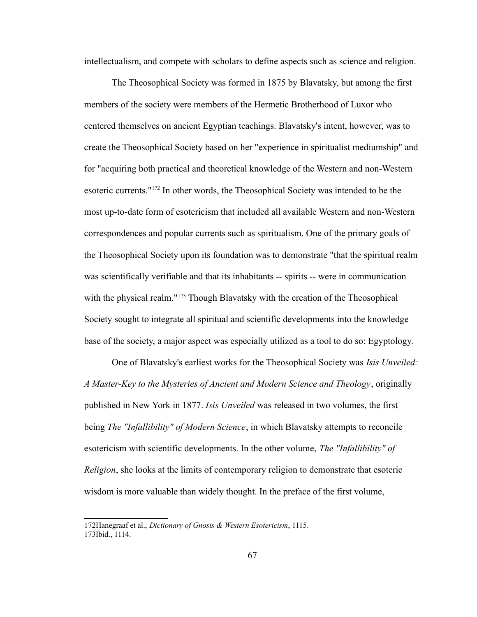intellectualism, and compete with scholars to define aspects such as science and religion.

The Theosophical Society was formed in 1875 by Blavatsky, but among the first members of the society were members of the Hermetic Brotherhood of Luxor who centered themselves on ancient Egyptian teachings. Blavatsky's intent, however, was to create the Theosophical Society based on her "experience in spiritualist mediumship" and for "acquiring both practical and theoretical knowledge of the Western and non-Western esoteric currents."[172](#page-71-0) In other words, the Theosophical Society was intended to be the most up-to-date form of esotericism that included all available Western and non-Western correspondences and popular currents such as spiritualism. One of the primary goals of the Theosophical Society upon its foundation was to demonstrate "that the spiritual realm was scientifically verifiable and that its inhabitants -- spirits -- were in communication with the physical realm."<sup>[173](#page-71-1)</sup> Though Blavatsky with the creation of the Theosophical Society sought to integrate all spiritual and scientific developments into the knowledge base of the society, a major aspect was especially utilized as a tool to do so: Egyptology.

One of Blavatsky's earliest works for the Theosophical Society was *Isis Unveiled: A Master-Key to the Mysteries of Ancient and Modern Science and Theology*, originally published in New York in 1877. *Isis Unveiled* was released in two volumes, the first being *The "Infallibility" of Modern Science*, in which Blavatsky attempts to reconcile esotericism with scientific developments. In the other volume, *The "Infallibility" of Religion*, she looks at the limits of contemporary religion to demonstrate that esoteric wisdom is more valuable than widely thought. In the preface of the first volume,

<span id="page-71-1"></span><span id="page-71-0"></span><sup>172</sup>Hanegraaf et al., *Dictionary of Gnosis & Western Esotericism*, 1115. 173Ibid., 1114.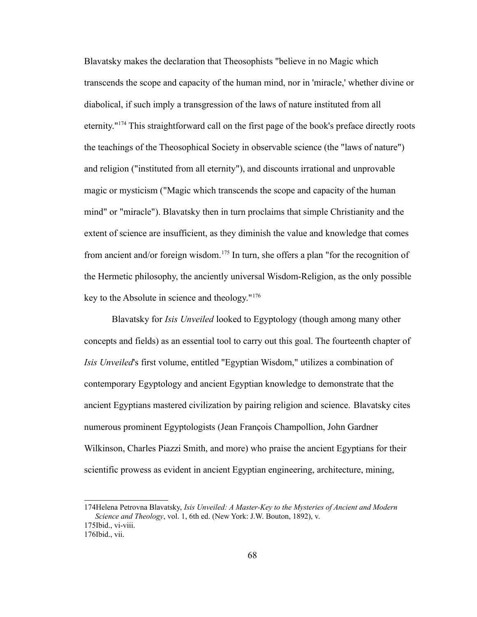Blavatsky makes the declaration that Theosophists "believe in no Magic which transcends the scope and capacity of the human mind, nor in 'miracle,' whether divine or diabolical, if such imply a transgression of the laws of nature instituted from all eternity."[174](#page-72-0) This straightforward call on the first page of the book's preface directly roots the teachings of the Theosophical Society in observable science (the "laws of nature") and religion ("instituted from all eternity"), and discounts irrational and unprovable magic or mysticism ("Magic which transcends the scope and capacity of the human mind" or "miracle"). Blavatsky then in turn proclaims that simple Christianity and the extent of science are insufficient, as they diminish the value and knowledge that comes from ancient and/or foreign wisdom.[175](#page-72-1) In turn, she offers a plan "for the recognition of the Hermetic philosophy, the anciently universal Wisdom-Religion, as the only possible key to the Absolute in science and theology."[176](#page-72-2)

Blavatsky for *Isis Unveiled* looked to Egyptology (though among many other concepts and fields) as an essential tool to carry out this goal. The fourteenth chapter of *Isis Unveiled*'s first volume, entitled "Egyptian Wisdom," utilizes a combination of contemporary Egyptology and ancient Egyptian knowledge to demonstrate that the ancient Egyptians mastered civilization by pairing religion and science. Blavatsky cites numerous prominent Egyptologists (Jean François Champollion, John Gardner Wilkinson, Charles Piazzi Smith, and more) who praise the ancient Egyptians for their scientific prowess as evident in ancient Egyptian engineering, architecture, mining,

<span id="page-72-0"></span><sup>174</sup>Helena Petrovna Blavatsky, *Isis Unveiled: A Master-Key to the Mysteries of Ancient and Modern Science and Theology*, vol. 1, 6th ed. (New York: J.W. Bouton, 1892), v. 175Ibid., vi-viii.

<span id="page-72-2"></span><span id="page-72-1"></span><sup>176</sup>Ibid., vii.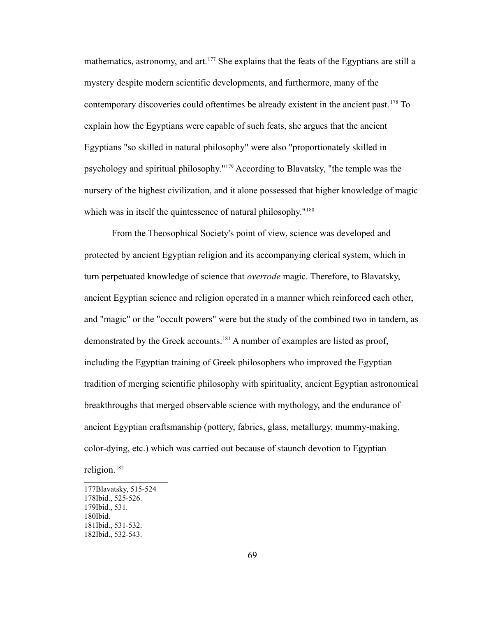mathematics, astronomy, and art.<sup>[177](#page-73-0)</sup> She explains that the feats of the Egyptians are still a mystery despite modern scientific developments, and furthermore, many of the contemporary discoveries could oftentimes be already existent in the ancient past. [178](#page-73-1) To explain how the Egyptians were capable of such feats, she argues that the ancient Egyptians "so skilled in natural philosophy" were also "proportionately skilled in psychology and spiritual philosophy."[179](#page-73-2) According to Blavatsky, "the temple was the nursery of the highest civilization, and it alone possessed that higher knowledge of magic which was in itself the quintessence of natural philosophy."<sup>[180](#page-73-3)</sup>

From the Theosophical Society's point of view, science was developed and protected by ancient Egyptian religion and its accompanying clerical system, which in turn perpetuated knowledge of science that *overrode* magic. Therefore, to Blavatsky, ancient Egyptian science and religion operated in a manner which reinforced each other, and "magic" or the "occult powers" were but the study of the combined two in tandem, as demonstrated by the Greek accounts.<sup>[181](#page-73-4)</sup> A number of examples are listed as proof, including the Egyptian training of Greek philosophers who improved the Egyptian tradition of merging scientific philosophy with spirituality, ancient Egyptian astronomical breakthroughs that merged observable science with mythology, and the endurance of ancient Egyptian craftsmanship (pottery, fabrics, glass, metallurgy, mummy-making, color-dying, etc.) which was carried out because of staunch devotion to Egyptian religion.<sup>[182](#page-73-5)</sup>

<span id="page-73-5"></span><span id="page-73-4"></span><span id="page-73-3"></span><span id="page-73-2"></span><span id="page-73-1"></span><span id="page-73-0"></span><sup>177</sup>Blavatsky, 515-524 178Ibid., 525-526. 179Ibid., 531. 180Ibid. 181Ibid., 531-532. 182Ibid., 532-543.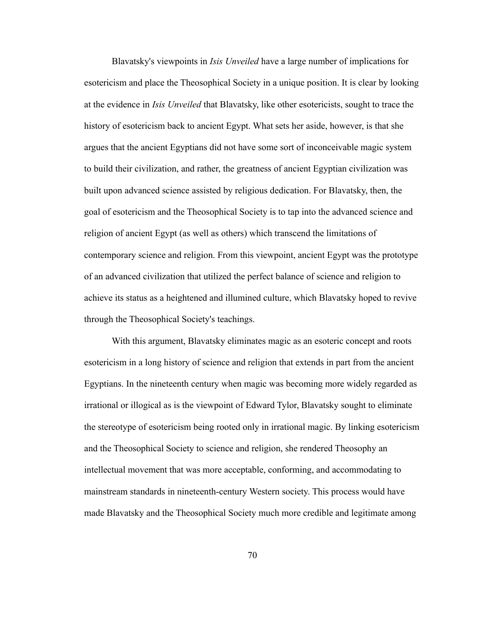Blavatsky's viewpoints in *Isis Unveiled* have a large number of implications for esotericism and place the Theosophical Society in a unique position. It is clear by looking at the evidence in *Isis Unveiled* that Blavatsky, like other esotericists, sought to trace the history of esotericism back to ancient Egypt. What sets her aside, however, is that she argues that the ancient Egyptians did not have some sort of inconceivable magic system to build their civilization, and rather, the greatness of ancient Egyptian civilization was built upon advanced science assisted by religious dedication. For Blavatsky, then, the goal of esotericism and the Theosophical Society is to tap into the advanced science and religion of ancient Egypt (as well as others) which transcend the limitations of contemporary science and religion. From this viewpoint, ancient Egypt was the prototype of an advanced civilization that utilized the perfect balance of science and religion to achieve its status as a heightened and illumined culture, which Blavatsky hoped to revive through the Theosophical Society's teachings.

With this argument, Blavatsky eliminates magic as an esoteric concept and roots esotericism in a long history of science and religion that extends in part from the ancient Egyptians. In the nineteenth century when magic was becoming more widely regarded as irrational or illogical as is the viewpoint of Edward Tylor, Blavatsky sought to eliminate the stereotype of esotericism being rooted only in irrational magic. By linking esotericism and the Theosophical Society to science and religion, she rendered Theosophy an intellectual movement that was more acceptable, conforming, and accommodating to mainstream standards in nineteenth-century Western society. This process would have made Blavatsky and the Theosophical Society much more credible and legitimate among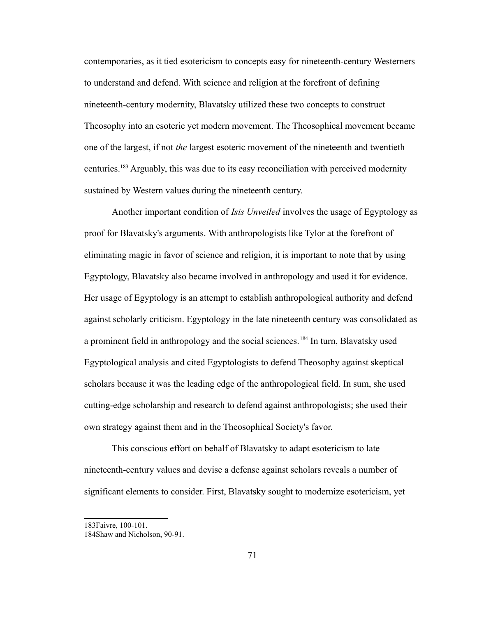contemporaries, as it tied esotericism to concepts easy for nineteenth-century Westerners to understand and defend. With science and religion at the forefront of defining nineteenth-century modernity, Blavatsky utilized these two concepts to construct Theosophy into an esoteric yet modern movement. The Theosophical movement became one of the largest, if not *the* largest esoteric movement of the nineteenth and twentieth centuries.[183](#page-75-0) Arguably, this was due to its easy reconciliation with perceived modernity sustained by Western values during the nineteenth century.

Another important condition of *Isis Unveiled* involves the usage of Egyptology as proof for Blavatsky's arguments. With anthropologists like Tylor at the forefront of eliminating magic in favor of science and religion, it is important to note that by using Egyptology, Blavatsky also became involved in anthropology and used it for evidence. Her usage of Egyptology is an attempt to establish anthropological authority and defend against scholarly criticism. Egyptology in the late nineteenth century was consolidated as a prominent field in anthropology and the social sciences.<sup>[184](#page-75-1)</sup> In turn, Blavatsky used Egyptological analysis and cited Egyptologists to defend Theosophy against skeptical scholars because it was the leading edge of the anthropological field. In sum, she used cutting-edge scholarship and research to defend against anthropologists; she used their own strategy against them and in the Theosophical Society's favor.

This conscious effort on behalf of Blavatsky to adapt esotericism to late nineteenth-century values and devise a defense against scholars reveals a number of significant elements to consider. First, Blavatsky sought to modernize esotericism, yet

<span id="page-75-0"></span><sup>183</sup>Faivre, 100-101.

<span id="page-75-1"></span><sup>184</sup>Shaw and Nicholson, 90-91.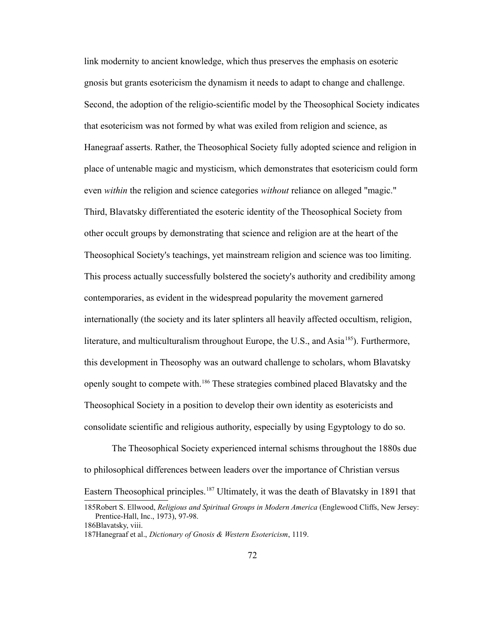link modernity to ancient knowledge, which thus preserves the emphasis on esoteric gnosis but grants esotericism the dynamism it needs to adapt to change and challenge. Second, the adoption of the religio-scientific model by the Theosophical Society indicates that esotericism was not formed by what was exiled from religion and science, as Hanegraaf asserts. Rather, the Theosophical Society fully adopted science and religion in place of untenable magic and mysticism, which demonstrates that esotericism could form even *within* the religion and science categories *without* reliance on alleged "magic." Third, Blavatsky differentiated the esoteric identity of the Theosophical Society from other occult groups by demonstrating that science and religion are at the heart of the Theosophical Society's teachings, yet mainstream religion and science was too limiting. This process actually successfully bolstered the society's authority and credibility among contemporaries, as evident in the widespread popularity the movement garnered internationally (the society and its later splinters all heavily affected occultism, religion, literature, and multiculturalism throughout Europe, the U.S., and Asia<sup>[185](#page-76-0)</sup>). Furthermore, this development in Theosophy was an outward challenge to scholars, whom Blavatsky openly sought to compete with.[186](#page-76-1) These strategies combined placed Blavatsky and the Theosophical Society in a position to develop their own identity as esotericists and consolidate scientific and religious authority, especially by using Egyptology to do so.

The Theosophical Society experienced internal schisms throughout the 1880s due to philosophical differences between leaders over the importance of Christian versus

Eastern Theosophical principles.<sup>[187](#page-76-2)</sup> Ultimately, it was the death of Blavatsky in 1891 that

<span id="page-76-0"></span><sup>185</sup>Robert S. Ellwood, *Religious and Spiritual Groups in Modern America* (Englewood Cliffs, New Jersey: Prentice-Hall, Inc., 1973), 97-98.

<span id="page-76-1"></span><sup>186</sup>Blavatsky, viii.

<span id="page-76-2"></span><sup>187</sup>Hanegraaf et al., *Dictionary of Gnosis & Western Esotericism*, 1119.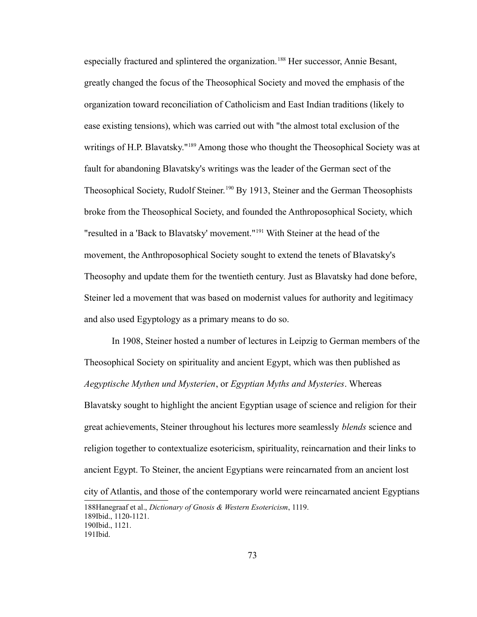especially fractured and splintered the organization.<sup>[188](#page-77-0)</sup> Her successor, Annie Besant, greatly changed the focus of the Theosophical Society and moved the emphasis of the organization toward reconciliation of Catholicism and East Indian traditions (likely to ease existing tensions), which was carried out with "the almost total exclusion of the writings of H.P. Blavatsky."<sup>[189](#page-77-1)</sup> Among those who thought the Theosophical Society was at fault for abandoning Blavatsky's writings was the leader of the German sect of the Theosophical Society, Rudolf Steiner.<sup>[190](#page-77-2)</sup> By 1913, Steiner and the German Theosophists broke from the Theosophical Society, and founded the Anthroposophical Society, which "resulted in a 'Back to Blavatsky' movement."[191](#page-77-3) With Steiner at the head of the movement, the Anthroposophical Society sought to extend the tenets of Blavatsky's Theosophy and update them for the twentieth century. Just as Blavatsky had done before, Steiner led a movement that was based on modernist values for authority and legitimacy and also used Egyptology as a primary means to do so.

In 1908, Steiner hosted a number of lectures in Leipzig to German members of the Theosophical Society on spirituality and ancient Egypt, which was then published as *Aegyptische Mythen und Mysterien*, or *Egyptian Myths and Mysteries*. Whereas Blavatsky sought to highlight the ancient Egyptian usage of science and religion for their great achievements, Steiner throughout his lectures more seamlessly *blends* science and religion together to contextualize esotericism, spirituality, reincarnation and their links to ancient Egypt. To Steiner, the ancient Egyptians were reincarnated from an ancient lost city of Atlantis, and those of the contemporary world were reincarnated ancient Egyptians

<span id="page-77-3"></span><span id="page-77-2"></span><span id="page-77-1"></span><span id="page-77-0"></span><sup>188</sup>Hanegraaf et al., *Dictionary of Gnosis & Western Esotericism*, 1119. 189Ibid., 1120-1121. 190Ibid., 1121. 191Ibid.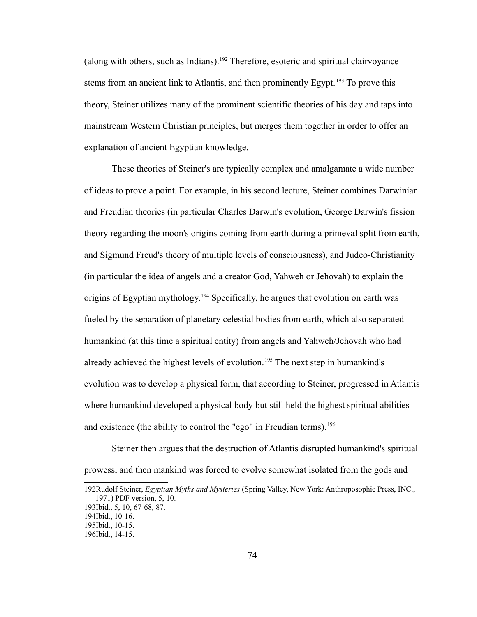(along with others, such as Indians).<sup>[192](#page-78-0)</sup> Therefore, esoteric and spiritual clairvoyance stems from an ancient link to Atlantis, and then prominently Egypt.<sup>[193](#page-78-1)</sup> To prove this theory, Steiner utilizes many of the prominent scientific theories of his day and taps into mainstream Western Christian principles, but merges them together in order to offer an explanation of ancient Egyptian knowledge.

These theories of Steiner's are typically complex and amalgamate a wide number of ideas to prove a point. For example, in his second lecture, Steiner combines Darwinian and Freudian theories (in particular Charles Darwin's evolution, George Darwin's fission theory regarding the moon's origins coming from earth during a primeval split from earth, and Sigmund Freud's theory of multiple levels of consciousness), and Judeo-Christianity (in particular the idea of angels and a creator God, Yahweh or Jehovah) to explain the origins of Egyptian mythology.[194](#page-78-2) Specifically, he argues that evolution on earth was fueled by the separation of planetary celestial bodies from earth, which also separated humankind (at this time a spiritual entity) from angels and Yahweh/Jehovah who had already achieved the highest levels of evolution.<sup>[195](#page-78-3)</sup> The next step in humankind's evolution was to develop a physical form, that according to Steiner, progressed in Atlantis where humankind developed a physical body but still held the highest spiritual abilities and existence (the ability to control the "ego" in Freudian terms).<sup>[196](#page-78-4)</sup>

Steiner then argues that the destruction of Atlantis disrupted humankind's spiritual prowess, and then mankind was forced to evolve somewhat isolated from the gods and

<span id="page-78-0"></span><sup>192</sup>Rudolf Steiner, *Egyptian Myths and Mysteries* (Spring Valley, New York: Anthroposophic Press, INC., 1971) PDF version, 5, 10.

<span id="page-78-1"></span><sup>193</sup>Ibid., 5, 10, 67-68, 87.

<span id="page-78-2"></span><sup>194</sup>Ibid., 10-16.

<span id="page-78-3"></span><sup>195</sup>Ibid., 10-15.

<span id="page-78-4"></span><sup>196</sup>Ibid., 14-15.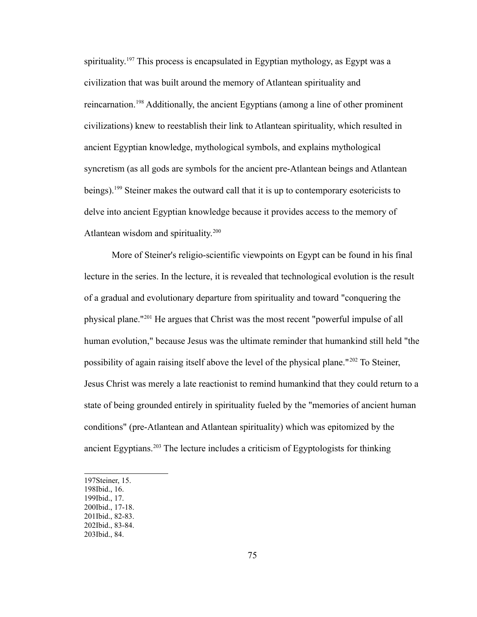spirituality.<sup>[197](#page-79-0)</sup> This process is encapsulated in Egyptian mythology, as Egypt was a civilization that was built around the memory of Atlantean spirituality and reincarnation.[198](#page-79-1) Additionally, the ancient Egyptians (among a line of other prominent civilizations) knew to reestablish their link to Atlantean spirituality, which resulted in ancient Egyptian knowledge, mythological symbols, and explains mythological syncretism (as all gods are symbols for the ancient pre-Atlantean beings and Atlantean beings).<sup>[199](#page-79-2)</sup> Steiner makes the outward call that it is up to contemporary esotericists to delve into ancient Egyptian knowledge because it provides access to the memory of Atlantean wisdom and spirituality.<sup>[200](#page-79-3)</sup>

More of Steiner's religio-scientific viewpoints on Egypt can be found in his final lecture in the series. In the lecture, it is revealed that technological evolution is the result of a gradual and evolutionary departure from spirituality and toward "conquering the physical plane."[201](#page-79-4) He argues that Christ was the most recent "powerful impulse of all human evolution," because Jesus was the ultimate reminder that humankind still held "the possibility of again raising itself above the level of the physical plane."[202](#page-79-5) To Steiner, Jesus Christ was merely a late reactionist to remind humankind that they could return to a state of being grounded entirely in spirituality fueled by the "memories of ancient human conditions" (pre-Atlantean and Atlantean spirituality) which was epitomized by the ancient Egyptians.[203](#page-79-6) The lecture includes a criticism of Egyptologists for thinking

- <span id="page-79-1"></span>198Ibid., 16. 199Ibid., 17.
- <span id="page-79-3"></span><span id="page-79-2"></span>200Ibid., 17-18.
- <span id="page-79-4"></span>201Ibid., 82-83.
- <span id="page-79-5"></span>202Ibid., 83-84.

<span id="page-79-0"></span><sup>197</sup>Steiner, 15.

<span id="page-79-6"></span><sup>203</sup>Ibid., 84.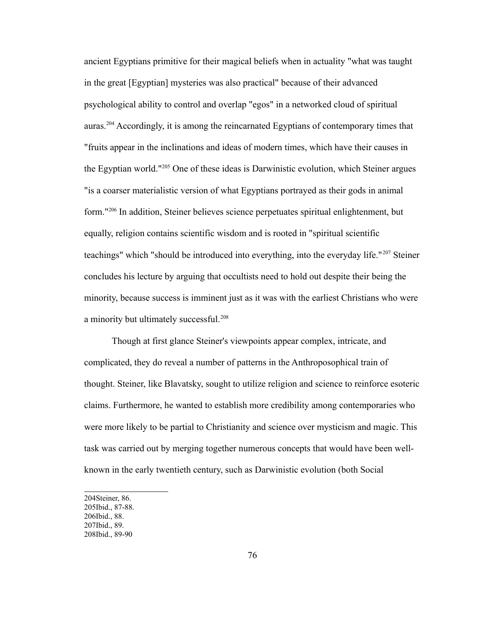ancient Egyptians primitive for their magical beliefs when in actuality "what was taught in the great [Egyptian] mysteries was also practical" because of their advanced psychological ability to control and overlap "egos" in a networked cloud of spiritual auras.[204](#page-80-0) Accordingly, it is among the reincarnated Egyptians of contemporary times that "fruits appear in the inclinations and ideas of modern times, which have their causes in the Egyptian world."[205](#page-80-1) One of these ideas is Darwinistic evolution, which Steiner argues "is a coarser materialistic version of what Egyptians portrayed as their gods in animal form."[206](#page-80-2) In addition, Steiner believes science perpetuates spiritual enlightenment, but equally, religion contains scientific wisdom and is rooted in "spiritual scientific teachings" which "should be introduced into everything, into the everyday life."[207](#page-80-3) Steiner concludes his lecture by arguing that occultists need to hold out despite their being the minority, because success is imminent just as it was with the earliest Christians who were a minority but ultimately successful.<sup>[208](#page-80-4)</sup>

Though at first glance Steiner's viewpoints appear complex, intricate, and complicated, they do reveal a number of patterns in the Anthroposophical train of thought. Steiner, like Blavatsky, sought to utilize religion and science to reinforce esoteric claims. Furthermore, he wanted to establish more credibility among contemporaries who were more likely to be partial to Christianity and science over mysticism and magic. This task was carried out by merging together numerous concepts that would have been wellknown in the early twentieth century, such as Darwinistic evolution (both Social

<span id="page-80-2"></span><span id="page-80-1"></span><span id="page-80-0"></span><sup>204</sup>Steiner, 86. 205Ibid., 87-88. 206Ibid., 88. 207Ibid., 89.

<span id="page-80-4"></span><span id="page-80-3"></span><sup>208</sup>Ibid., 89-90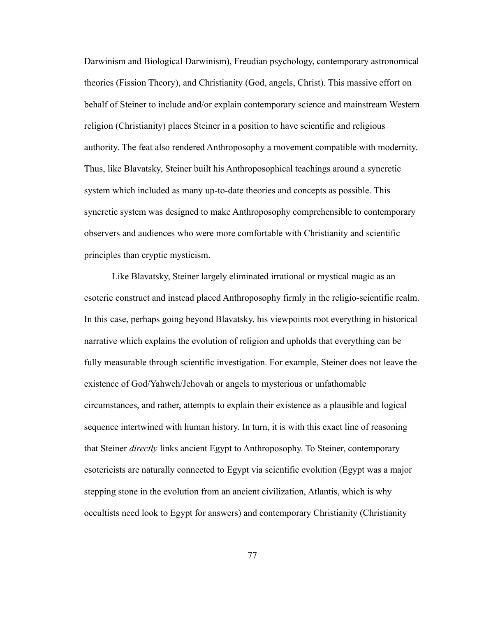Darwinism and Biological Darwinism), Freudian psychology, contemporary astronomical theories (Fission Theory), and Christianity (God, angels, Christ). This massive effort on behalf of Steiner to include and/or explain contemporary science and mainstream Western religion (Christianity) places Steiner in a position to have scientific and religious authority. The feat also rendered Anthroposophy a movement compatible with modernity. Thus, like Blavatsky, Steiner built his Anthroposophical teachings around a syncretic system which included as many up-to-date theories and concepts as possible. This syncretic system was designed to make Anthroposophy comprehensible to contemporary observers and audiences who were more comfortable with Christianity and scientific principles than cryptic mysticism.

Like Blavatsky, Steiner largely eliminated irrational or mystical magic as an esoteric construct and instead placed Anthroposophy firmly in the religio-scientific realm. In this case, perhaps going beyond Blavatsky, his viewpoints root everything in historical narrative which explains the evolution of religion and upholds that everything can be fully measurable through scientific investigation. For example, Steiner does not leave the existence of God/Yahweh/Jehovah or angels to mysterious or unfathomable circumstances, and rather, attempts to explain their existence as a plausible and logical sequence intertwined with human history. In turn, it is with this exact line of reasoning that Steiner *directly* links ancient Egypt to Anthroposophy. To Steiner, contemporary esotericists are naturally connected to Egypt via scientific evolution (Egypt was a major stepping stone in the evolution from an ancient civilization, Atlantis, which is why occultists need look to Egypt for answers) and contemporary Christianity (Christianity

77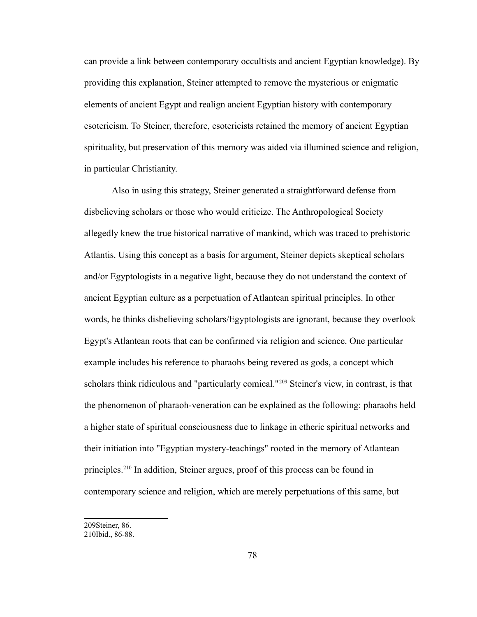can provide a link between contemporary occultists and ancient Egyptian knowledge). By providing this explanation, Steiner attempted to remove the mysterious or enigmatic elements of ancient Egypt and realign ancient Egyptian history with contemporary esotericism. To Steiner, therefore, esotericists retained the memory of ancient Egyptian spirituality, but preservation of this memory was aided via illumined science and religion, in particular Christianity.

Also in using this strategy, Steiner generated a straightforward defense from disbelieving scholars or those who would criticize. The Anthropological Society allegedly knew the true historical narrative of mankind, which was traced to prehistoric Atlantis. Using this concept as a basis for argument, Steiner depicts skeptical scholars and/or Egyptologists in a negative light, because they do not understand the context of ancient Egyptian culture as a perpetuation of Atlantean spiritual principles. In other words, he thinks disbelieving scholars/Egyptologists are ignorant, because they overlook Egypt's Atlantean roots that can be confirmed via religion and science. One particular example includes his reference to pharaohs being revered as gods, a concept which scholars think ridiculous and "particularly comical."<sup>[209](#page-82-0)</sup> Steiner's view, in contrast, is that the phenomenon of pharaoh-veneration can be explained as the following: pharaohs held a higher state of spiritual consciousness due to linkage in etheric spiritual networks and their initiation into "Egyptian mystery-teachings" rooted in the memory of Atlantean principles.[210](#page-82-1) In addition, Steiner argues, proof of this process can be found in contemporary science and religion, which are merely perpetuations of this same, but

<span id="page-82-0"></span><sup>209</sup>Steiner, 86.

<span id="page-82-1"></span><sup>210</sup>Ibid., 86-88.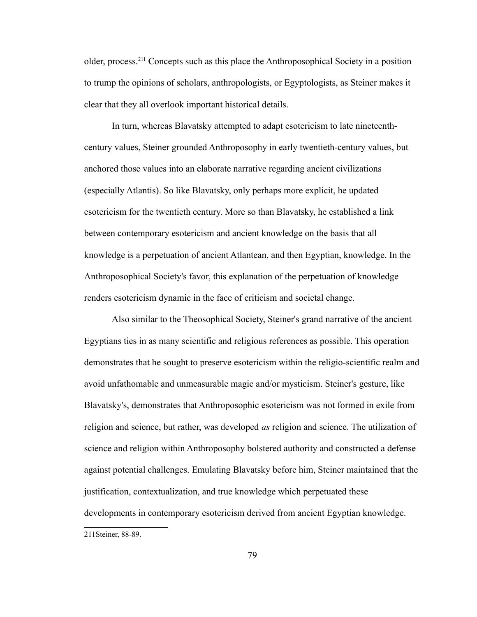older, process.[211](#page-83-0) Concepts such as this place the Anthroposophical Society in a position to trump the opinions of scholars, anthropologists, or Egyptologists, as Steiner makes it clear that they all overlook important historical details.

In turn, whereas Blavatsky attempted to adapt esotericism to late nineteenthcentury values, Steiner grounded Anthroposophy in early twentieth-century values, but anchored those values into an elaborate narrative regarding ancient civilizations (especially Atlantis). So like Blavatsky, only perhaps more explicit, he updated esotericism for the twentieth century. More so than Blavatsky, he established a link between contemporary esotericism and ancient knowledge on the basis that all knowledge is a perpetuation of ancient Atlantean, and then Egyptian, knowledge. In the Anthroposophical Society's favor, this explanation of the perpetuation of knowledge renders esotericism dynamic in the face of criticism and societal change.

Also similar to the Theosophical Society, Steiner's grand narrative of the ancient Egyptians ties in as many scientific and religious references as possible. This operation demonstrates that he sought to preserve esotericism within the religio-scientific realm and avoid unfathomable and unmeasurable magic and/or mysticism. Steiner's gesture, like Blavatsky's, demonstrates that Anthroposophic esotericism was not formed in exile from religion and science, but rather, was developed *as* religion and science. The utilization of science and religion within Anthroposophy bolstered authority and constructed a defense against potential challenges. Emulating Blavatsky before him, Steiner maintained that the justification, contextualization, and true knowledge which perpetuated these developments in contemporary esotericism derived from ancient Egyptian knowledge.

<span id="page-83-0"></span><sup>211</sup>Steiner, 88-89.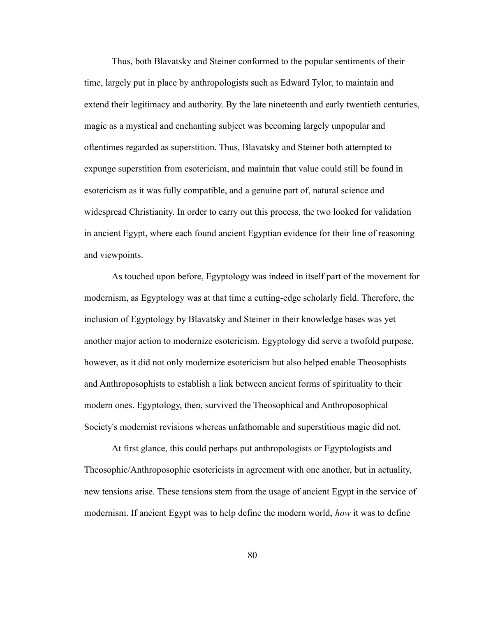Thus, both Blavatsky and Steiner conformed to the popular sentiments of their time, largely put in place by anthropologists such as Edward Tylor, to maintain and extend their legitimacy and authority. By the late nineteenth and early twentieth centuries, magic as a mystical and enchanting subject was becoming largely unpopular and oftentimes regarded as superstition. Thus, Blavatsky and Steiner both attempted to expunge superstition from esotericism, and maintain that value could still be found in esotericism as it was fully compatible, and a genuine part of, natural science and widespread Christianity. In order to carry out this process, the two looked for validation in ancient Egypt, where each found ancient Egyptian evidence for their line of reasoning and viewpoints.

As touched upon before, Egyptology was indeed in itself part of the movement for modernism, as Egyptology was at that time a cutting-edge scholarly field. Therefore, the inclusion of Egyptology by Blavatsky and Steiner in their knowledge bases was yet another major action to modernize esotericism. Egyptology did serve a twofold purpose, however, as it did not only modernize esotericism but also helped enable Theosophists and Anthroposophists to establish a link between ancient forms of spirituality to their modern ones. Egyptology, then, survived the Theosophical and Anthroposophical Society's modernist revisions whereas unfathomable and superstitious magic did not.

At first glance, this could perhaps put anthropologists or Egyptologists and Theosophic/Anthroposophic esotericists in agreement with one another, but in actuality, new tensions arise. These tensions stem from the usage of ancient Egypt in the service of modernism. If ancient Egypt was to help define the modern world, *how* it was to define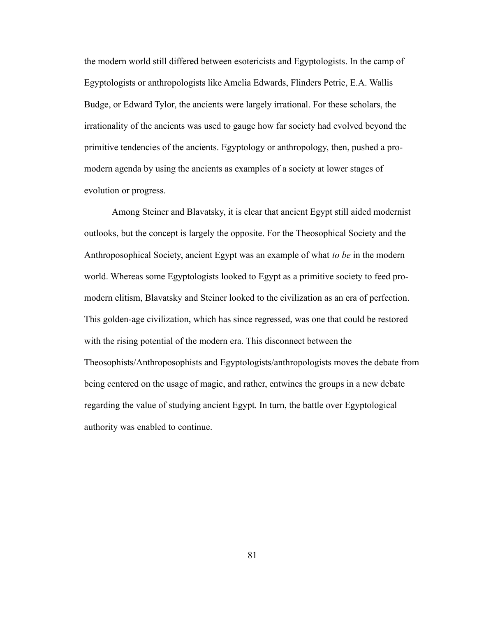the modern world still differed between esotericists and Egyptologists. In the camp of Egyptologists or anthropologists like Amelia Edwards, Flinders Petrie, E.A. Wallis Budge, or Edward Tylor, the ancients were largely irrational. For these scholars, the irrationality of the ancients was used to gauge how far society had evolved beyond the primitive tendencies of the ancients. Egyptology or anthropology, then, pushed a promodern agenda by using the ancients as examples of a society at lower stages of evolution or progress.

Among Steiner and Blavatsky, it is clear that ancient Egypt still aided modernist outlooks, but the concept is largely the opposite. For the Theosophical Society and the Anthroposophical Society, ancient Egypt was an example of what *to be* in the modern world. Whereas some Egyptologists looked to Egypt as a primitive society to feed promodern elitism, Blavatsky and Steiner looked to the civilization as an era of perfection. This golden-age civilization, which has since regressed, was one that could be restored with the rising potential of the modern era. This disconnect between the Theosophists/Anthroposophists and Egyptologists/anthropologists moves the debate from being centered on the usage of magic, and rather, entwines the groups in a new debate regarding the value of studying ancient Egypt. In turn, the battle over Egyptological authority was enabled to continue.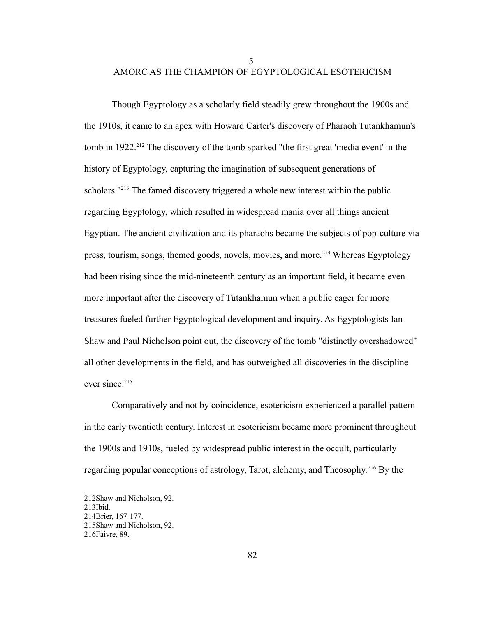5

## AMORC AS THE CHAMPION OF EGYPTOLOGICAL ESOTERICISM

Though Egyptology as a scholarly field steadily grew throughout the 1900s and the 1910s, it came to an apex with Howard Carter's discovery of Pharaoh Tutankhamun's tomb in 1922.<sup>[212](#page-86-0)</sup> The discovery of the tomb sparked "the first great 'media event' in the history of Egyptology, capturing the imagination of subsequent generations of scholars.<sup>"[213](#page-86-1)</sup> The famed discovery triggered a whole new interest within the public regarding Egyptology, which resulted in widespread mania over all things ancient Egyptian. The ancient civilization and its pharaohs became the subjects of pop-culture via press, tourism, songs, themed goods, novels, movies, and more.<sup>[214](#page-86-2)</sup> Whereas Egyptology had been rising since the mid-nineteenth century as an important field, it became even more important after the discovery of Tutankhamun when a public eager for more treasures fueled further Egyptological development and inquiry. As Egyptologists Ian Shaw and Paul Nicholson point out, the discovery of the tomb "distinctly overshadowed" all other developments in the field, and has outweighed all discoveries in the discipline ever since.<sup>[215](#page-86-3)</sup>

Comparatively and not by coincidence, esotericism experienced a parallel pattern in the early twentieth century. Interest in esotericism became more prominent throughout the 1900s and 1910s, fueled by widespread public interest in the occult, particularly regarding popular conceptions of astrology, Tarot, alchemy, and Theosophy.[216](#page-86-4) By the

<span id="page-86-0"></span><sup>212</sup>Shaw and Nicholson, 92.

<span id="page-86-1"></span><sup>213</sup>Ibid.

<span id="page-86-2"></span><sup>214</sup>Brier, 167-177.

<span id="page-86-3"></span><sup>215</sup>Shaw and Nicholson, 92.

<span id="page-86-4"></span><sup>216</sup>Faivre, 89.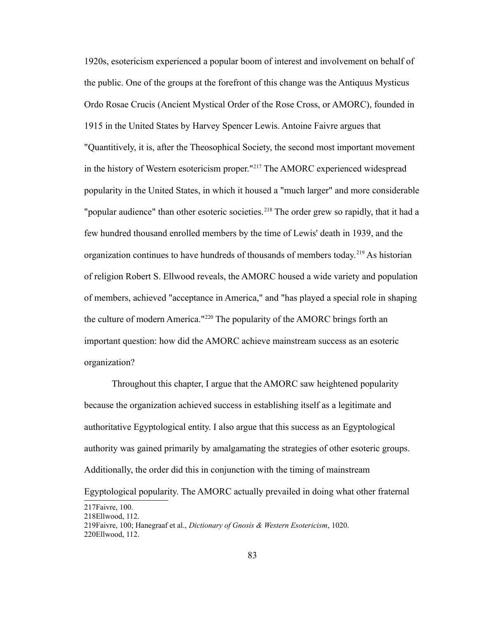1920s, esotericism experienced a popular boom of interest and involvement on behalf of the public. One of the groups at the forefront of this change was the Antiquus Mysticus Ordo Rosae Crucis (Ancient Mystical Order of the Rose Cross, or AMORC), founded in 1915 in the United States by Harvey Spencer Lewis. Antoine Faivre argues that "Quantitively, it is, after the Theosophical Society, the second most important movement in the history of Western esotericism proper."[217](#page-87-0) The AMORC experienced widespread popularity in the United States, in which it housed a "much larger" and more considerable "popular audience" than other esoteric societies.<sup>[218](#page-87-1)</sup> The order grew so rapidly, that it had a few hundred thousand enrolled members by the time of Lewis' death in 1939, and the organization continues to have hundreds of thousands of members today.<sup>[219](#page-87-2)</sup> As historian of religion Robert S. Ellwood reveals, the AMORC housed a wide variety and population of members, achieved "acceptance in America," and "has played a special role in shaping the culture of modern America."[220](#page-87-3) The popularity of the AMORC brings forth an important question: how did the AMORC achieve mainstream success as an esoteric organization?

Throughout this chapter, I argue that the AMORC saw heightened popularity because the organization achieved success in establishing itself as a legitimate and authoritative Egyptological entity. I also argue that this success as an Egyptological authority was gained primarily by amalgamating the strategies of other esoteric groups. Additionally, the order did this in conjunction with the timing of mainstream

Egyptological popularity. The AMORC actually prevailed in doing what other fraternal

<span id="page-87-0"></span><sup>217</sup>Faivre, 100.

<span id="page-87-1"></span><sup>218</sup>Ellwood, 112.

<span id="page-87-3"></span><span id="page-87-2"></span><sup>219</sup>Faivre, 100; Hanegraaf et al., *Dictionary of Gnosis & Western Esotericism*, 1020. 220Ellwood, 112.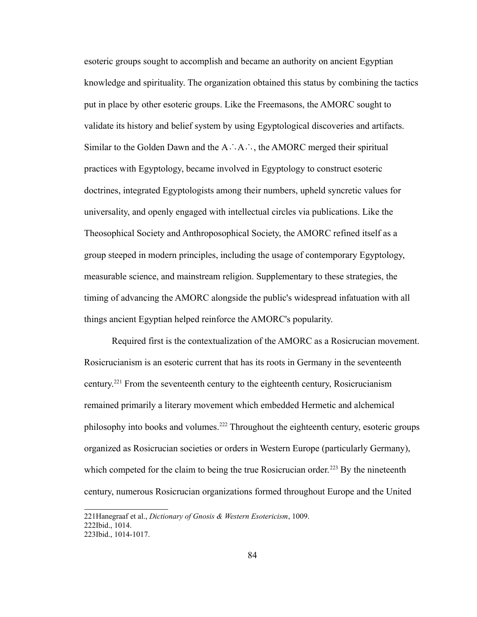esoteric groups sought to accomplish and became an authority on ancient Egyptian knowledge and spirituality. The organization obtained this status by combining the tactics put in place by other esoteric groups. Like the Freemasons, the AMORC sought to validate its history and belief system by using Egyptological discoveries and artifacts. Similar to the Golden Dawn and the A∴A∴, the AMORC merged their spiritual practices with Egyptology, became involved in Egyptology to construct esoteric doctrines, integrated Egyptologists among their numbers, upheld syncretic values for universality, and openly engaged with intellectual circles via publications. Like the Theosophical Society and Anthroposophical Society, the AMORC refined itself as a group steeped in modern principles, including the usage of contemporary Egyptology, measurable science, and mainstream religion. Supplementary to these strategies, the timing of advancing the AMORC alongside the public's widespread infatuation with all things ancient Egyptian helped reinforce the AMORC's popularity.

Required first is the contextualization of the AMORC as a Rosicrucian movement. Rosicrucianism is an esoteric current that has its roots in Germany in the seventeenth century.[221](#page-88-0) From the seventeenth century to the eighteenth century, Rosicrucianism remained primarily a literary movement which embedded Hermetic and alchemical philosophy into books and volumes.[222](#page-88-1) Throughout the eighteenth century, esoteric groups organized as Rosicrucian societies or orders in Western Europe (particularly Germany), which competed for the claim to being the true Rosicrucian order.<sup>[223](#page-88-2)</sup> By the nineteenth century, numerous Rosicrucian organizations formed throughout Europe and the United

<span id="page-88-0"></span><sup>221</sup>Hanegraaf et al., *Dictionary of Gnosis & Western Esotericism*, 1009. 222Ibid., 1014.

<span id="page-88-2"></span><span id="page-88-1"></span><sup>223</sup>Ibid., 1014-1017.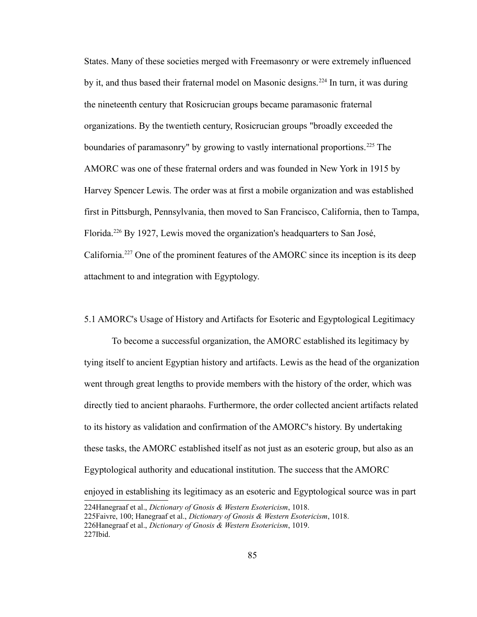States. Many of these societies merged with Freemasonry or were extremely influenced by it, and thus based their fraternal model on Masonic designs.<sup>[224](#page-89-0)</sup> In turn, it was during the nineteenth century that Rosicrucian groups became paramasonic fraternal organizations. By the twentieth century, Rosicrucian groups "broadly exceeded the boundaries of paramasonry" by growing to vastly international proportions.<sup>[225](#page-89-1)</sup> The AMORC was one of these fraternal orders and was founded in New York in 1915 by Harvey Spencer Lewis. The order was at first a mobile organization and was established first in Pittsburgh, Pennsylvania, then moved to San Francisco, California, then to Tampa, Florida.[226](#page-89-2) By 1927, Lewis moved the organization's headquarters to San José, California.[227](#page-89-3) One of the prominent features of the AMORC since its inception is its deep attachment to and integration with Egyptology.

5.1 AMORC's Usage of History and Artifacts for Esoteric and Egyptological Legitimacy

To become a successful organization, the AMORC established its legitimacy by tying itself to ancient Egyptian history and artifacts. Lewis as the head of the organization went through great lengths to provide members with the history of the order, which was directly tied to ancient pharaohs. Furthermore, the order collected ancient artifacts related to its history as validation and confirmation of the AMORC's history. By undertaking these tasks, the AMORC established itself as not just as an esoteric group, but also as an Egyptological authority and educational institution. The success that the AMORC enjoyed in establishing its legitimacy as an esoteric and Egyptological source was in part

<span id="page-89-3"></span><span id="page-89-2"></span><span id="page-89-1"></span><span id="page-89-0"></span><sup>224</sup>Hanegraaf et al., *Dictionary of Gnosis & Western Esotericism*, 1018. 225Faivre, 100; Hanegraaf et al., *Dictionary of Gnosis & Western Esotericism*, 1018. 226Hanegraaf et al., *Dictionary of Gnosis & Western Esotericism*, 1019. 227Ibid.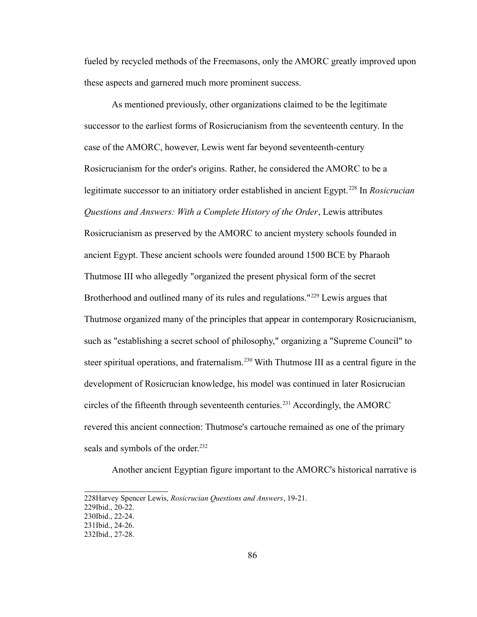fueled by recycled methods of the Freemasons, only the AMORC greatly improved upon these aspects and garnered much more prominent success.

As mentioned previously, other organizations claimed to be the legitimate successor to the earliest forms of Rosicrucianism from the seventeenth century. In the case of the AMORC, however, Lewis went far beyond seventeenth-century Rosicrucianism for the order's origins. Rather, he considered the AMORC to be a legitimate successor to an initiatory order established in ancient Egypt. [228](#page-90-0) In *Rosicrucian Questions and Answers: With a Complete History of the Order*, Lewis attributes Rosicrucianism as preserved by the AMORC to ancient mystery schools founded in ancient Egypt. These ancient schools were founded around 1500 BCE by Pharaoh Thutmose III who allegedly "organized the present physical form of the secret Brotherhood and outlined many of its rules and regulations."<sup>[229](#page-90-1)</sup> Lewis argues that Thutmose organized many of the principles that appear in contemporary Rosicrucianism, such as "establishing a secret school of philosophy," organizing a "Supreme Council" to steer spiritual operations, and fraternalism.<sup>[230](#page-90-2)</sup> With Thutmose III as a central figure in the development of Rosicrucian knowledge, his model was continued in later Rosicrucian circles of the fifteenth through seventeenth centuries.<sup>[231](#page-90-3)</sup> Accordingly, the AMORC revered this ancient connection: Thutmose's cartouche remained as one of the primary seals and symbols of the order.<sup>[232](#page-90-4)</sup>

Another ancient Egyptian figure important to the AMORC's historical narrative is

<span id="page-90-0"></span><sup>228</sup>Harvey Spencer Lewis, *Rosicrucian Questions and Answers*, 19-21.

<span id="page-90-1"></span><sup>229</sup>Ibid., 20-22.

<span id="page-90-2"></span><sup>230</sup>Ibid., 22-24.

<span id="page-90-3"></span><sup>231</sup>Ibid., 24-26.

<span id="page-90-4"></span><sup>232</sup>Ibid., 27-28.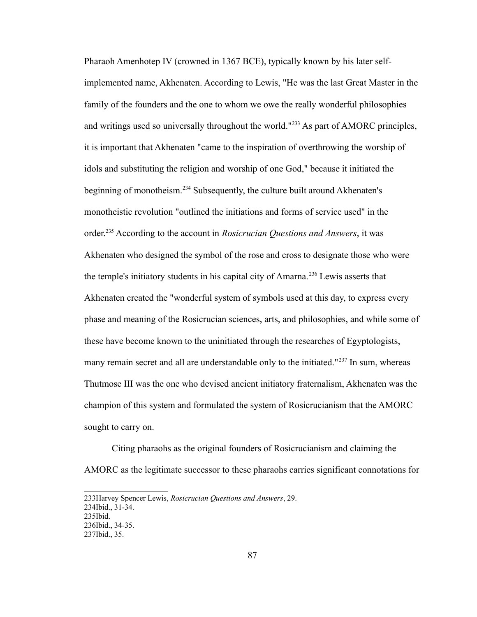Pharaoh Amenhotep IV (crowned in 1367 BCE), typically known by his later selfimplemented name, Akhenaten. According to Lewis, "He was the last Great Master in the family of the founders and the one to whom we owe the really wonderful philosophies and writings used so universally throughout the world."<sup>[233](#page-91-0)</sup> As part of AMORC principles, it is important that Akhenaten "came to the inspiration of overthrowing the worship of idols and substituting the religion and worship of one God," because it initiated the beginning of monotheism.[234](#page-91-1) Subsequently, the culture built around Akhenaten's monotheistic revolution "outlined the initiations and forms of service used" in the order.[235](#page-91-2) According to the account in *Rosicrucian Questions and Answers*, it was Akhenaten who designed the symbol of the rose and cross to designate those who were the temple's initiatory students in his capital city of Amarna.<sup>[236](#page-91-3)</sup> Lewis asserts that Akhenaten created the "wonderful system of symbols used at this day, to express every phase and meaning of the Rosicrucian sciences, arts, and philosophies, and while some of these have become known to the uninitiated through the researches of Egyptologists, many remain secret and all are understandable only to the initiated."<sup>[237](#page-91-4)</sup> In sum, whereas Thutmose III was the one who devised ancient initiatory fraternalism, Akhenaten was the champion of this system and formulated the system of Rosicrucianism that the AMORC sought to carry on.

Citing pharaohs as the original founders of Rosicrucianism and claiming the AMORC as the legitimate successor to these pharaohs carries significant connotations for

<span id="page-91-1"></span>234Ibid., 31-34.

<span id="page-91-0"></span><sup>233</sup>Harvey Spencer Lewis, *Rosicrucian Questions and Answers*, 29.

<span id="page-91-2"></span><sup>235</sup>Ibid.

<span id="page-91-3"></span><sup>236</sup>Ibid., 34-35.

<span id="page-91-4"></span><sup>237</sup>Ibid., 35.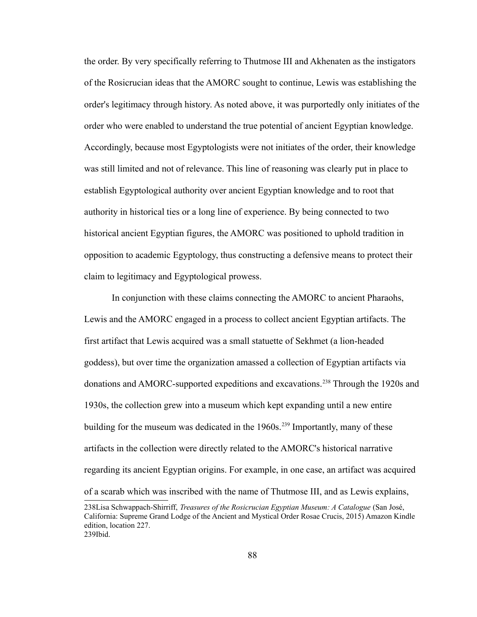the order. By very specifically referring to Thutmose III and Akhenaten as the instigators of the Rosicrucian ideas that the AMORC sought to continue, Lewis was establishing the order's legitimacy through history. As noted above, it was purportedly only initiates of the order who were enabled to understand the true potential of ancient Egyptian knowledge. Accordingly, because most Egyptologists were not initiates of the order, their knowledge was still limited and not of relevance. This line of reasoning was clearly put in place to establish Egyptological authority over ancient Egyptian knowledge and to root that authority in historical ties or a long line of experience. By being connected to two historical ancient Egyptian figures, the AMORC was positioned to uphold tradition in opposition to academic Egyptology, thus constructing a defensive means to protect their claim to legitimacy and Egyptological prowess.

In conjunction with these claims connecting the AMORC to ancient Pharaohs, Lewis and the AMORC engaged in a process to collect ancient Egyptian artifacts. The first artifact that Lewis acquired was a small statuette of Sekhmet (a lion-headed goddess), but over time the organization amassed a collection of Egyptian artifacts via donations and AMORC-supported expeditions and excavations.[238](#page-92-0) Through the 1920s and 1930s, the collection grew into a museum which kept expanding until a new entire building for the museum was dedicated in the  $1960s$ .<sup>[239](#page-92-1)</sup> Importantly, many of these artifacts in the collection were directly related to the AMORC's historical narrative regarding its ancient Egyptian origins. For example, in one case, an artifact was acquired of a scarab which was inscribed with the name of Thutmose III, and as Lewis explains,

<span id="page-92-1"></span><span id="page-92-0"></span><sup>238</sup>Lisa Schwappach-Shirriff, *Treasures of the Rosicrucian Egyptian Museum: A Catalogue* (San José, California: Supreme Grand Lodge of the Ancient and Mystical Order Rosae Crucis, 2015) Amazon Kindle edition, location 227. 239Ibid.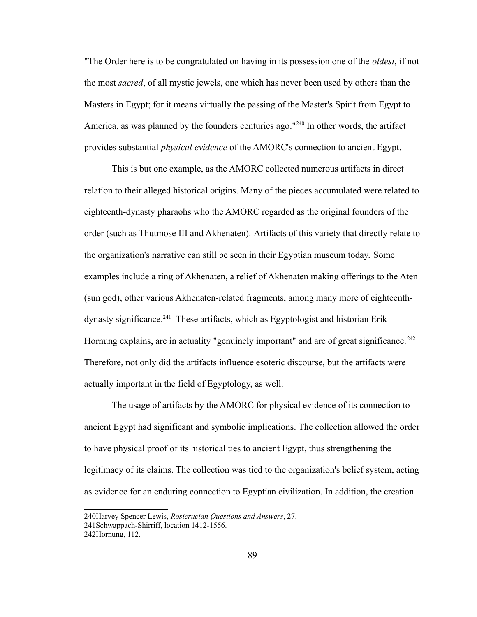"The Order here is to be congratulated on having in its possession one of the *oldest*, if not the most *sacred*, of all mystic jewels, one which has never been used by others than the Masters in Egypt; for it means virtually the passing of the Master's Spirit from Egypt to America, as was planned by the founders centuries ago."<sup>[240](#page-93-0)</sup> In other words, the artifact provides substantial *physical evidence* of the AMORC's connection to ancient Egypt.

This is but one example, as the AMORC collected numerous artifacts in direct relation to their alleged historical origins. Many of the pieces accumulated were related to eighteenth-dynasty pharaohs who the AMORC regarded as the original founders of the order (such as Thutmose III and Akhenaten). Artifacts of this variety that directly relate to the organization's narrative can still be seen in their Egyptian museum today. Some examples include a ring of Akhenaten, a relief of Akhenaten making offerings to the Aten (sun god), other various Akhenaten-related fragments, among many more of eighteenth-dynasty significance.<sup>[241](#page-93-1)</sup> These artifacts, which as Egyptologist and historian Erik Hornung explains, are in actuality "genuinely important" and are of great significance.<sup>[242](#page-93-2)</sup> Therefore, not only did the artifacts influence esoteric discourse, but the artifacts were actually important in the field of Egyptology, as well.

The usage of artifacts by the AMORC for physical evidence of its connection to ancient Egypt had significant and symbolic implications. The collection allowed the order to have physical proof of its historical ties to ancient Egypt, thus strengthening the legitimacy of its claims. The collection was tied to the organization's belief system, acting as evidence for an enduring connection to Egyptian civilization. In addition, the creation

<span id="page-93-0"></span><sup>240</sup>Harvey Spencer Lewis, *Rosicrucian Questions and Answers*, 27.

<span id="page-93-1"></span><sup>241</sup>Schwappach-Shirriff, location 1412-1556.

<span id="page-93-2"></span><sup>242</sup>Hornung, 112.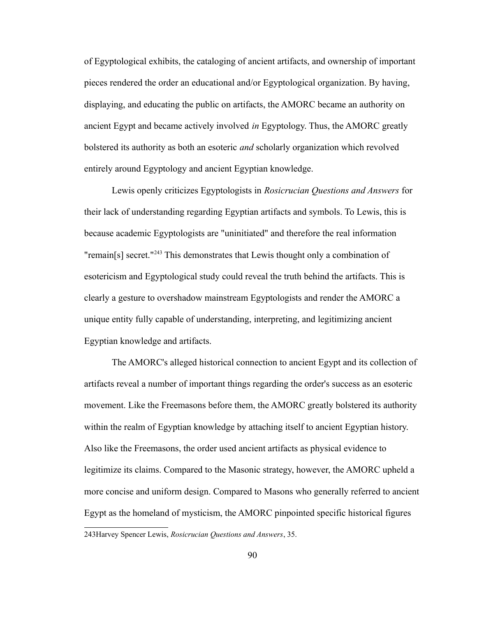of Egyptological exhibits, the cataloging of ancient artifacts, and ownership of important pieces rendered the order an educational and/or Egyptological organization. By having, displaying, and educating the public on artifacts, the AMORC became an authority on ancient Egypt and became actively involved *in* Egyptology. Thus, the AMORC greatly bolstered its authority as both an esoteric *and* scholarly organization which revolved entirely around Egyptology and ancient Egyptian knowledge.

Lewis openly criticizes Egyptologists in *Rosicrucian Questions and Answers* for their lack of understanding regarding Egyptian artifacts and symbols. To Lewis, this is because academic Egyptologists are "uninitiated" and therefore the real information "remain[s] secret."[243](#page-94-0) This demonstrates that Lewis thought only a combination of esotericism and Egyptological study could reveal the truth behind the artifacts. This is clearly a gesture to overshadow mainstream Egyptologists and render the AMORC a unique entity fully capable of understanding, interpreting, and legitimizing ancient Egyptian knowledge and artifacts.

The AMORC's alleged historical connection to ancient Egypt and its collection of artifacts reveal a number of important things regarding the order's success as an esoteric movement. Like the Freemasons before them, the AMORC greatly bolstered its authority within the realm of Egyptian knowledge by attaching itself to ancient Egyptian history. Also like the Freemasons, the order used ancient artifacts as physical evidence to legitimize its claims. Compared to the Masonic strategy, however, the AMORC upheld a more concise and uniform design. Compared to Masons who generally referred to ancient Egypt as the homeland of mysticism, the AMORC pinpointed specific historical figures

<span id="page-94-0"></span><sup>243</sup>Harvey Spencer Lewis, *Rosicrucian Questions and Answers*, 35.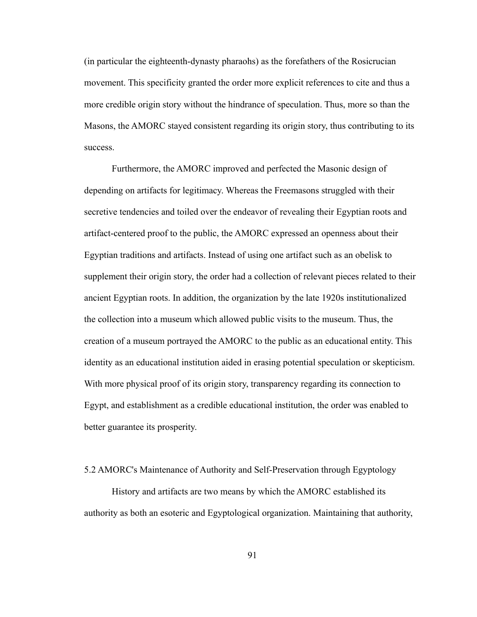(in particular the eighteenth-dynasty pharaohs) as the forefathers of the Rosicrucian movement. This specificity granted the order more explicit references to cite and thus a more credible origin story without the hindrance of speculation. Thus, more so than the Masons, the AMORC stayed consistent regarding its origin story, thus contributing to its success.

Furthermore, the AMORC improved and perfected the Masonic design of depending on artifacts for legitimacy. Whereas the Freemasons struggled with their secretive tendencies and toiled over the endeavor of revealing their Egyptian roots and artifact-centered proof to the public, the AMORC expressed an openness about their Egyptian traditions and artifacts. Instead of using one artifact such as an obelisk to supplement their origin story, the order had a collection of relevant pieces related to their ancient Egyptian roots. In addition, the organization by the late 1920s institutionalized the collection into a museum which allowed public visits to the museum. Thus, the creation of a museum portrayed the AMORC to the public as an educational entity. This identity as an educational institution aided in erasing potential speculation or skepticism. With more physical proof of its origin story, transparency regarding its connection to Egypt, and establishment as a credible educational institution, the order was enabled to better guarantee its prosperity.

## 5.2 AMORC's Maintenance of Authority and Self-Preservation through Egyptology

History and artifacts are two means by which the AMORC established its authority as both an esoteric and Egyptological organization. Maintaining that authority,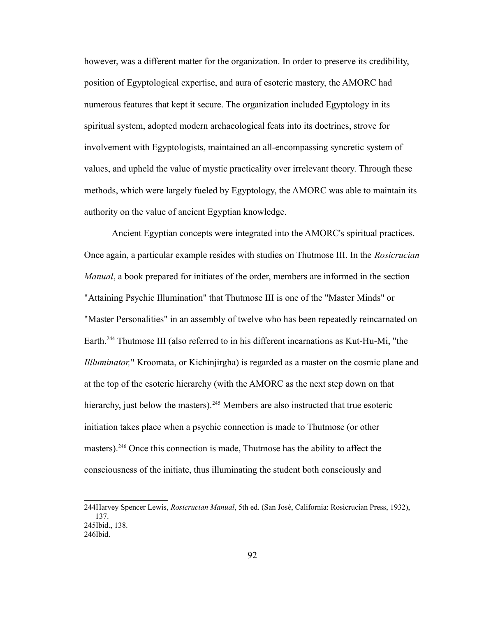however, was a different matter for the organization. In order to preserve its credibility, position of Egyptological expertise, and aura of esoteric mastery, the AMORC had numerous features that kept it secure. The organization included Egyptology in its spiritual system, adopted modern archaeological feats into its doctrines, strove for involvement with Egyptologists, maintained an all-encompassing syncretic system of values, and upheld the value of mystic practicality over irrelevant theory. Through these methods, which were largely fueled by Egyptology, the AMORC was able to maintain its authority on the value of ancient Egyptian knowledge.

Ancient Egyptian concepts were integrated into the AMORC's spiritual practices. Once again, a particular example resides with studies on Thutmose III. In the *Rosicrucian Manual*, a book prepared for initiates of the order, members are informed in the section "Attaining Psychic Illumination" that Thutmose III is one of the "Master Minds" or "Master Personalities" in an assembly of twelve who has been repeatedly reincarnated on Earth.<sup>[244](#page-96-0)</sup> Thutmose III (also referred to in his different incarnations as Kut-Hu-Mi, "the *Illluminator,*" Kroomata, or Kichinjirgha) is regarded as a master on the cosmic plane and at the top of the esoteric hierarchy (with the AMORC as the next step down on that hierarchy, just below the masters).<sup>[245](#page-96-1)</sup> Members are also instructed that true esoteric initiation takes place when a psychic connection is made to Thutmose (or other masters).<sup>[246](#page-96-2)</sup> Once this connection is made, Thutmose has the ability to affect the consciousness of the initiate, thus illuminating the student both consciously and

<span id="page-96-0"></span><sup>244</sup>Harvey Spencer Lewis, *Rosicrucian Manual*, 5th ed. (San José, California: Rosicrucian Press, 1932), 137. 245Ibid., 138.

<span id="page-96-2"></span><span id="page-96-1"></span><sup>246</sup>Ibid.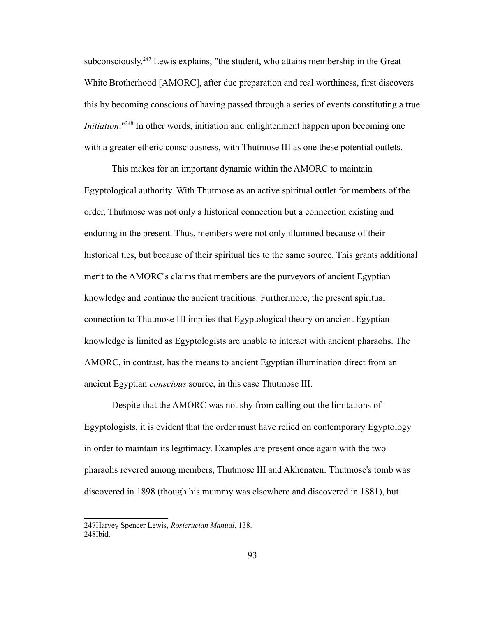subconsciously.<sup>[247](#page-97-0)</sup> Lewis explains, "the student, who attains membership in the Great White Brotherhood [AMORC], after due preparation and real worthiness, first discovers this by becoming conscious of having passed through a series of events constituting a true *Initiation*."<sup>[248](#page-97-1)</sup> In other words, initiation and enlightenment happen upon becoming one with a greater etheric consciousness, with Thutmose III as one these potential outlets.

This makes for an important dynamic within the AMORC to maintain Egyptological authority. With Thutmose as an active spiritual outlet for members of the order, Thutmose was not only a historical connection but a connection existing and enduring in the present. Thus, members were not only illumined because of their historical ties, but because of their spiritual ties to the same source. This grants additional merit to the AMORC's claims that members are the purveyors of ancient Egyptian knowledge and continue the ancient traditions. Furthermore, the present spiritual connection to Thutmose III implies that Egyptological theory on ancient Egyptian knowledge is limited as Egyptologists are unable to interact with ancient pharaohs. The AMORC, in contrast, has the means to ancient Egyptian illumination direct from an ancient Egyptian *conscious* source, in this case Thutmose III.

Despite that the AMORC was not shy from calling out the limitations of Egyptologists, it is evident that the order must have relied on contemporary Egyptology in order to maintain its legitimacy. Examples are present once again with the two pharaohs revered among members, Thutmose III and Akhenaten. Thutmose's tomb was discovered in 1898 (though his mummy was elsewhere and discovered in 1881), but

<span id="page-97-1"></span><span id="page-97-0"></span><sup>247</sup>Harvey Spencer Lewis, *Rosicrucian Manual*, 138. 248Ibid.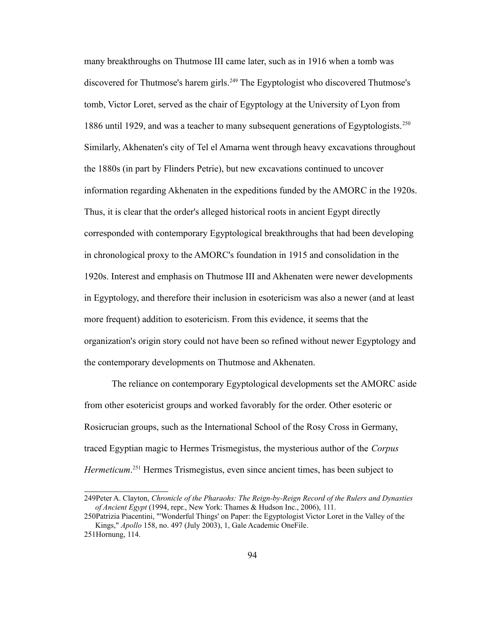many breakthroughs on Thutmose III came later, such as in 1916 when a tomb was discovered for Thutmose's harem girls.<sup>[249](#page-98-0)</sup> The Egyptologist who discovered Thutmose's tomb, Victor Loret, served as the chair of Egyptology at the University of Lyon from 1886 until 1929, and was a teacher to many subsequent generations of Egyptologists.<sup>[250](#page-98-1)</sup> Similarly, Akhenaten's city of Tel el Amarna went through heavy excavations throughout the 1880s (in part by Flinders Petrie), but new excavations continued to uncover information regarding Akhenaten in the expeditions funded by the AMORC in the 1920s. Thus, it is clear that the order's alleged historical roots in ancient Egypt directly corresponded with contemporary Egyptological breakthroughs that had been developing in chronological proxy to the AMORC's foundation in 1915 and consolidation in the 1920s. Interest and emphasis on Thutmose III and Akhenaten were newer developments in Egyptology, and therefore their inclusion in esotericism was also a newer (and at least more frequent) addition to esotericism. From this evidence, it seems that the organization's origin story could not have been so refined without newer Egyptology and the contemporary developments on Thutmose and Akhenaten.

The reliance on contemporary Egyptological developments set the AMORC aside from other esotericist groups and worked favorably for the order. Other esoteric or Rosicrucian groups, such as the International School of the Rosy Cross in Germany, traced Egyptian magic to Hermes Trismegistus, the mysterious author of the *Corpus Hermeticum*. [251](#page-98-2) Hermes Trismegistus, even since ancient times, has been subject to

<span id="page-98-0"></span><sup>249</sup>Peter A. Clayton, *Chronicle of the Pharaohs: The Reign-by-Reign Record of the Rulers and Dynasties of Ancient Egypt* (1994, repr., New York: Thames & Hudson Inc., 2006), 111.

<span id="page-98-1"></span><sup>250</sup>Patrizia Piacentini, "'Wonderful Things' on Paper: the Egyptologist Victor Loret in the Valley of the Kings," *Apollo* 158, no. 497 (July 2003), 1, Gale Academic OneFile.

<span id="page-98-2"></span><sup>251</sup>Hornung, 114.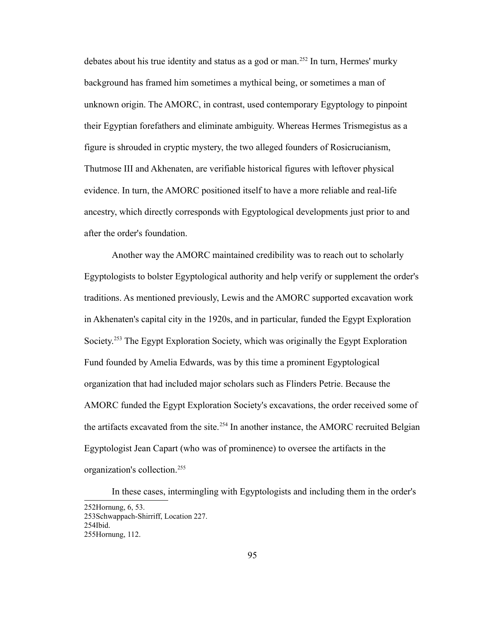debates about his true identity and status as a god or man.<sup>[252](#page-99-0)</sup> In turn, Hermes' murky background has framed him sometimes a mythical being, or sometimes a man of unknown origin. The AMORC, in contrast, used contemporary Egyptology to pinpoint their Egyptian forefathers and eliminate ambiguity. Whereas Hermes Trismegistus as a figure is shrouded in cryptic mystery, the two alleged founders of Rosicrucianism, Thutmose III and Akhenaten, are verifiable historical figures with leftover physical evidence. In turn, the AMORC positioned itself to have a more reliable and real-life ancestry, which directly corresponds with Egyptological developments just prior to and after the order's foundation.

Another way the AMORC maintained credibility was to reach out to scholarly Egyptologists to bolster Egyptological authority and help verify or supplement the order's traditions. As mentioned previously, Lewis and the AMORC supported excavation work in Akhenaten's capital city in the 1920s, and in particular, funded the Egypt Exploration Society.<sup>[253](#page-99-1)</sup> The Egypt Exploration Society, which was originally the Egypt Exploration Fund founded by Amelia Edwards, was by this time a prominent Egyptological organization that had included major scholars such as Flinders Petrie. Because the AMORC funded the Egypt Exploration Society's excavations, the order received some of the artifacts excavated from the site.<sup>[254](#page-99-2)</sup> In another instance, the AMORC recruited Belgian Egyptologist Jean Capart (who was of prominence) to oversee the artifacts in the organization's collection.[255](#page-99-3)

In these cases, intermingling with Egyptologists and including them in the order's

<span id="page-99-3"></span><span id="page-99-2"></span><span id="page-99-1"></span><span id="page-99-0"></span><sup>252</sup>Hornung, 6, 53. 253Schwappach-Shirriff, Location 227. 254Ibid. 255Hornung, 112.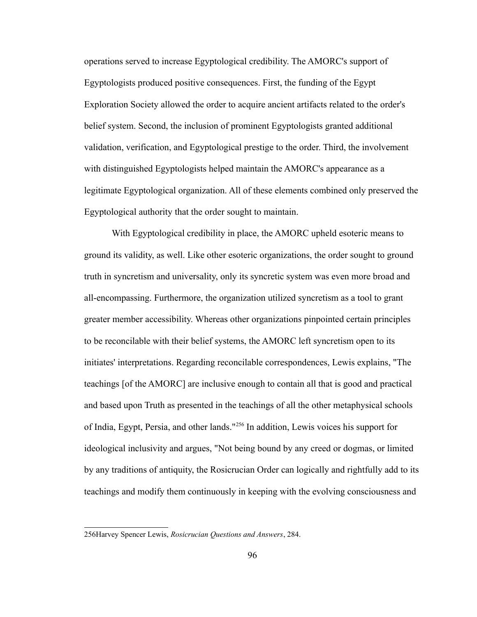operations served to increase Egyptological credibility. The AMORC's support of Egyptologists produced positive consequences. First, the funding of the Egypt Exploration Society allowed the order to acquire ancient artifacts related to the order's belief system. Second, the inclusion of prominent Egyptologists granted additional validation, verification, and Egyptological prestige to the order. Third, the involvement with distinguished Egyptologists helped maintain the AMORC's appearance as a legitimate Egyptological organization. All of these elements combined only preserved the Egyptological authority that the order sought to maintain.

With Egyptological credibility in place, the AMORC upheld esoteric means to ground its validity, as well. Like other esoteric organizations, the order sought to ground truth in syncretism and universality, only its syncretic system was even more broad and all-encompassing. Furthermore, the organization utilized syncretism as a tool to grant greater member accessibility. Whereas other organizations pinpointed certain principles to be reconcilable with their belief systems, the AMORC left syncretism open to its initiates' interpretations. Regarding reconcilable correspondences, Lewis explains, "The teachings [of the AMORC] are inclusive enough to contain all that is good and practical and based upon Truth as presented in the teachings of all the other metaphysical schools of India, Egypt, Persia, and other lands."[256](#page-100-0) In addition, Lewis voices his support for ideological inclusivity and argues, "Not being bound by any creed or dogmas, or limited by any traditions of antiquity, the Rosicrucian Order can logically and rightfully add to its teachings and modify them continuously in keeping with the evolving consciousness and

<span id="page-100-0"></span><sup>256</sup>Harvey Spencer Lewis, *Rosicrucian Questions and Answers*, 284.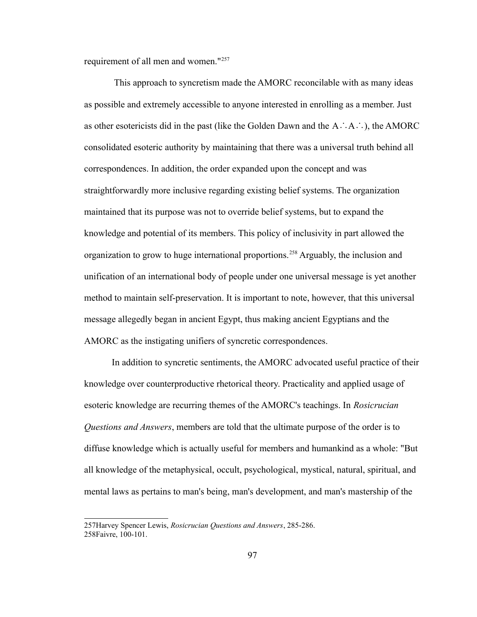requirement of all men and women."<sup>[257](#page-101-0)</sup>

 This approach to syncretism made the AMORC reconcilable with as many ideas as possible and extremely accessible to anyone interested in enrolling as a member. Just as other esotericists did in the past (like the Golden Dawn and the A∴A∴), the AMORC consolidated esoteric authority by maintaining that there was a universal truth behind all correspondences. In addition, the order expanded upon the concept and was straightforwardly more inclusive regarding existing belief systems. The organization maintained that its purpose was not to override belief systems, but to expand the knowledge and potential of its members. This policy of inclusivity in part allowed the organization to grow to huge international proportions.[258](#page-101-1) Arguably, the inclusion and unification of an international body of people under one universal message is yet another method to maintain self-preservation. It is important to note, however, that this universal message allegedly began in ancient Egypt, thus making ancient Egyptians and the AMORC as the instigating unifiers of syncretic correspondences.

In addition to syncretic sentiments, the AMORC advocated useful practice of their knowledge over counterproductive rhetorical theory. Practicality and applied usage of esoteric knowledge are recurring themes of the AMORC's teachings. In *Rosicrucian Questions and Answers*, members are told that the ultimate purpose of the order is to diffuse knowledge which is actually useful for members and humankind as a whole: "But all knowledge of the metaphysical, occult, psychological, mystical, natural, spiritual, and mental laws as pertains to man's being, man's development, and man's mastership of the

<span id="page-101-1"></span><span id="page-101-0"></span><sup>257</sup>Harvey Spencer Lewis, *Rosicrucian Questions and Answers*, 285-286. 258Faivre, 100-101.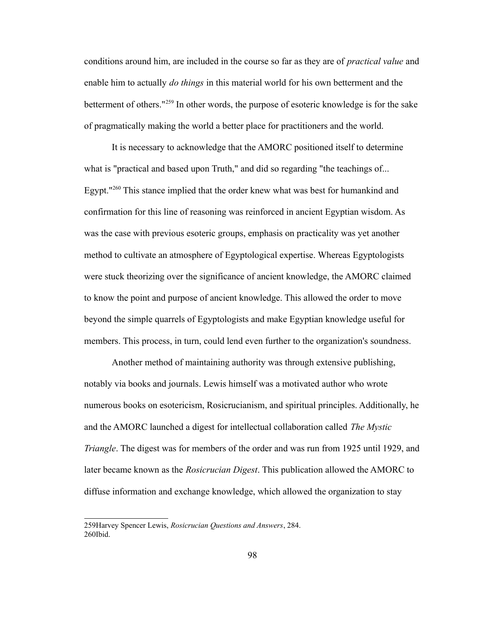conditions around him, are included in the course so far as they are of *practical value* and enable him to actually *do things* in this material world for his own betterment and the betterment of others."[259](#page-102-0) In other words, the purpose of esoteric knowledge is for the sake of pragmatically making the world a better place for practitioners and the world.

It is necessary to acknowledge that the AMORC positioned itself to determine what is "practical and based upon Truth," and did so regarding "the teachings of... Egypt."<sup>[260](#page-102-1)</sup> This stance implied that the order knew what was best for humankind and confirmation for this line of reasoning was reinforced in ancient Egyptian wisdom. As was the case with previous esoteric groups, emphasis on practicality was yet another method to cultivate an atmosphere of Egyptological expertise. Whereas Egyptologists were stuck theorizing over the significance of ancient knowledge, the AMORC claimed to know the point and purpose of ancient knowledge. This allowed the order to move beyond the simple quarrels of Egyptologists and make Egyptian knowledge useful for members. This process, in turn, could lend even further to the organization's soundness.

Another method of maintaining authority was through extensive publishing, notably via books and journals. Lewis himself was a motivated author who wrote numerous books on esotericism, Rosicrucianism, and spiritual principles. Additionally, he and the AMORC launched a digest for intellectual collaboration called *The Mystic Triangle*. The digest was for members of the order and was run from 1925 until 1929, and later became known as the *Rosicrucian Digest*. This publication allowed the AMORC to diffuse information and exchange knowledge, which allowed the organization to stay

<span id="page-102-1"></span><span id="page-102-0"></span><sup>259</sup>Harvey Spencer Lewis, *Rosicrucian Questions and Answers*, 284. 260Ibid.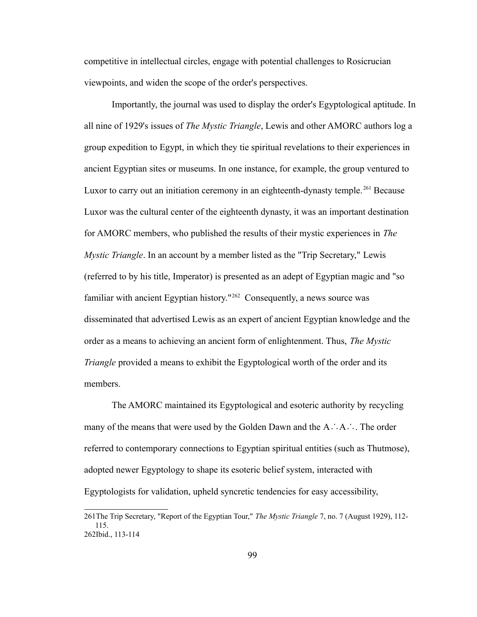competitive in intellectual circles, engage with potential challenges to Rosicrucian viewpoints, and widen the scope of the order's perspectives.

Importantly, the journal was used to display the order's Egyptological aptitude. In all nine of 1929's issues of *The Mystic Triangle*, Lewis and other AMORC authors log a group expedition to Egypt, in which they tie spiritual revelations to their experiences in ancient Egyptian sites or museums. In one instance, for example, the group ventured to Luxor to carry out an initiation ceremony in an eighteenth-dynasty temple.<sup>[261](#page-103-0)</sup> Because Luxor was the cultural center of the eighteenth dynasty, it was an important destination for AMORC members, who published the results of their mystic experiences in *The Mystic Triangle*. In an account by a member listed as the "Trip Secretary," Lewis (referred to by his title, Imperator) is presented as an adept of Egyptian magic and "so familiar with ancient Egyptian history."[262](#page-103-1) Consequently, a news source was disseminated that advertised Lewis as an expert of ancient Egyptian knowledge and the order as a means to achieving an ancient form of enlightenment. Thus, *The Mystic Triangle* provided a means to exhibit the Egyptological worth of the order and its members.

The AMORC maintained its Egyptological and esoteric authority by recycling many of the means that were used by the Golden Dawn and the A∴A∴. The order referred to contemporary connections to Egyptian spiritual entities (such as Thutmose), adopted newer Egyptology to shape its esoteric belief system, interacted with Egyptologists for validation, upheld syncretic tendencies for easy accessibility,

<span id="page-103-1"></span><span id="page-103-0"></span><sup>261</sup>The Trip Secretary, "Report of the Egyptian Tour," *The Mystic Triangle* 7, no. 7 (August 1929), 112- 115. 262Ibid., 113-114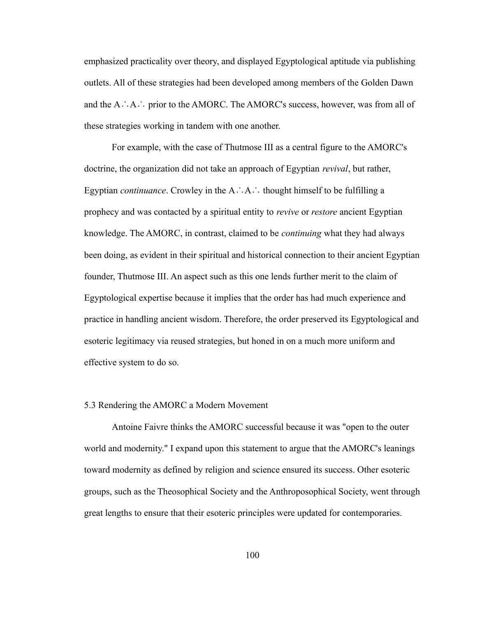emphasized practicality over theory, and displayed Egyptological aptitude via publishing outlets. All of these strategies had been developed among members of the Golden Dawn and the A∴A∴ prior to the AMORC. The AMORC's success, however, was from all of these strategies working in tandem with one another.

For example, with the case of Thutmose III as a central figure to the AMORC's doctrine, the organization did not take an approach of Egyptian *revival*, but rather, Egyptian *continuance*. Crowley in the A∴A∴ thought himself to be fulfilling a prophecy and was contacted by a spiritual entity to *revive* or *restore* ancient Egyptian knowledge. The AMORC, in contrast, claimed to be *continuing* what they had always been doing, as evident in their spiritual and historical connection to their ancient Egyptian founder, Thutmose III. An aspect such as this one lends further merit to the claim of Egyptological expertise because it implies that the order has had much experience and practice in handling ancient wisdom. Therefore, the order preserved its Egyptological and esoteric legitimacy via reused strategies, but honed in on a much more uniform and effective system to do so.

## 5.3 Rendering the AMORC a Modern Movement

Antoine Faivre thinks the AMORC successful because it was "open to the outer world and modernity." I expand upon this statement to argue that the AMORC's leanings toward modernity as defined by religion and science ensured its success. Other esoteric groups, such as the Theosophical Society and the Anthroposophical Society, went through great lengths to ensure that their esoteric principles were updated for contemporaries.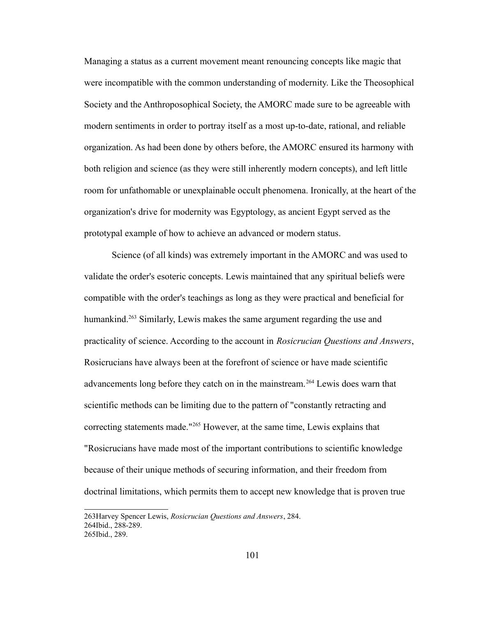Managing a status as a current movement meant renouncing concepts like magic that were incompatible with the common understanding of modernity. Like the Theosophical Society and the Anthroposophical Society, the AMORC made sure to be agreeable with modern sentiments in order to portray itself as a most up-to-date, rational, and reliable organization. As had been done by others before, the AMORC ensured its harmony with both religion and science (as they were still inherently modern concepts), and left little room for unfathomable or unexplainable occult phenomena. Ironically, at the heart of the organization's drive for modernity was Egyptology, as ancient Egypt served as the prototypal example of how to achieve an advanced or modern status.

Science (of all kinds) was extremely important in the AMORC and was used to validate the order's esoteric concepts. Lewis maintained that any spiritual beliefs were compatible with the order's teachings as long as they were practical and beneficial for humankind.<sup>[263](#page-105-0)</sup> Similarly, Lewis makes the same argument regarding the use and practicality of science. According to the account in *Rosicrucian Questions and Answers*, Rosicrucians have always been at the forefront of science or have made scientific advancements long before they catch on in the mainstream.<sup>[264](#page-105-1)</sup> Lewis does warn that scientific methods can be limiting due to the pattern of "constantly retracting and correcting statements made."[265](#page-105-2) However, at the same time, Lewis explains that "Rosicrucians have made most of the important contributions to scientific knowledge because of their unique methods of securing information, and their freedom from doctrinal limitations, which permits them to accept new knowledge that is proven true

<span id="page-105-2"></span><span id="page-105-1"></span><span id="page-105-0"></span><sup>263</sup>Harvey Spencer Lewis, *Rosicrucian Questions and Answers*, 284. 264Ibid., 288-289. 265Ibid., 289.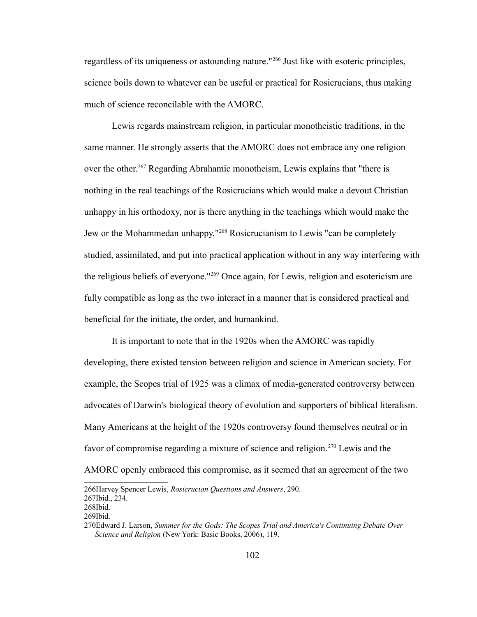regardless of its uniqueness or astounding nature."[266](#page-106-0) Just like with esoteric principles, science boils down to whatever can be useful or practical for Rosicrucians, thus making much of science reconcilable with the AMORC.

Lewis regards mainstream religion, in particular monotheistic traditions, in the same manner. He strongly asserts that the AMORC does not embrace any one religion over the other.<sup>[267](#page-106-1)</sup> Regarding Abrahamic monotheism, Lewis explains that "there is nothing in the real teachings of the Rosicrucians which would make a devout Christian unhappy in his orthodoxy, nor is there anything in the teachings which would make the Jew or the Mohammedan unhappy."[268](#page-106-2) Rosicrucianism to Lewis "can be completely studied, assimilated, and put into practical application without in any way interfering with the religious beliefs of everyone."[269](#page-106-3) Once again, for Lewis, religion and esotericism are fully compatible as long as the two interact in a manner that is considered practical and beneficial for the initiate, the order, and humankind.

It is important to note that in the 1920s when the AMORC was rapidly developing, there existed tension between religion and science in American society. For example, the Scopes trial of 1925 was a climax of media-generated controversy between advocates of Darwin's biological theory of evolution and supporters of biblical literalism. Many Americans at the height of the 1920s controversy found themselves neutral or in favor of compromise regarding a mixture of science and religion.<sup>[270](#page-106-4)</sup> Lewis and the AMORC openly embraced this compromise, as it seemed that an agreement of the two

<span id="page-106-1"></span><span id="page-106-0"></span><sup>266</sup>Harvey Spencer Lewis, *Rosicrucian Questions and Answers*, 290. 267Ibid., 234.

<span id="page-106-2"></span><sup>268</sup>Ibid.

<span id="page-106-3"></span><sup>269</sup>Ibid.

<span id="page-106-4"></span><sup>270</sup>Edward J. Larson, *Summer for the Gods: The Scopes Trial and America's Continuing Debate Over Science and Religion* (New York: Basic Books, 2006), 119.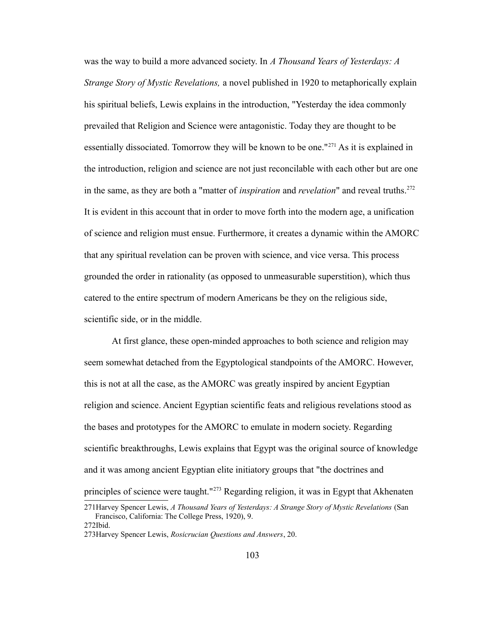was the way to build a more advanced society. In *A Thousand Years of Yesterdays: A Strange Story of Mystic Revelations,* a novel published in 1920 to metaphorically explain his spiritual beliefs, Lewis explains in the introduction, "Yesterday the idea commonly prevailed that Religion and Science were antagonistic. Today they are thought to be essentially dissociated. Tomorrow they will be known to be one."<sup>[271](#page-107-0)</sup> As it is explained in the introduction, religion and science are not just reconcilable with each other but are one in the same, as they are both a "matter of *inspiration* and *revelation*" and reveal truths.<sup>[272](#page-107-1)</sup> It is evident in this account that in order to move forth into the modern age, a unification of science and religion must ensue. Furthermore, it creates a dynamic within the AMORC that any spiritual revelation can be proven with science, and vice versa. This process grounded the order in rationality (as opposed to unmeasurable superstition), which thus catered to the entire spectrum of modern Americans be they on the religious side, scientific side, or in the middle.

At first glance, these open-minded approaches to both science and religion may seem somewhat detached from the Egyptological standpoints of the AMORC. However, this is not at all the case, as the AMORC was greatly inspired by ancient Egyptian religion and science. Ancient Egyptian scientific feats and religious revelations stood as the bases and prototypes for the AMORC to emulate in modern society. Regarding scientific breakthroughs, Lewis explains that Egypt was the original source of knowledge and it was among ancient Egyptian elite initiatory groups that "the doctrines and principles of science were taught."[273](#page-107-2) Regarding religion, it was in Egypt that Akhenaten

<span id="page-107-0"></span><sup>271</sup>Harvey Spencer Lewis, *A Thousand Years of Yesterdays: A Strange Story of Mystic Revelations* (San Francisco, California: The College Press, 1920), 9. 272Ibid.

<span id="page-107-2"></span><span id="page-107-1"></span><sup>273</sup>Harvey Spencer Lewis, *Rosicrucian Questions and Answers*, 20.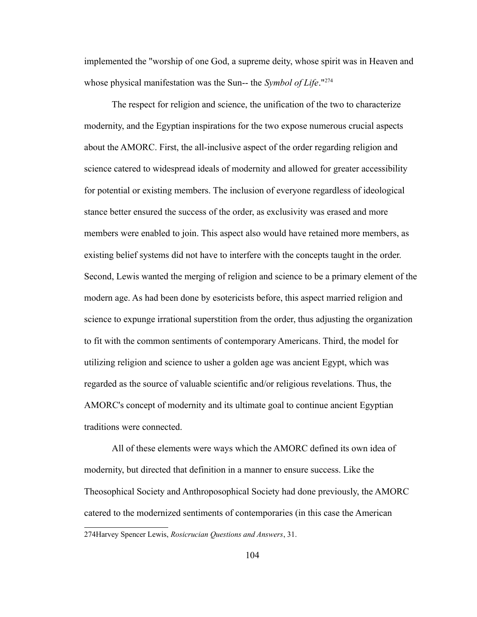implemented the "worship of one God, a supreme deity, whose spirit was in Heaven and whose physical manifestation was the Sun-- the *Symbol of Life*."[274](#page-108-0)

The respect for religion and science, the unification of the two to characterize modernity, and the Egyptian inspirations for the two expose numerous crucial aspects about the AMORC. First, the all-inclusive aspect of the order regarding religion and science catered to widespread ideals of modernity and allowed for greater accessibility for potential or existing members. The inclusion of everyone regardless of ideological stance better ensured the success of the order, as exclusivity was erased and more members were enabled to join. This aspect also would have retained more members, as existing belief systems did not have to interfere with the concepts taught in the order. Second, Lewis wanted the merging of religion and science to be a primary element of the modern age. As had been done by esotericists before, this aspect married religion and science to expunge irrational superstition from the order, thus adjusting the organization to fit with the common sentiments of contemporary Americans. Third, the model for utilizing religion and science to usher a golden age was ancient Egypt, which was regarded as the source of valuable scientific and/or religious revelations. Thus, the AMORC's concept of modernity and its ultimate goal to continue ancient Egyptian traditions were connected.

All of these elements were ways which the AMORC defined its own idea of modernity, but directed that definition in a manner to ensure success. Like the Theosophical Society and Anthroposophical Society had done previously, the AMORC catered to the modernized sentiments of contemporaries (in this case the American

<span id="page-108-0"></span><sup>274</sup>Harvey Spencer Lewis, *Rosicrucian Questions and Answers*, 31.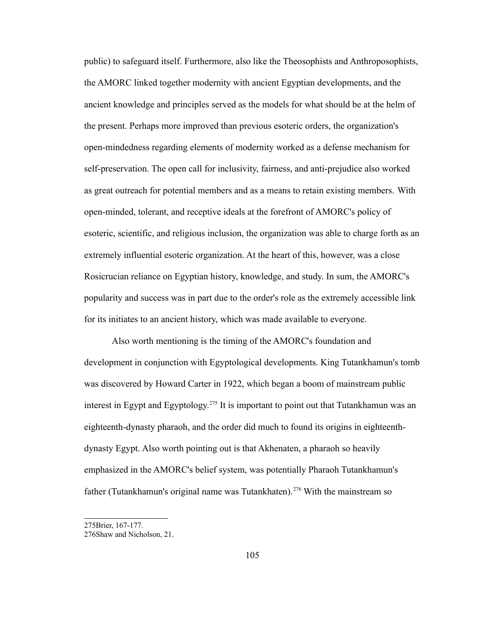public) to safeguard itself. Furthermore, also like the Theosophists and Anthroposophists, the AMORC linked together modernity with ancient Egyptian developments, and the ancient knowledge and principles served as the models for what should be at the helm of the present. Perhaps more improved than previous esoteric orders, the organization's open-mindedness regarding elements of modernity worked as a defense mechanism for self-preservation. The open call for inclusivity, fairness, and anti-prejudice also worked as great outreach for potential members and as a means to retain existing members. With open-minded, tolerant, and receptive ideals at the forefront of AMORC's policy of esoteric, scientific, and religious inclusion, the organization was able to charge forth as an extremely influential esoteric organization. At the heart of this, however, was a close Rosicrucian reliance on Egyptian history, knowledge, and study. In sum, the AMORC's popularity and success was in part due to the order's role as the extremely accessible link for its initiates to an ancient history, which was made available to everyone.

Also worth mentioning is the timing of the AMORC's foundation and development in conjunction with Egyptological developments. King Tutankhamun's tomb was discovered by Howard Carter in 1922, which began a boom of mainstream public interest in Egypt and Egyptology.<sup>[275](#page-109-0)</sup> It is important to point out that Tutankhamun was an eighteenth-dynasty pharaoh, and the order did much to found its origins in eighteenthdynasty Egypt. Also worth pointing out is that Akhenaten, a pharaoh so heavily emphasized in the AMORC's belief system, was potentially Pharaoh Tutankhamun's father (Tutankhamun's original name was Tutankhaten).<sup>[276](#page-109-1)</sup> With the mainstream so

<span id="page-109-0"></span><sup>275</sup>Brier, 167-177.

<span id="page-109-1"></span><sup>276</sup>Shaw and Nicholson, 21.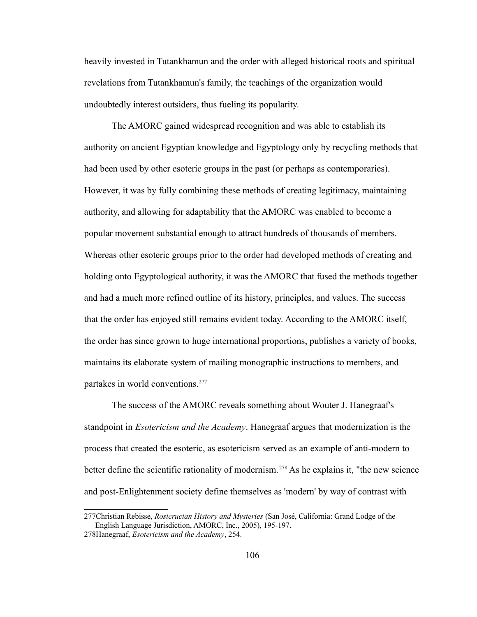heavily invested in Tutankhamun and the order with alleged historical roots and spiritual revelations from Tutankhamun's family, the teachings of the organization would undoubtedly interest outsiders, thus fueling its popularity.

The AMORC gained widespread recognition and was able to establish its authority on ancient Egyptian knowledge and Egyptology only by recycling methods that had been used by other esoteric groups in the past (or perhaps as contemporaries). However, it was by fully combining these methods of creating legitimacy, maintaining authority, and allowing for adaptability that the AMORC was enabled to become a popular movement substantial enough to attract hundreds of thousands of members. Whereas other esoteric groups prior to the order had developed methods of creating and holding onto Egyptological authority, it was the AMORC that fused the methods together and had a much more refined outline of its history, principles, and values. The success that the order has enjoyed still remains evident today. According to the AMORC itself, the order has since grown to huge international proportions, publishes a variety of books, maintains its elaborate system of mailing monographic instructions to members, and partakes in world conventions.<sup>[277](#page-110-0)</sup>

The success of the AMORC reveals something about Wouter J. Hanegraaf's standpoint in *Esotericism and the Academy*. Hanegraaf argues that modernization is the process that created the esoteric, as esotericism served as an example of anti-modern to better define the scientific rationality of modernism.<sup>[278](#page-110-1)</sup> As he explains it, "the new science and post-Enlightenment society define themselves as 'modern' by way of contrast with

<span id="page-110-1"></span><span id="page-110-0"></span><sup>277</sup>Christian Rebisse, *Rosicrucian History and Mysteries* (San José, California: Grand Lodge of the English Language Jurisdiction, AMORC, Inc., 2005), 195-197. 278Hanegraaf, *Esotericism and the Academy*, 254.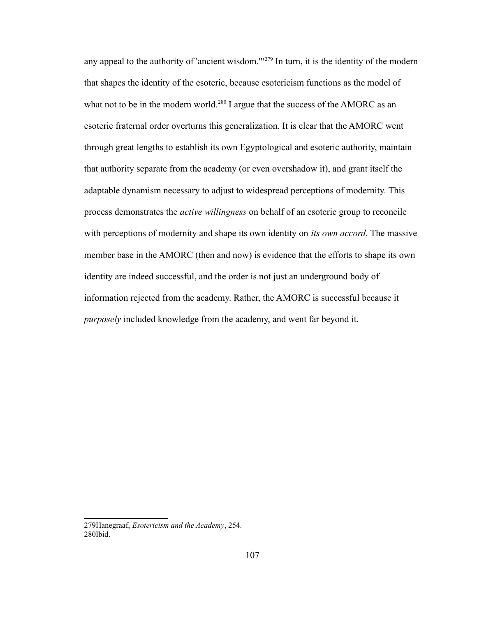any appeal to the authority of 'ancient wisdom.'"<sup>[279](#page-111-0)</sup> In turn, it is the identity of the modern that shapes the identity of the esoteric, because esotericism functions as the model of what not to be in the modern world.<sup>[280](#page-111-1)</sup> I argue that the success of the AMORC as an esoteric fraternal order overturns this generalization. It is clear that the AMORC went through great lengths to establish its own Egyptological and esoteric authority, maintain that authority separate from the academy (or even overshadow it), and grant itself the adaptable dynamism necessary to adjust to widespread perceptions of modernity. This process demonstrates the *active willingness* on behalf of an esoteric group to reconcile with perceptions of modernity and shape its own identity on *its own accord*. The massive member base in the AMORC (then and now) is evidence that the efforts to shape its own identity are indeed successful, and the order is not just an underground body of information rejected from the academy. Rather, the AMORC is successful because it *purposely* included knowledge from the academy, and went far beyond it.

<span id="page-111-1"></span><span id="page-111-0"></span><sup>279</sup>Hanegraaf, *Esotericism and the Academy*, 254. 280Ibid.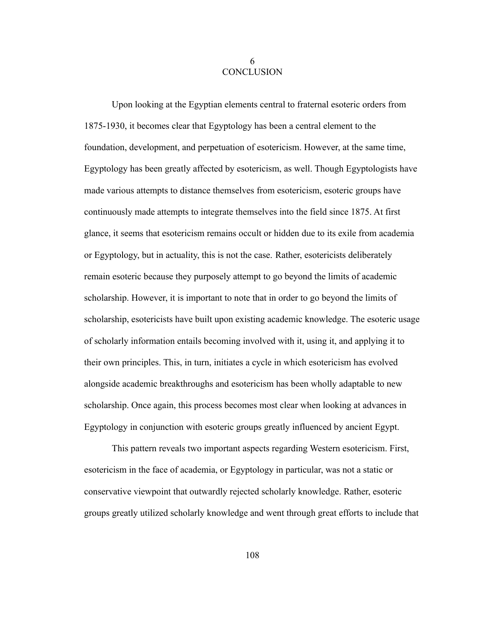## 6 **CONCLUSION**

Upon looking at the Egyptian elements central to fraternal esoteric orders from 1875-1930, it becomes clear that Egyptology has been a central element to the foundation, development, and perpetuation of esotericism. However, at the same time, Egyptology has been greatly affected by esotericism, as well. Though Egyptologists have made various attempts to distance themselves from esotericism, esoteric groups have continuously made attempts to integrate themselves into the field since 1875. At first glance, it seems that esotericism remains occult or hidden due to its exile from academia or Egyptology, but in actuality, this is not the case. Rather, esotericists deliberately remain esoteric because they purposely attempt to go beyond the limits of academic scholarship. However, it is important to note that in order to go beyond the limits of scholarship, esotericists have built upon existing academic knowledge. The esoteric usage of scholarly information entails becoming involved with it, using it, and applying it to their own principles. This, in turn, initiates a cycle in which esotericism has evolved alongside academic breakthroughs and esotericism has been wholly adaptable to new scholarship. Once again, this process becomes most clear when looking at advances in Egyptology in conjunction with esoteric groups greatly influenced by ancient Egypt.

This pattern reveals two important aspects regarding Western esotericism. First, esotericism in the face of academia, or Egyptology in particular, was not a static or conservative viewpoint that outwardly rejected scholarly knowledge. Rather, esoteric groups greatly utilized scholarly knowledge and went through great efforts to include that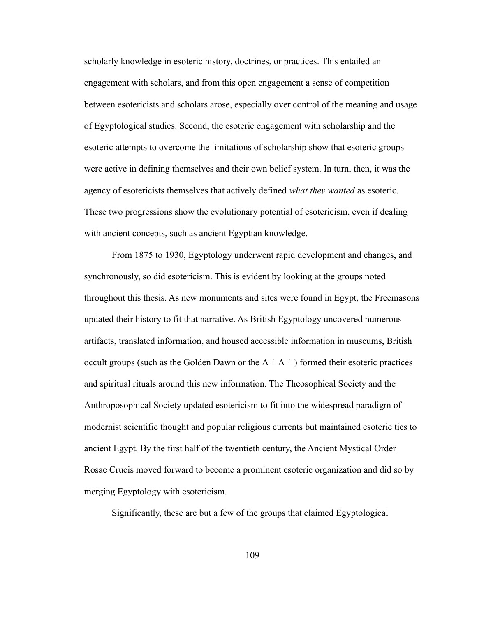scholarly knowledge in esoteric history, doctrines, or practices. This entailed an engagement with scholars, and from this open engagement a sense of competition between esotericists and scholars arose, especially over control of the meaning and usage of Egyptological studies. Second, the esoteric engagement with scholarship and the esoteric attempts to overcome the limitations of scholarship show that esoteric groups were active in defining themselves and their own belief system. In turn, then, it was the agency of esotericists themselves that actively defined *what they wanted* as esoteric. These two progressions show the evolutionary potential of esotericism, even if dealing with ancient concepts, such as ancient Egyptian knowledge.

From 1875 to 1930, Egyptology underwent rapid development and changes, and synchronously, so did esotericism. This is evident by looking at the groups noted throughout this thesis. As new monuments and sites were found in Egypt, the Freemasons updated their history to fit that narrative. As British Egyptology uncovered numerous artifacts, translated information, and housed accessible information in museums, British occult groups (such as the Golden Dawn or the A∴A∴) formed their esoteric practices and spiritual rituals around this new information. The Theosophical Society and the Anthroposophical Society updated esotericism to fit into the widespread paradigm of modernist scientific thought and popular religious currents but maintained esoteric ties to ancient Egypt. By the first half of the twentieth century, the Ancient Mystical Order Rosae Crucis moved forward to become a prominent esoteric organization and did so by merging Egyptology with esotericism.

Significantly, these are but a few of the groups that claimed Egyptological

109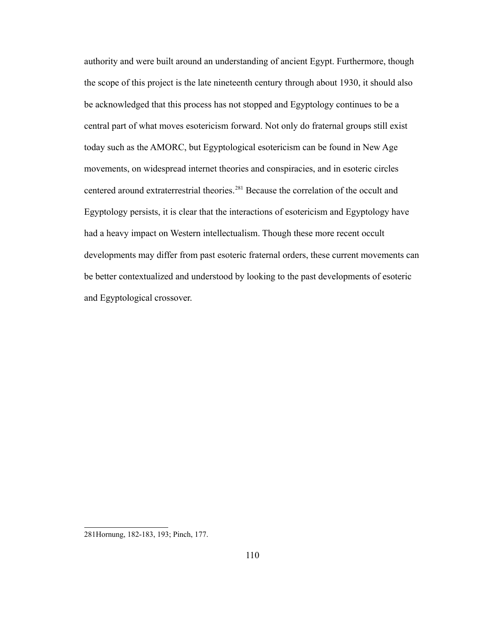authority and were built around an understanding of ancient Egypt. Furthermore, though the scope of this project is the late nineteenth century through about 1930, it should also be acknowledged that this process has not stopped and Egyptology continues to be a central part of what moves esotericism forward. Not only do fraternal groups still exist today such as the AMORC, but Egyptological esotericism can be found in New Age movements, on widespread internet theories and conspiracies, and in esoteric circles centered around extraterrestrial theories.[281](#page-114-0) Because the correlation of the occult and Egyptology persists, it is clear that the interactions of esotericism and Egyptology have had a heavy impact on Western intellectualism. Though these more recent occult developments may differ from past esoteric fraternal orders, these current movements can be better contextualized and understood by looking to the past developments of esoteric and Egyptological crossover.

<span id="page-114-0"></span><sup>281</sup>Hornung, 182-183, 193; Pinch, 177.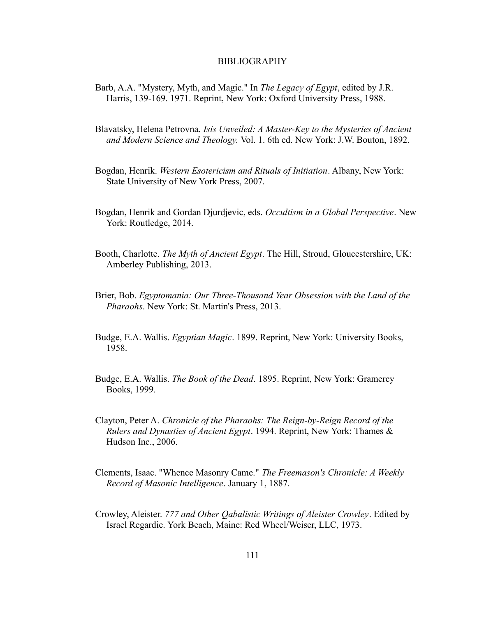## BIBLIOGRAPHY

- Barb, A.A. "Mystery, Myth, and Magic." In *The Legacy of Egypt*, edited by J.R. Harris, 139-169. 1971. Reprint, New York: Oxford University Press, 1988.
- Blavatsky, Helena Petrovna. *Isis Unveiled: A Master-Key to the Mysteries of Ancient and Modern Science and Theology.* Vol. 1. 6th ed. New York: J.W. Bouton, 1892.
- Bogdan, Henrik. *Western Esotericism and Rituals of Initiation*. Albany, New York: State University of New York Press, 2007.
- Bogdan, Henrik and Gordan Djurdjevic, eds. *Occultism in a Global Perspective*. New York: Routledge, 2014.
- Booth, Charlotte. *The Myth of Ancient Egypt*. The Hill, Stroud, Gloucestershire, UK: Amberley Publishing, 2013.
- Brier, Bob. *Egyptomania: Our Three-Thousand Year Obsession with the Land of the Pharaohs*. New York: St. Martin's Press, 2013.
- Budge, E.A. Wallis. *Egyptian Magic*. 1899. Reprint, New York: University Books, 1958.
- Budge, E.A. Wallis. *The Book of the Dead*. 1895. Reprint, New York: Gramercy Books, 1999.
- Clayton, Peter A. *Chronicle of the Pharaohs: The Reign-by-Reign Record of the Rulers and Dynasties of Ancient Egypt*. 1994. Reprint, New York: Thames & Hudson Inc., 2006.
- Clements, Isaac. "Whence Masonry Came." *The Freemason's Chronicle: A Weekly Record of Masonic Intelligence*. January 1, 1887.
- Crowley, Aleister. *777 and Other Qabalistic Writings of Aleister Crowley*. Edited by Israel Regardie. York Beach, Maine: Red Wheel/Weiser, LLC, 1973.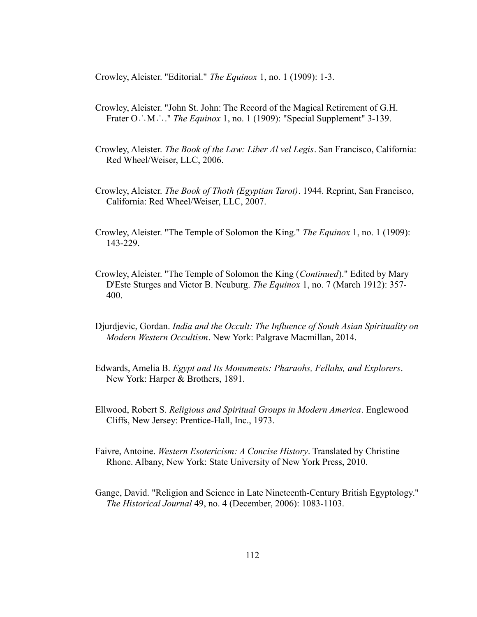Crowley, Aleister. "Editorial." *The Equinox* 1, no. 1 (1909): 1-3.

- Crowley, Aleister. "John St. John: The Record of the Magical Retirement of G.H. Frater O∴M∴." *The Equinox* 1, no. 1 (1909): "Special Supplement" 3-139.
- Crowley, Aleister. *The Book of the Law: Liber Al vel Legis*. San Francisco, California: Red Wheel/Weiser, LLC, 2006.
- Crowley, Aleister. *The Book of Thoth (Egyptian Tarot)*. 1944. Reprint, San Francisco, California: Red Wheel/Weiser, LLC, 2007.
- Crowley, Aleister. "The Temple of Solomon the King." *The Equinox* 1, no. 1 (1909): 143-229.
- Crowley, Aleister. "The Temple of Solomon the King (*Continued*)." Edited by Mary D'Este Sturges and Victor B. Neuburg. *The Equinox* 1, no. 7 (March 1912): 357- 400.
- Djurdjevic, Gordan. *India and the Occult: The Influence of South Asian Spirituality on Modern Western Occultism*. New York: Palgrave Macmillan, 2014.
- Edwards, Amelia B. *Egypt and Its Monuments: Pharaohs, Fellahs, and Explorers*. New York: Harper & Brothers, 1891.
- Ellwood, Robert S. *Religious and Spiritual Groups in Modern America*. Englewood Cliffs, New Jersey: Prentice-Hall, Inc., 1973.
- Faivre, Antoine. *Western Esotericism: A Concise History*. Translated by Christine Rhone. Albany, New York: State University of New York Press, 2010.
- Gange, David. "Religion and Science in Late Nineteenth-Century British Egyptology." *The Historical Journal* 49, no. 4 (December, 2006): 1083-1103.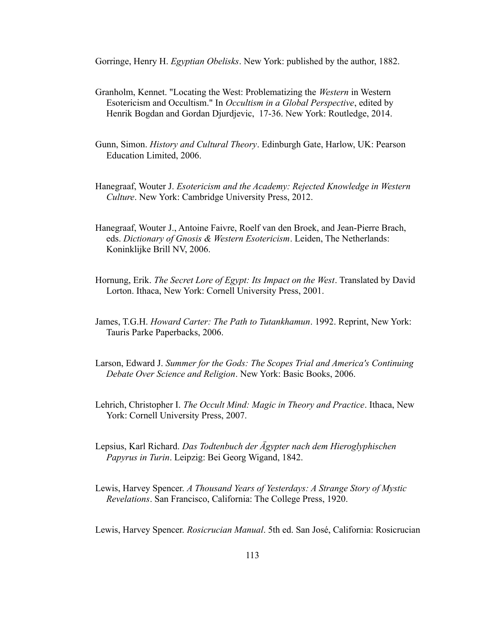Gorringe, Henry H. *Egyptian Obelisks*. New York: published by the author, 1882.

- Granholm, Kennet. "Locating the West: Problematizing the *Western* in Western Esotericism and Occultism." In *Occultism in a Global Perspective*, edited by Henrik Bogdan and Gordan Djurdjevic, 17-36. New York: Routledge, 2014.
- Gunn, Simon. *History and Cultural Theory*. Edinburgh Gate, Harlow, UK: Pearson Education Limited, 2006.
- Hanegraaf, Wouter J. *Esotericism and the Academy: Rejected Knowledge in Western Culture*. New York: Cambridge University Press, 2012.
- Hanegraaf, Wouter J., Antoine Faivre, Roelf van den Broek, and Jean-Pierre Brach, eds. *Dictionary of Gnosis & Western Esotericism*. Leiden, The Netherlands: Koninklijke Brill NV, 2006.
- Hornung, Erik. *The Secret Lore of Egypt: Its Impact on the West*. Translated by David Lorton. Ithaca, New York: Cornell University Press, 2001.
- James, T.G.H. *Howard Carter: The Path to Tutankhamun*. 1992. Reprint, New York: Tauris Parke Paperbacks, 2006.
- Larson, Edward J. *Summer for the Gods: The Scopes Trial and America's Continuing Debate Over Science and Religion*. New York: Basic Books, 2006.
- Lehrich, Christopher I. *The Occult Mind: Magic in Theory and Practice*. Ithaca, New York: Cornell University Press, 2007.
- Lepsius, Karl Richard. *Das Todtenbuch der Ägypter nach dem Hieroglyphischen Papyrus in Turin*. Leipzig: Bei Georg Wigand, 1842.
- Lewis, Harvey Spencer. *A Thousand Years of Yesterdays: A Strange Story of Mystic Revelations*. San Francisco, California: The College Press, 1920.

Lewis, Harvey Spencer. *Rosicrucian Manual*. 5th ed. San José, California: Rosicrucian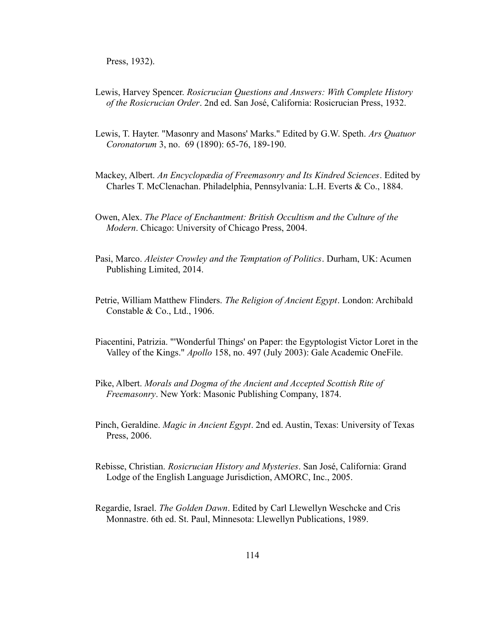Press, 1932).

- Lewis, Harvey Spencer. *Rosicrucian Questions and Answers: With Complete History of the Rosicrucian Order*. 2nd ed. San José, California: Rosicrucian Press, 1932.
- Lewis, T. Hayter. "Masonry and Masons' Marks." Edited by G.W. Speth. *Ars Quatuor Coronatorum* 3, no. 69 (1890): 65-76, 189-190.
- Mackey, Albert. *An Encyclopædia of Freemasonry and Its Kindred Sciences*. Edited by Charles T. McClenachan. Philadelphia, Pennsylvania: L.H. Everts & Co., 1884.
- Owen, Alex. *The Place of Enchantment: British Occultism and the Culture of the Modern*. Chicago: University of Chicago Press, 2004.
- Pasi, Marco. *Aleister Crowley and the Temptation of Politics*. Durham, UK: Acumen Publishing Limited, 2014.
- Petrie, William Matthew Flinders. *The Religion of Ancient Egypt*. London: Archibald Constable & Co., Ltd., 1906.
- Piacentini, Patrizia. "'Wonderful Things' on Paper: the Egyptologist Victor Loret in the Valley of the Kings." *Apollo* 158, no. 497 (July 2003): Gale Academic OneFile.
- Pike, Albert. *Morals and Dogma of the Ancient and Accepted Scottish Rite of Freemasonry*. New York: Masonic Publishing Company, 1874.
- Pinch, Geraldine. *Magic in Ancient Egypt*. 2nd ed. Austin, Texas: University of Texas Press, 2006.
- Rebisse, Christian. *Rosicrucian History and Mysteries*. San José, California: Grand Lodge of the English Language Jurisdiction, AMORC, Inc., 2005.
- Regardie, Israel. *The Golden Dawn*. Edited by Carl Llewellyn Weschcke and Cris Monnastre. 6th ed. St. Paul, Minnesota: Llewellyn Publications, 1989.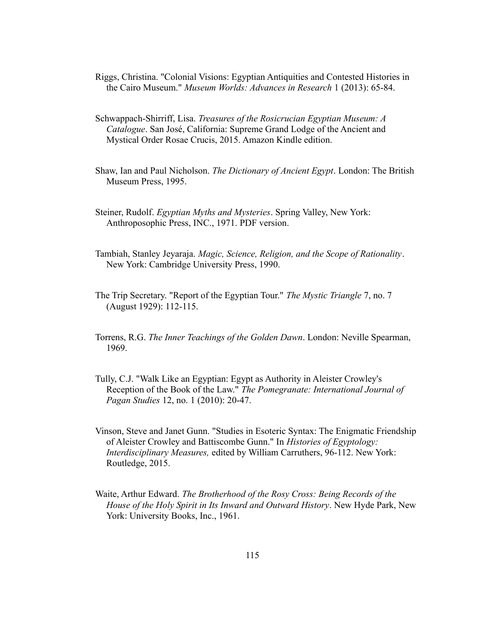- Riggs, Christina. "Colonial Visions: Egyptian Antiquities and Contested Histories in the Cairo Museum." *Museum Worlds: Advances in Research* 1 (2013): 65-84.
- Schwappach-Shirriff, Lisa. *Treasures of the Rosicrucian Egyptian Museum: A Catalogue*. San José, California: Supreme Grand Lodge of the Ancient and Mystical Order Rosae Crucis, 2015. Amazon Kindle edition.
- Shaw, Ian and Paul Nicholson. *The Dictionary of Ancient Egypt*. London: The British Museum Press, 1995.
- Steiner, Rudolf. *Egyptian Myths and Mysteries*. Spring Valley, New York: Anthroposophic Press, INC., 1971. PDF version.
- Tambiah, Stanley Jeyaraja. *Magic, Science, Religion, and the Scope of Rationality*. New York: Cambridge University Press, 1990.
- The Trip Secretary. "Report of the Egyptian Tour." *The Mystic Triangle* 7, no. 7 (August 1929): 112-115.
- Torrens, R.G. *The Inner Teachings of the Golden Dawn*. London: Neville Spearman, 1969.
- Tully, C.J. "Walk Like an Egyptian: Egypt as Authority in Aleister Crowley's Reception of the Book of the Law." *The Pomegranate: International Journal of Pagan Studies* 12, no. 1 (2010): 20-47.
- Vinson, Steve and Janet Gunn. "Studies in Esoteric Syntax: The Enigmatic Friendship of Aleister Crowley and Battiscombe Gunn." In *Histories of Egyptology: Interdisciplinary Measures,* edited by William Carruthers, 96-112. New York: Routledge, 2015.
- Waite, Arthur Edward. *The Brotherhood of the Rosy Cross: Being Records of the House of the Holy Spirit in Its Inward and Outward History*. New Hyde Park, New York: University Books, Inc., 1961.